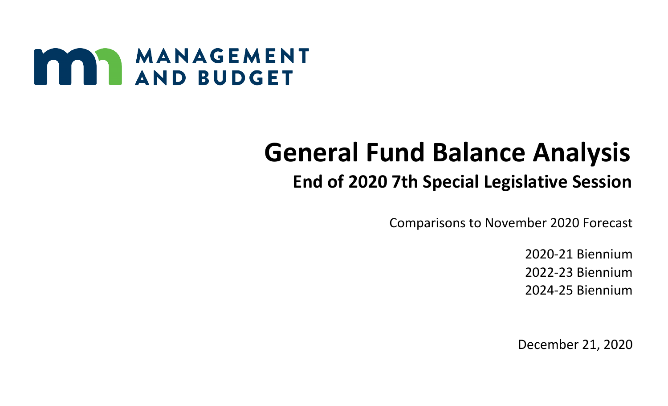

# **General Fund Balance Analysis**

# **End of 2020 7th Special Legislative Session**

Comparisons to November 2020 Forecast

2020-21 Biennium 2022-23 Biennium 2024-25 Biennium

December 21, 2020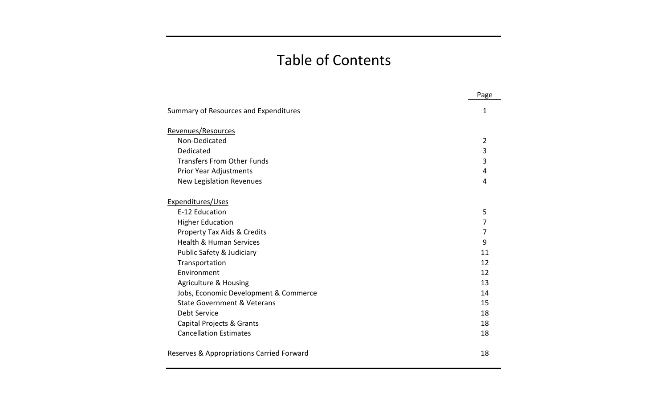## Table of Contents

|                                           | Page           |
|-------------------------------------------|----------------|
| Summary of Resources and Expenditures     | 1              |
| Revenues/Resources                        |                |
| Non-Dedicated                             | $\overline{2}$ |
| Dedicated                                 | 3              |
| <b>Transfers From Other Funds</b>         | 3              |
| Prior Year Adjustments                    | 4              |
| <b>New Legislation Revenues</b>           | 4              |
| Expenditures/Uses                         |                |
| E-12 Education                            | 5              |
| <b>Higher Education</b>                   | 7              |
| Property Tax Aids & Credits               | 7              |
| <b>Health &amp; Human Services</b>        | 9              |
| Public Safety & Judiciary                 | 11             |
| Transportation                            | 12             |
| Environment                               | 12             |
| <b>Agriculture &amp; Housing</b>          | 13             |
| Jobs, Economic Development & Commerce     | 14             |
| State Government & Veterans               | 15             |
| Debt Service                              | 18             |
| Capital Projects & Grants                 | 18             |
| <b>Cancellation Estimates</b>             | 18             |
| Reserves & Appropriations Carried Forward | 18             |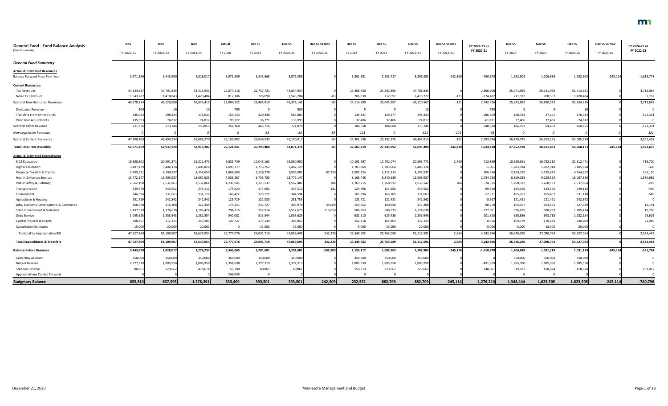| <b>General Fund - Fund Balance Analysis</b><br>(\$ in Thousands) | Nov<br>FY 2020-21 | Nov<br>FY 2022-23 | Nov<br>FY 2024-25 | Actual<br>FY 2020 | Dec <sub>SS</sub><br>FY 2021 | Dec <sub>SS</sub><br>FY 2020-21 | Dec SS vs Nov<br>FY 2020-21 | Dec SS<br>FY 2022 | Dec SS<br>FY 2023 | Dec SS<br>FY 2022-23 | Dec SS vs Nov<br>FY 2022-23 | FY 2022-23 vs<br>FY 2020-21 | Dec SS<br>FY 2024 | Dec SS<br>FY 2025 | Dec SS<br>FY 2024-25 | Dec SS vs Nov<br>FY 2024-25 | FY 2024-25 vs<br>FY 2022-23 |
|------------------------------------------------------------------|-------------------|-------------------|-------------------|-------------------|------------------------------|---------------------------------|-----------------------------|-------------------|-------------------|----------------------|-----------------------------|-----------------------------|-------------------|-------------------|----------------------|-----------------------------|-----------------------------|
|                                                                  |                   |                   |                   |                   |                              |                                 |                             |                   |                   |                      |                             |                             |                   |                   |                      |                             |                             |
| <b>General Fund Summary</b>                                      |                   |                   |                   |                   |                              |                                 |                             |                   |                   |                      |                             |                             |                   |                   |                      |                             |                             |
| <b>Actual &amp; Estimated Resources</b>                          |                   |                   |                   |                   |                              |                                 |                             |                   |                   |                      |                             |                             |                   |                   |                      |                             |                             |
| Balance Forward From Prior Year                                  | 3,971,359         | 3,443,990         | 1,828,01          | 3,971,359         | 3,343,865                    | 3,971,359                       |                             | 3,201,681         | 2,153,717         | 3,201,681            | $-242,309$                  | $-769,678$                  | 1,582,903         | 1,206,688         | 1,582,903            | $-245,114$                  | $-1,618,778$                |
| <b>Current Resources:</b>                                        |                   |                   |                   |                   |                              |                                 |                             |                   |                   |                      |                             |                             |                   |                   |                      |                             |                             |
| <b>Tax Revenues</b>                                              | 44,834,937        | 47,701,845        | 51,413,931        | 22,077,216        | 22,757,721                   | 44,834,937                      |                             | 23,408,950        | 24,292,895        | 47,701,845           |                             | 2,866,908                   | 25,271,955        | 26,141,976        | 51,413,93            |                             | 3,712,086                   |
| Non-Tax Revenues                                                 | 1,543,287         | 1,418,84          | 1,420,484         | 817,106           | 726,098                      | 1,543,204                       |                             | 706,030           | 712,692           | 1,418,722            | $-121$                      | $-124,482$                  | 711,927           | 708,557           | 1,420,484            |                             | 1,762                       |
| Subtotal Non-Dedicated Revenues                                  | 46,378,224        | 49,120,68         | 52,834,415        | 22,894,322        | 23,483,819                   | 46,378,141                      |                             | 24,114,980        | 25,005,587        | 49,120,567           | $-121$                      | 2,742,426                   | 25,983,882        | 26,850,533        | 52,834,415           |                             | 3,713,848                   |
| <b>Dedicated Revenue</b>                                         | 800               |                   |                   | 795               |                              | 800                             |                             |                   |                   |                      |                             | $-790$                      |                   |                   |                      |                             |                             |
| Transfers From Other Funds                                       | 585,083           | 298,424           | 176,033           | 155,643           | 429,440                      | 585,083                         |                             | 149,147           | 149,277           | 298,424              |                             | $-286,659$                  | 148,782           | 27,251            | 176,033              |                             | $-122,391$                  |
| Prior Year Adjustments                                           | 135,993           | 74,81             | 74,812            | 99,722            | 36,271                       | 135,993                         |                             | 37,406            | 37,406            | 74,81                |                             | $-61,181$                   | 37,406            | 37,406            | 74,812               |                             |                             |
| Subtotal Other Revenue                                           | 721,876           | 373,24            | 250,855           | 256,160           | 465,716                      | 721,876                         |                             | 186,558           | 186,688           | 373,246              |                             | $-348,630$                  | 186,193           | 64,662            | 250,855              |                             | $-122,391$                  |
| <b>New Legislation Revenues</b>                                  |                   |                   |                   | $\Omega$          | -83                          |                                 | -83                         | $-121$            |                   | $-121$               | -121                        |                             | $\sqrt{ }$        |                   |                      |                             | 121                         |
| <b>Subtotal Current Resources</b>                                | 47,100,100        | 49,493,93         | 53,085,270        | 23,150,482        | 23,949,535                   | 47,100,01                       |                             | 24,301,538        | 25,192,275        | 49,493,81            | $-121$                      | 2,393,796                   | 26,170,075        | 26,915,195        | 53,085,27            |                             | 3,591,457                   |
| <b>Total Resources Available</b>                                 | 51,071,459        | 52,937,924        | 54,913,287        | 27,121,841        | 27,293,400                   | 51,071,376                      | $-82$                       | 27,503,219        | 27,345,992        | 52,695,494           | $-242,430$                  | 1,624,118                   | 27,752,978        | 28,121,883        | 54,668,173           | $-245,114$                  | 1,972,679                   |
| <b>Actual &amp; Estimated Expenditures</b>                       |                   |                   |                   |                   |                              |                                 |                             |                   |                   |                      |                             |                             |                   |                   |                      |                             |                             |
| E-12 Education                                                   | 19,880,902        | 20,591,37         | 21,312,471        | 9,835,739         | 10,045,163                   | 19,880,902                      |                             | 10,191,697        | 10,402,074        | 20,593,771           | 2,400                       | 712,869                     | 10,580,361        | 10,732,110        | 21,312,47            |                             | 718,700                     |
| <b>Higher Education</b>                                          | 3,407,129         | 3,406,12          | 3,405,828         | 1,693,377         | 1,713,752                    | 3,407,129                       |                             | 1,703,064         | 1,703,064         | 3,406,12             |                             | $-1,001$                    | 1,702,914         | 1,702,914         | 3,405,828            |                             | $-300$                      |
| Property Tax Aids & Credits                                      | 3,905,331         | 4,199,53          | 4,354,657         | 1,866,803         | 2,126,278                    | 3,993,081                       | 87,750                      | 2,087,224         | 2,112,313         | 4,199,537            |                             | 206,456                     | 2,159,185         | 2,195,472         | 4,354,657            |                             | 155,120                     |
| Health & Human Services                                          | 13,772,147        | 16,506,93         | 18,087,626        | 7,035,367         | 6,736,780                    | 13,772,147                      |                             | 8,166,748         | 8,340,189         | 16,506,937           |                             | 2,734,790                   | 8,859,033         | 9,228,593         | 18,087,626           |                             | 1,580,689                   |
| Public Safety & Judiciary                                        | 2,562,198         | 2,537,863         | 2,537,864         | 1,236,945         | 1,325,537                    | 2,562,482                       | 284                         | 1,269,215         | 1,268,932         | 2,538,14             | 284                         | $-24,335$                   | 1,268,932         | 1,268,932         | 2,537,864            |                             | $-283$                      |
| Transportation                                                   | 349,370           | 249,552           | 249,11            | 174,820           | 174,692                      | 349,512                         | 142                         | 124,996           | 124,556           | 249,552              |                             | $-99,960$                   | 124,556           | 124,556           | 249,112              |                             | $-440$                      |
| Environment                                                      | 344,594           | 331,663           | 331,118           | 166,422           | 178,172                      | 344,594                         |                             | 165,894           | 165,769           | 331,66               |                             | $-12,931$                   | 165,651           | 165,467           | 331,118              |                             | $-545$                      |
| Agriculture & Housing                                            | 251,759           | 242,842           | 242,842           | 129,729           | 122,030                      | 251,759                         |                             | 121,421           | 121,421           | 242,842              |                             | $-8,91$                     | 121,421           | 121,421           | 242,842              |                             |                             |
| Jobs, Economic Development & Commerce                            | 366,978           | 315,208           | 327,349           | 174,251           | 231,727                      | 405,978                         | 39,000                      | 154,252           | 160,956           | 315,208              |                             | $-90,770$                   | 164,197           | 163,152           | 327,349              |                             | 12,141                      |
| State Government & Veterans                                      | 1,437,579         | 1,174,638         | 1,185,424         | 794,715           | 757,914                      | 1,552,629                       | 115,050                     | 586,063           | 588,575           | 1,174,638            |                             | $-377,991$                  | 596,625           | 588,799           | 1,185,424            |                             | 10,786                      |
| Debt Service                                                     | 1,055,625         | 1,256,945         | 1,282,554         | 540,081           | 515,544                      | 1,055,625                       |                             | 631,510           | 625,435           | 1,256,945            |                             | 201,320                     | 638,836           | 643,718           | 1,282,554            |                             | 25,609                      |
| Capital Projects & Grants                                        | 308,85            | 317,223           | 340,209           | 129,727           | 179,130                      | 308,857                         |                             | 152,418           | 164,805           | 317,223              |                             | 8,366                       | 169,579           | 170,630           | 340,209              |                             | 22,986                      |
| <b>Cancellation Estimates</b>                                    | $-15,000$         | $-20,000$         | $-20,000$         |                   | $-15,000$                    | $-15,000$                       |                             | $-5,000$          | $-15,000$         | $-20,000$            |                             | $-5,000$                    | -5,000            | $-15,000$         | $-20,000$            |                             |                             |
| Subtotal by Appropriation Bill                                   | 47,627,469        | 51,109,907        | 53,637,054        | 23,777,976        | 24,091,719                   | 47,869,695                      | 242,226                     | 25,349,502        | 25,763,089        | 51,112,591           | 2,684                       | 3,242,896                   | 26,546,290        | 27,090,764        | 53,637,054           |                             | 2,524,463                   |
| <b>Total Expenditures &amp; Transfers</b>                        | 47,627,469        | 51,109,907        | 53,637,054        | 23,777,976        | 24,091,719                   | 47,869,695                      | 242,226                     | 25,349,502        | 25,763,089        | 51,112,591           | 2,684                       | 3,242,896                   | 26,546,290        | 27,090,764        | 53,637,054           |                             | 2,524,463                   |
| <b>Balance Before Reserves</b>                                   | 3,443,990         | 1,828,01          | 1,276,233         | 3,343,865         | 3,201,681                    | 3,201,681                       | $-242,309$                  | 2,153,717         | 1,582,903         | 1,582,903            | $-245,114$                  | $-1,618,778$                | 1,206,688         | 1,031,119         | 1,031,119            | $-245,114$                  | $-551,784$                  |
| <b>Cash Flow Account</b>                                         | 350,000           | 350,000           | 350,000           | 350,000           | 350,000                      | 350,000                         |                             | 350,000           | 350,000           | 350,000              |                             |                             | 350,000           | 350,000           | 350,000              |                             |                             |
| <b>Budget Reserve</b>                                            | 2,377,319         | 1,885,950         | 1,885,950         | 2,358,698         | 2,377,319                    | 2,377,319                       |                             | 1,885,950         | 1,885,950         | 1,885,950            |                             | -491,369                    | 1,885,950         | 1,885,950         | 1,885,950            |                             |                             |
| <b>Stadium Reserve</b>                                           | 80,86             | 229,662           | 418,674           | 55,700            | 80,861                       | 80,861                          |                             | 150,319           | 229,662           | 229,662              |                             | 148,801                     | 319,182           | 418,674           | 418,674              |                             | 189,012                     |
| <b>Appropriations Carried Forward</b>                            |                   |                   |                   | 246,058           |                              |                                 |                             |                   |                   |                      |                             |                             |                   |                   |                      |                             |                             |
| <b>Budgetary Balance</b>                                         | 635,810           | $-637,595$        | $-1,378,391$      | 333,409           | 393,501                      | 393,501                         | $-242,309$                  | $-232,552$        | $-882,709$        | $-882,709$           | $-245,114$                  | $-1,276,210$                | $-1,348,444$      | $-1,623,505$      | $-1,623,505$         | $-245,114$                  | $-740,796$                  |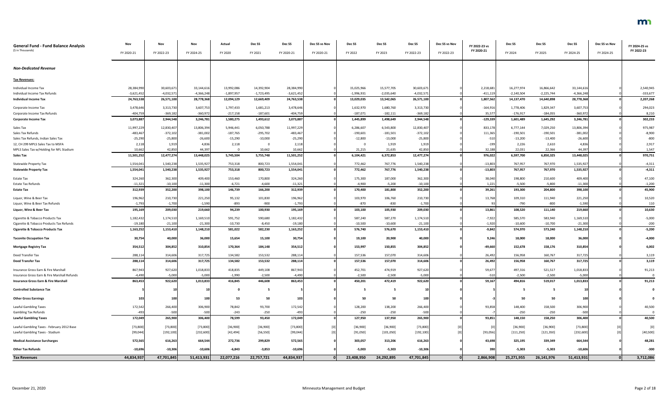| FY 2020-21<br>FY 2022-23<br>FY 2020<br>FY 2021<br>FY 2020-21<br>FY 2020-21<br>FY 2022<br>FY 2023<br>FY 2022-23<br>FY 2022-23<br>FY 2024<br>FY 2025<br>FY 2024-25<br>FY 2024-25<br>FY 2024-25<br>28,384,990<br>30,603,671<br>33,144,616<br>13,992,086<br>14,392,904<br>28,384,990<br>15,577,705<br>30,603,67<br>16,277,974<br>16,866,642<br>33,144,616<br>2,540,945<br>15,025,966<br>2,218,681<br>$-333,677$<br>$-3,621,452$<br>$-4,032,571$<br>$-4,366,248$<br>$-1,897,957$<br>$-1,723,495$<br>$-3,621,452$<br>$-1,996,931$<br>$-2,035,640$<br>$-4,032,571$<br>$-411,119$<br>$-2,140,504$<br>$-2,225,744$<br>$-4,366,248$<br>24,763,538<br>28,778,368<br>24,763,538<br>26,571,100<br>28,778,368<br>2,207,268<br>26,571,100<br>12,094,129<br>12,669,409<br>13,029,035<br>13,542,065<br>1,807,562<br>14,137,470<br>14,640,898<br>3,478,646<br>3,313,73<br>3,607,75<br>1,797,433<br>1,681,213<br>3,478,646<br>1,680,760<br>3,313,730<br>$-164,916$<br>1,778,406<br>1,829,347<br>3,607,753<br>294,023<br>1,632,970<br>Corporate Income Tax<br>$-404,759$<br>$-360,972$<br>$-217,158$<br>$-187,601$<br>$-404,759$<br>$-187,071$<br>$-182,111$<br>$-369,182$<br>35,57<br>$-184,055$<br>$-360,972$<br>8,210<br>Corporate Income Tax Refunds<br>$-369,18$<br>-176,917<br>3,073,887<br>3,073,887<br>2,944,548<br>3,246,781<br>1,498,649<br>2,944,548<br>$-129,339$<br>3,246,781<br>302,233<br>1,580,275<br>1,493,612<br>1,445,899<br>1,601,489<br>1,645,292<br>13,806,394<br>11,997,229<br>5,946,441<br>6,050,788<br>11,997,229<br>6,286,607<br>6,543,800<br>12,830,407<br>833,178<br>6,777,144<br>7,029,250<br>13,806,394<br>975,987<br>Sales Tax<br>12,830,407<br>$-483,467$<br>$-372,102$<br>$-381,002$<br>$-187,765$<br>$-295,702$<br>$-483,467$<br>$-372,102$<br>$-381,002$<br>$-8,900$<br>Sales Tax Refunds<br>$-190,601$<br>$-181,501$<br>111,365<br>$-190,501$<br>$-190,501$<br>$-25,290$<br>$-800$<br>Sales Tax Refunds, Indian Sales Tax<br>$-25,290$<br>$-25,800$<br>$-26,600$<br>$-15,290$<br>$-10,000$<br>$-12,800$<br>$-13,000$<br>$-25,800$<br>$-510$<br>$-13,400$<br>$-26,600$<br>$-13,200$<br>2,917<br>1,919<br>4,836<br>2,118<br>2,118<br>1,919<br>1,919<br>$-199$<br>2,226<br>2,610<br>4,836<br>2,118<br>- 0<br>44,397<br>10,662<br>21,215<br>21,635<br>32,188<br>44,397<br>1,547<br>10,662<br>42,850<br>10,662<br>42,850<br>22,031<br>22,366<br>11,501,252<br>12,477,274<br>13,448,025<br>5,745,504<br>11,501,252<br>6,372,853<br>12,477,274<br>976,022<br>13,448,025<br>970,751<br>5,755,748<br>6,104,421<br>6,597,700<br>6,850,325<br>800,723<br>767,776<br>767,970<br>1,554,041<br>1,540,23<br>1,535,927<br>753,318<br>1,554,041<br>772,462<br>1,540,238<br>$-13,803$<br>767,957<br>1,535,927<br>$-4,311$<br><b>Statewide Property Tax</b><br>1,535,927<br>1,554,041<br>767,776<br>1,540,238<br>$-13,803$<br>1,554,041<br>1,540,238<br>753,318<br>800,723<br>772,462<br>767,957<br>767,970<br>1,535,927<br>$-4,311$<br>324,260<br>362,300<br>153,460<br>170,800<br>187,000<br>362,300<br>38,040<br>210,600<br>47,100<br>409,400<br>324,260<br>175,300<br>198,800<br>409,400<br>Estate Tax<br>$-11,321$<br>1,221<br>$-5,800$<br>$-11,321$<br>$-10,100$<br>$-11,300$<br>$-6,721$<br>$-4,600$<br>$-4,900$<br>$-5,200$<br>$-10,100$<br>$-5,500$<br>$-11,300$<br>$-1,200$<br>Estate Tax Refunds<br>312,939<br>312,939<br>352,200<br>398,100<br>146,739<br>166,200<br>181,800<br>352,200<br>39,261<br>193,300<br>204,800<br>398,100<br>45,900<br>170,400<br>210,730<br>196,962<br>196,962<br>221,250<br>95,132<br>101,830<br>103,970<br>106,760<br>210,730<br>13,768<br>109,310<br>111,940<br>221,250<br>10,520<br>Liquor, Wine & Beer Tax<br>$-1,793$<br>$-1,700$<br>$-893$<br>$-1,793$<br>$-870$<br>$-830$<br>$-1,700$<br>$-790$<br>$-800$<br>$-1,590$<br>110<br>Liquor, Wine & Beer Tax Refunds<br>$-1,590$<br>-900<br>209,030<br>219,660<br>94,239<br>195,169<br>209,030<br>13,861<br>219,660<br>10,630<br>195,169<br>100,930<br>103,100<br>105,930<br>108,520<br>111,140<br>1,174,510<br>1,182,432<br>587,240<br>587,270<br>1,174,510<br>$-7,922$<br>$-5,000$<br>1,182,432<br>1,169,510<br>591,752<br>590,680<br>585,570<br>583,940<br>1,169,510<br>Cigarette & Tobacco Products Tax<br>$-21,100$<br>$-10,600$<br>$-1,920$<br>$-10,700$<br>$-200$<br>$-19,180$<br>$-21,300$<br>$-10,730$<br>$-8,450$<br>$-19,180$<br>$-10,500$<br>$-21,100$<br>$-10,600$<br>$-21,300$<br>Cigarette & Tobacco Products Tax Refunds<br>1,163,252<br>1,153,410<br>1,148,210<br>582,230<br>1,163,252<br>576,670<br>1,153,410<br>$-9,842$<br>1,148,210<br>$-5,200$<br>581,022<br>576,740<br>574,970<br>573,240<br>9,246<br>30,754<br>40,000<br>36,000<br>15,654<br>15,100<br>30,754<br>19,100<br>20,900<br>40,000<br>18,000<br>18,000<br>36,000<br>$-4,000$<br><b>Taconite Occupation Tax</b><br>354,512<br>304,852<br>310,854<br>170,364<br>354,512<br>153,997<br>150,855<br>304,852<br>$-49,660$<br>158,176<br>310,854<br>6,002<br>184,148<br>152,678<br><b>Mortgage Registry Tax</b><br>157,536<br>26,492<br>160,767<br>288,114<br>314,606<br>317,725<br>134,582<br>153,532<br>288,114<br>157,070<br>314,606<br>156,958<br>317,725<br>3,119<br>Deed Transfer Tax<br>317,725<br>288,114<br>314,606<br>288,114<br>314,606<br>134,582<br>157,536<br>157,070<br>26,492<br>156,958<br>160,767<br>317,725<br>3,119<br><b>Deed Transfer Tax</b><br>153,532<br>867,943<br>867,943<br>927,620<br>418,835<br>452,701<br>927,620<br>59,677<br>521,517<br>91,213<br>1,018,833<br>449,108<br>474,919<br>497,316<br>1,018,833<br>$-2,500$<br>$-2,500$<br>$-2,500$<br>$-5,000$<br>$-5,000$<br>$-1,990$<br>$-2,500$<br>$-4,490$<br>$-5,000$<br>$-510$<br>$-2,500$<br>$-5,000$<br>$-4,490$<br>0<br>922,620<br>416,845<br>446,608<br>863,453<br>472,419<br>922,620<br>59,167<br>1,013,833<br>91,213<br>863,453<br>1,013,83<br>450,201<br>494,816<br>519,017<br>10<br>-5<br>-5<br>$\mathbf 0$<br>53<br>50<br>50<br>50<br>103<br>100<br>100<br>50<br>100<br>50<br>100<br>103<br>266,400<br>306,900<br>78,842<br>93,700<br>172,542<br>128,200<br>138,200<br>266,400<br>93,858<br>306,900<br>40,500<br>172,542<br>148,400<br>158,500<br>Lawful Gambling Taxes<br>$-250$<br>$-250$<br>$-250$<br>$-500$<br>$-500$<br>$-243$<br>$-250$<br>$-500$<br>$-250$<br>$-500$<br><b>Gambling Tax Refunds</b><br>$-493$<br>$-493$<br>0<br>172,049<br>265,900<br>306,400<br>265,900<br>306,400<br>172,049<br>78,599<br>93,450<br>127,950<br>137,950<br>93,851<br>158,250<br>40,500<br><b>Lawful Gambling Taxes</b><br>148,150<br>[73, 800]<br>[36,900]<br>[73,800]<br>[36,900]<br>[73,800]<br>[73, 800]<br>[36,900]<br>[73,800]<br>[36,900]<br>[36,900]<br>[36,900]<br>[73, 800]<br>[0]<br>[0]<br>Lawful Gambling Taxes - February 2012 Base<br>[192, 100]<br>[99, 044]<br>[232, 600]<br>[42, 494]<br>[56, 550]<br>[99, 044]<br>[91,050]<br>[101, 050]<br>[192, 100]<br>[93,056]<br>[111, 250]<br>[121, 350]<br>[232, 600]<br>[40, 500]<br>Lawful Gambling Taxes - Stadium<br>572,565<br>572,565<br>616,263<br>664,544<br>272,736<br>299,829<br>303,057<br>313,206<br>616,263<br>43,698<br>325,195<br>339,349<br>664,544<br>48,281<br>$-10,306$<br>$-6,843$<br>$-3,853$<br>$-5,003$<br>$-5,303$<br>$-5,303$<br>$-5,303$<br>$-10,696$<br>$-10,606$<br>$-10,696$<br>$-10,306$<br>390<br>$-10,606$<br>$-300$<br>47,701,845<br>51,413,931<br>22,077,216<br>44,834,937<br>23,408,950<br>24,292,895<br>47,701,845<br>n<br>2,866,908<br>3,712,086<br>44,834,937<br>22,757,721<br>25,271,955<br>26,141,976<br>51,413,931 | <b>General Fund - Fund Balance Analysis</b><br>(\$ in Thousands) | Nov | Nov | Nov | Actual | Dec SS | Dec SS | Dec SS vs Nov | Dec SS | Dec SS | Dec <sub>SS</sub> | Dec SS vs Nov | FY 2022-23 vs<br>FY 2020-21 | Dec SS | Dec SS | Dec SS | Dec SS vs Nov | FY 2024-25 vs<br>FY 2022-23 |
|-------------------------------------------------------------------------------------------------------------------------------------------------------------------------------------------------------------------------------------------------------------------------------------------------------------------------------------------------------------------------------------------------------------------------------------------------------------------------------------------------------------------------------------------------------------------------------------------------------------------------------------------------------------------------------------------------------------------------------------------------------------------------------------------------------------------------------------------------------------------------------------------------------------------------------------------------------------------------------------------------------------------------------------------------------------------------------------------------------------------------------------------------------------------------------------------------------------------------------------------------------------------------------------------------------------------------------------------------------------------------------------------------------------------------------------------------------------------------------------------------------------------------------------------------------------------------------------------------------------------------------------------------------------------------------------------------------------------------------------------------------------------------------------------------------------------------------------------------------------------------------------------------------------------------------------------------------------------------------------------------------------------------------------------------------------------------------------------------------------------------------------------------------------------------------------------------------------------------------------------------------------------------------------------------------------------------------------------------------------------------------------------------------------------------------------------------------------------------------------------------------------------------------------------------------------------------------------------------------------------------------------------------------------------------------------------------------------------------------------------------------------------------------------------------------------------------------------------------------------------------------------------------------------------------------------------------------------------------------------------------------------------------------------------------------------------------------------------------------------------------------------------------------------------------------------------------------------------------------------------------------------------------------------------------------------------------------------------------------------------------------------------------------------------------------------------------------------------------------------------------------------------------------------------------------------------------------------------------------------------------------------------------------------------------------------------------------------------------------------------------------------------------------------------------------------------------------------------------------------------------------------------------------------------------------------------------------------------------------------------------------------------------------------------------------------------------------------------------------------------------------------------------------------------------------------------------------------------------------------------------------------------------------------------------------------------------------------------------------------------------------------------------------------------------------------------------------------------------------------------------------------------------------------------------------------------------------------------------------------------------------------------------------------------------------------------------------------------------------------------------------------------------------------------------------------------------------------------------------------------------------------------------------------------------------------------------------------------------------------------------------------------------------------------------------------------------------------------------------------------------------------------------------------------------------------------------------------------------------------------------------------------------------------------------------------------------------------------------------------------------------------------------------------------------------------------------------------------------------------------------------------------------------------------------------------------------------------------------------------------------------------------------------------------------------------------------------------------------------------------------------------------------------------------------------------------------------------------------------------------------------------------------------------------------------------------------------------------------------------------------------------------------------------------------------------------------------------------------------------------------------------------------------------------------------------------------------------------------------------------------------------------------------------------------------------------------------------------------------------------------------------------------------------------------------------------------------------------------------------------------------------------------------------------------------------------------------------------------------------------------------------------------------------------------------------------------------------------------------------------------------------------------------------------------------------------------------------------------------------------------------------------------------------------------------------------------------------------------------------------------------------------------------------------------------------------------------------------------------------------------------------------------------------------------------------------------------------------------------------------------------------------------------------------------------------------------------------------------------------------------------------------------------------------------------------------------------------------------|------------------------------------------------------------------|-----|-----|-----|--------|--------|--------|---------------|--------|--------|-------------------|---------------|-----------------------------|--------|--------|--------|---------------|-----------------------------|
|                                                                                                                                                                                                                                                                                                                                                                                                                                                                                                                                                                                                                                                                                                                                                                                                                                                                                                                                                                                                                                                                                                                                                                                                                                                                                                                                                                                                                                                                                                                                                                                                                                                                                                                                                                                                                                                                                                                                                                                                                                                                                                                                                                                                                                                                                                                                                                                                                                                                                                                                                                                                                                                                                                                                                                                                                                                                                                                                                                                                                                                                                                                                                                                                                                                                                                                                                                                                                                                                                                                                                                                                                                                                                                                                                                                                                                                                                                                                                                                                                                                                                                                                                                                                                                                                                                                                                                                                                                                                                                                                                                                                                                                                                                                                                                                                                                                                                                                                                                                                                                                                                                                                                                                                                                                                                                                                                                                                                                                                                                                                                                                                                                                                                                                                                                                                                                                                                                                                                                                                                                                                                                                                                                                                                                                                                                                                                                                                                                                                                                                                                                                                                                                                                                                                                                                                                                                                                                                                                                                                                                                                                                                                                                                                                                                                                                                                                                                                                                                                         |                                                                  |     |     |     |        |        |        |               |        |        |                   |               |                             |        |        |        |               |                             |
|                                                                                                                                                                                                                                                                                                                                                                                                                                                                                                                                                                                                                                                                                                                                                                                                                                                                                                                                                                                                                                                                                                                                                                                                                                                                                                                                                                                                                                                                                                                                                                                                                                                                                                                                                                                                                                                                                                                                                                                                                                                                                                                                                                                                                                                                                                                                                                                                                                                                                                                                                                                                                                                                                                                                                                                                                                                                                                                                                                                                                                                                                                                                                                                                                                                                                                                                                                                                                                                                                                                                                                                                                                                                                                                                                                                                                                                                                                                                                                                                                                                                                                                                                                                                                                                                                                                                                                                                                                                                                                                                                                                                                                                                                                                                                                                                                                                                                                                                                                                                                                                                                                                                                                                                                                                                                                                                                                                                                                                                                                                                                                                                                                                                                                                                                                                                                                                                                                                                                                                                                                                                                                                                                                                                                                                                                                                                                                                                                                                                                                                                                                                                                                                                                                                                                                                                                                                                                                                                                                                                                                                                                                                                                                                                                                                                                                                                                                                                                                                                         | <b>Non-Dedicated Revenue</b>                                     |     |     |     |        |        |        |               |        |        |                   |               |                             |        |        |        |               |                             |
|                                                                                                                                                                                                                                                                                                                                                                                                                                                                                                                                                                                                                                                                                                                                                                                                                                                                                                                                                                                                                                                                                                                                                                                                                                                                                                                                                                                                                                                                                                                                                                                                                                                                                                                                                                                                                                                                                                                                                                                                                                                                                                                                                                                                                                                                                                                                                                                                                                                                                                                                                                                                                                                                                                                                                                                                                                                                                                                                                                                                                                                                                                                                                                                                                                                                                                                                                                                                                                                                                                                                                                                                                                                                                                                                                                                                                                                                                                                                                                                                                                                                                                                                                                                                                                                                                                                                                                                                                                                                                                                                                                                                                                                                                                                                                                                                                                                                                                                                                                                                                                                                                                                                                                                                                                                                                                                                                                                                                                                                                                                                                                                                                                                                                                                                                                                                                                                                                                                                                                                                                                                                                                                                                                                                                                                                                                                                                                                                                                                                                                                                                                                                                                                                                                                                                                                                                                                                                                                                                                                                                                                                                                                                                                                                                                                                                                                                                                                                                                                                         | <b>Tax Revenues:</b>                                             |     |     |     |        |        |        |               |        |        |                   |               |                             |        |        |        |               |                             |
|                                                                                                                                                                                                                                                                                                                                                                                                                                                                                                                                                                                                                                                                                                                                                                                                                                                                                                                                                                                                                                                                                                                                                                                                                                                                                                                                                                                                                                                                                                                                                                                                                                                                                                                                                                                                                                                                                                                                                                                                                                                                                                                                                                                                                                                                                                                                                                                                                                                                                                                                                                                                                                                                                                                                                                                                                                                                                                                                                                                                                                                                                                                                                                                                                                                                                                                                                                                                                                                                                                                                                                                                                                                                                                                                                                                                                                                                                                                                                                                                                                                                                                                                                                                                                                                                                                                                                                                                                                                                                                                                                                                                                                                                                                                                                                                                                                                                                                                                                                                                                                                                                                                                                                                                                                                                                                                                                                                                                                                                                                                                                                                                                                                                                                                                                                                                                                                                                                                                                                                                                                                                                                                                                                                                                                                                                                                                                                                                                                                                                                                                                                                                                                                                                                                                                                                                                                                                                                                                                                                                                                                                                                                                                                                                                                                                                                                                                                                                                                                                         | Individual Income Tax                                            |     |     |     |        |        |        |               |        |        |                   |               |                             |        |        |        |               |                             |
|                                                                                                                                                                                                                                                                                                                                                                                                                                                                                                                                                                                                                                                                                                                                                                                                                                                                                                                                                                                                                                                                                                                                                                                                                                                                                                                                                                                                                                                                                                                                                                                                                                                                                                                                                                                                                                                                                                                                                                                                                                                                                                                                                                                                                                                                                                                                                                                                                                                                                                                                                                                                                                                                                                                                                                                                                                                                                                                                                                                                                                                                                                                                                                                                                                                                                                                                                                                                                                                                                                                                                                                                                                                                                                                                                                                                                                                                                                                                                                                                                                                                                                                                                                                                                                                                                                                                                                                                                                                                                                                                                                                                                                                                                                                                                                                                                                                                                                                                                                                                                                                                                                                                                                                                                                                                                                                                                                                                                                                                                                                                                                                                                                                                                                                                                                                                                                                                                                                                                                                                                                                                                                                                                                                                                                                                                                                                                                                                                                                                                                                                                                                                                                                                                                                                                                                                                                                                                                                                                                                                                                                                                                                                                                                                                                                                                                                                                                                                                                                                         | Individual Income Tax Refunds                                    |     |     |     |        |        |        |               |        |        |                   |               |                             |        |        |        |               |                             |
|                                                                                                                                                                                                                                                                                                                                                                                                                                                                                                                                                                                                                                                                                                                                                                                                                                                                                                                                                                                                                                                                                                                                                                                                                                                                                                                                                                                                                                                                                                                                                                                                                                                                                                                                                                                                                                                                                                                                                                                                                                                                                                                                                                                                                                                                                                                                                                                                                                                                                                                                                                                                                                                                                                                                                                                                                                                                                                                                                                                                                                                                                                                                                                                                                                                                                                                                                                                                                                                                                                                                                                                                                                                                                                                                                                                                                                                                                                                                                                                                                                                                                                                                                                                                                                                                                                                                                                                                                                                                                                                                                                                                                                                                                                                                                                                                                                                                                                                                                                                                                                                                                                                                                                                                                                                                                                                                                                                                                                                                                                                                                                                                                                                                                                                                                                                                                                                                                                                                                                                                                                                                                                                                                                                                                                                                                                                                                                                                                                                                                                                                                                                                                                                                                                                                                                                                                                                                                                                                                                                                                                                                                                                                                                                                                                                                                                                                                                                                                                                                         | <b>Individual Income Tax</b>                                     |     |     |     |        |        |        |               |        |        |                   |               |                             |        |        |        |               |                             |
|                                                                                                                                                                                                                                                                                                                                                                                                                                                                                                                                                                                                                                                                                                                                                                                                                                                                                                                                                                                                                                                                                                                                                                                                                                                                                                                                                                                                                                                                                                                                                                                                                                                                                                                                                                                                                                                                                                                                                                                                                                                                                                                                                                                                                                                                                                                                                                                                                                                                                                                                                                                                                                                                                                                                                                                                                                                                                                                                                                                                                                                                                                                                                                                                                                                                                                                                                                                                                                                                                                                                                                                                                                                                                                                                                                                                                                                                                                                                                                                                                                                                                                                                                                                                                                                                                                                                                                                                                                                                                                                                                                                                                                                                                                                                                                                                                                                                                                                                                                                                                                                                                                                                                                                                                                                                                                                                                                                                                                                                                                                                                                                                                                                                                                                                                                                                                                                                                                                                                                                                                                                                                                                                                                                                                                                                                                                                                                                                                                                                                                                                                                                                                                                                                                                                                                                                                                                                                                                                                                                                                                                                                                                                                                                                                                                                                                                                                                                                                                                                         |                                                                  |     |     |     |        |        |        |               |        |        |                   |               |                             |        |        |        |               |                             |
|                                                                                                                                                                                                                                                                                                                                                                                                                                                                                                                                                                                                                                                                                                                                                                                                                                                                                                                                                                                                                                                                                                                                                                                                                                                                                                                                                                                                                                                                                                                                                                                                                                                                                                                                                                                                                                                                                                                                                                                                                                                                                                                                                                                                                                                                                                                                                                                                                                                                                                                                                                                                                                                                                                                                                                                                                                                                                                                                                                                                                                                                                                                                                                                                                                                                                                                                                                                                                                                                                                                                                                                                                                                                                                                                                                                                                                                                                                                                                                                                                                                                                                                                                                                                                                                                                                                                                                                                                                                                                                                                                                                                                                                                                                                                                                                                                                                                                                                                                                                                                                                                                                                                                                                                                                                                                                                                                                                                                                                                                                                                                                                                                                                                                                                                                                                                                                                                                                                                                                                                                                                                                                                                                                                                                                                                                                                                                                                                                                                                                                                                                                                                                                                                                                                                                                                                                                                                                                                                                                                                                                                                                                                                                                                                                                                                                                                                                                                                                                                                         |                                                                  |     |     |     |        |        |        |               |        |        |                   |               |                             |        |        |        |               |                             |
|                                                                                                                                                                                                                                                                                                                                                                                                                                                                                                                                                                                                                                                                                                                                                                                                                                                                                                                                                                                                                                                                                                                                                                                                                                                                                                                                                                                                                                                                                                                                                                                                                                                                                                                                                                                                                                                                                                                                                                                                                                                                                                                                                                                                                                                                                                                                                                                                                                                                                                                                                                                                                                                                                                                                                                                                                                                                                                                                                                                                                                                                                                                                                                                                                                                                                                                                                                                                                                                                                                                                                                                                                                                                                                                                                                                                                                                                                                                                                                                                                                                                                                                                                                                                                                                                                                                                                                                                                                                                                                                                                                                                                                                                                                                                                                                                                                                                                                                                                                                                                                                                                                                                                                                                                                                                                                                                                                                                                                                                                                                                                                                                                                                                                                                                                                                                                                                                                                                                                                                                                                                                                                                                                                                                                                                                                                                                                                                                                                                                                                                                                                                                                                                                                                                                                                                                                                                                                                                                                                                                                                                                                                                                                                                                                                                                                                                                                                                                                                                                         | <b>Corporate Income Tax</b>                                      |     |     |     |        |        |        |               |        |        |                   |               |                             |        |        |        |               |                             |
|                                                                                                                                                                                                                                                                                                                                                                                                                                                                                                                                                                                                                                                                                                                                                                                                                                                                                                                                                                                                                                                                                                                                                                                                                                                                                                                                                                                                                                                                                                                                                                                                                                                                                                                                                                                                                                                                                                                                                                                                                                                                                                                                                                                                                                                                                                                                                                                                                                                                                                                                                                                                                                                                                                                                                                                                                                                                                                                                                                                                                                                                                                                                                                                                                                                                                                                                                                                                                                                                                                                                                                                                                                                                                                                                                                                                                                                                                                                                                                                                                                                                                                                                                                                                                                                                                                                                                                                                                                                                                                                                                                                                                                                                                                                                                                                                                                                                                                                                                                                                                                                                                                                                                                                                                                                                                                                                                                                                                                                                                                                                                                                                                                                                                                                                                                                                                                                                                                                                                                                                                                                                                                                                                                                                                                                                                                                                                                                                                                                                                                                                                                                                                                                                                                                                                                                                                                                                                                                                                                                                                                                                                                                                                                                                                                                                                                                                                                                                                                                                         |                                                                  |     |     |     |        |        |        |               |        |        |                   |               |                             |        |        |        |               |                             |
|                                                                                                                                                                                                                                                                                                                                                                                                                                                                                                                                                                                                                                                                                                                                                                                                                                                                                                                                                                                                                                                                                                                                                                                                                                                                                                                                                                                                                                                                                                                                                                                                                                                                                                                                                                                                                                                                                                                                                                                                                                                                                                                                                                                                                                                                                                                                                                                                                                                                                                                                                                                                                                                                                                                                                                                                                                                                                                                                                                                                                                                                                                                                                                                                                                                                                                                                                                                                                                                                                                                                                                                                                                                                                                                                                                                                                                                                                                                                                                                                                                                                                                                                                                                                                                                                                                                                                                                                                                                                                                                                                                                                                                                                                                                                                                                                                                                                                                                                                                                                                                                                                                                                                                                                                                                                                                                                                                                                                                                                                                                                                                                                                                                                                                                                                                                                                                                                                                                                                                                                                                                                                                                                                                                                                                                                                                                                                                                                                                                                                                                                                                                                                                                                                                                                                                                                                                                                                                                                                                                                                                                                                                                                                                                                                                                                                                                                                                                                                                                                         |                                                                  |     |     |     |        |        |        |               |        |        |                   |               |                             |        |        |        |               |                             |
|                                                                                                                                                                                                                                                                                                                                                                                                                                                                                                                                                                                                                                                                                                                                                                                                                                                                                                                                                                                                                                                                                                                                                                                                                                                                                                                                                                                                                                                                                                                                                                                                                                                                                                                                                                                                                                                                                                                                                                                                                                                                                                                                                                                                                                                                                                                                                                                                                                                                                                                                                                                                                                                                                                                                                                                                                                                                                                                                                                                                                                                                                                                                                                                                                                                                                                                                                                                                                                                                                                                                                                                                                                                                                                                                                                                                                                                                                                                                                                                                                                                                                                                                                                                                                                                                                                                                                                                                                                                                                                                                                                                                                                                                                                                                                                                                                                                                                                                                                                                                                                                                                                                                                                                                                                                                                                                                                                                                                                                                                                                                                                                                                                                                                                                                                                                                                                                                                                                                                                                                                                                                                                                                                                                                                                                                                                                                                                                                                                                                                                                                                                                                                                                                                                                                                                                                                                                                                                                                                                                                                                                                                                                                                                                                                                                                                                                                                                                                                                                                         |                                                                  |     |     |     |        |        |        |               |        |        |                   |               |                             |        |        |        |               |                             |
|                                                                                                                                                                                                                                                                                                                                                                                                                                                                                                                                                                                                                                                                                                                                                                                                                                                                                                                                                                                                                                                                                                                                                                                                                                                                                                                                                                                                                                                                                                                                                                                                                                                                                                                                                                                                                                                                                                                                                                                                                                                                                                                                                                                                                                                                                                                                                                                                                                                                                                                                                                                                                                                                                                                                                                                                                                                                                                                                                                                                                                                                                                                                                                                                                                                                                                                                                                                                                                                                                                                                                                                                                                                                                                                                                                                                                                                                                                                                                                                                                                                                                                                                                                                                                                                                                                                                                                                                                                                                                                                                                                                                                                                                                                                                                                                                                                                                                                                                                                                                                                                                                                                                                                                                                                                                                                                                                                                                                                                                                                                                                                                                                                                                                                                                                                                                                                                                                                                                                                                                                                                                                                                                                                                                                                                                                                                                                                                                                                                                                                                                                                                                                                                                                                                                                                                                                                                                                                                                                                                                                                                                                                                                                                                                                                                                                                                                                                                                                                                                         | 12, CH 299 MPLS Sales Tax to MSFA                                |     |     |     |        |        |        |               |        |        |                   |               |                             |        |        |        |               |                             |
|                                                                                                                                                                                                                                                                                                                                                                                                                                                                                                                                                                                                                                                                                                                                                                                                                                                                                                                                                                                                                                                                                                                                                                                                                                                                                                                                                                                                                                                                                                                                                                                                                                                                                                                                                                                                                                                                                                                                                                                                                                                                                                                                                                                                                                                                                                                                                                                                                                                                                                                                                                                                                                                                                                                                                                                                                                                                                                                                                                                                                                                                                                                                                                                                                                                                                                                                                                                                                                                                                                                                                                                                                                                                                                                                                                                                                                                                                                                                                                                                                                                                                                                                                                                                                                                                                                                                                                                                                                                                                                                                                                                                                                                                                                                                                                                                                                                                                                                                                                                                                                                                                                                                                                                                                                                                                                                                                                                                                                                                                                                                                                                                                                                                                                                                                                                                                                                                                                                                                                                                                                                                                                                                                                                                                                                                                                                                                                                                                                                                                                                                                                                                                                                                                                                                                                                                                                                                                                                                                                                                                                                                                                                                                                                                                                                                                                                                                                                                                                                                         | MPLS Sales Tax w/Holding for NFL Stadium                         |     |     |     |        |        |        |               |        |        |                   |               |                             |        |        |        |               |                             |
|                                                                                                                                                                                                                                                                                                                                                                                                                                                                                                                                                                                                                                                                                                                                                                                                                                                                                                                                                                                                                                                                                                                                                                                                                                                                                                                                                                                                                                                                                                                                                                                                                                                                                                                                                                                                                                                                                                                                                                                                                                                                                                                                                                                                                                                                                                                                                                                                                                                                                                                                                                                                                                                                                                                                                                                                                                                                                                                                                                                                                                                                                                                                                                                                                                                                                                                                                                                                                                                                                                                                                                                                                                                                                                                                                                                                                                                                                                                                                                                                                                                                                                                                                                                                                                                                                                                                                                                                                                                                                                                                                                                                                                                                                                                                                                                                                                                                                                                                                                                                                                                                                                                                                                                                                                                                                                                                                                                                                                                                                                                                                                                                                                                                                                                                                                                                                                                                                                                                                                                                                                                                                                                                                                                                                                                                                                                                                                                                                                                                                                                                                                                                                                                                                                                                                                                                                                                                                                                                                                                                                                                                                                                                                                                                                                                                                                                                                                                                                                                                         | <b>Sales Tax</b>                                                 |     |     |     |        |        |        |               |        |        |                   |               |                             |        |        |        |               |                             |
|                                                                                                                                                                                                                                                                                                                                                                                                                                                                                                                                                                                                                                                                                                                                                                                                                                                                                                                                                                                                                                                                                                                                                                                                                                                                                                                                                                                                                                                                                                                                                                                                                                                                                                                                                                                                                                                                                                                                                                                                                                                                                                                                                                                                                                                                                                                                                                                                                                                                                                                                                                                                                                                                                                                                                                                                                                                                                                                                                                                                                                                                                                                                                                                                                                                                                                                                                                                                                                                                                                                                                                                                                                                                                                                                                                                                                                                                                                                                                                                                                                                                                                                                                                                                                                                                                                                                                                                                                                                                                                                                                                                                                                                                                                                                                                                                                                                                                                                                                                                                                                                                                                                                                                                                                                                                                                                                                                                                                                                                                                                                                                                                                                                                                                                                                                                                                                                                                                                                                                                                                                                                                                                                                                                                                                                                                                                                                                                                                                                                                                                                                                                                                                                                                                                                                                                                                                                                                                                                                                                                                                                                                                                                                                                                                                                                                                                                                                                                                                                                         |                                                                  |     |     |     |        |        |        |               |        |        |                   |               |                             |        |        |        |               |                             |
|                                                                                                                                                                                                                                                                                                                                                                                                                                                                                                                                                                                                                                                                                                                                                                                                                                                                                                                                                                                                                                                                                                                                                                                                                                                                                                                                                                                                                                                                                                                                                                                                                                                                                                                                                                                                                                                                                                                                                                                                                                                                                                                                                                                                                                                                                                                                                                                                                                                                                                                                                                                                                                                                                                                                                                                                                                                                                                                                                                                                                                                                                                                                                                                                                                                                                                                                                                                                                                                                                                                                                                                                                                                                                                                                                                                                                                                                                                                                                                                                                                                                                                                                                                                                                                                                                                                                                                                                                                                                                                                                                                                                                                                                                                                                                                                                                                                                                                                                                                                                                                                                                                                                                                                                                                                                                                                                                                                                                                                                                                                                                                                                                                                                                                                                                                                                                                                                                                                                                                                                                                                                                                                                                                                                                                                                                                                                                                                                                                                                                                                                                                                                                                                                                                                                                                                                                                                                                                                                                                                                                                                                                                                                                                                                                                                                                                                                                                                                                                                                         | <b>Statewide Property Tax</b>                                    |     |     |     |        |        |        |               |        |        |                   |               |                             |        |        |        |               |                             |
|                                                                                                                                                                                                                                                                                                                                                                                                                                                                                                                                                                                                                                                                                                                                                                                                                                                                                                                                                                                                                                                                                                                                                                                                                                                                                                                                                                                                                                                                                                                                                                                                                                                                                                                                                                                                                                                                                                                                                                                                                                                                                                                                                                                                                                                                                                                                                                                                                                                                                                                                                                                                                                                                                                                                                                                                                                                                                                                                                                                                                                                                                                                                                                                                                                                                                                                                                                                                                                                                                                                                                                                                                                                                                                                                                                                                                                                                                                                                                                                                                                                                                                                                                                                                                                                                                                                                                                                                                                                                                                                                                                                                                                                                                                                                                                                                                                                                                                                                                                                                                                                                                                                                                                                                                                                                                                                                                                                                                                                                                                                                                                                                                                                                                                                                                                                                                                                                                                                                                                                                                                                                                                                                                                                                                                                                                                                                                                                                                                                                                                                                                                                                                                                                                                                                                                                                                                                                                                                                                                                                                                                                                                                                                                                                                                                                                                                                                                                                                                                                         |                                                                  |     |     |     |        |        |        |               |        |        |                   |               |                             |        |        |        |               |                             |
|                                                                                                                                                                                                                                                                                                                                                                                                                                                                                                                                                                                                                                                                                                                                                                                                                                                                                                                                                                                                                                                                                                                                                                                                                                                                                                                                                                                                                                                                                                                                                                                                                                                                                                                                                                                                                                                                                                                                                                                                                                                                                                                                                                                                                                                                                                                                                                                                                                                                                                                                                                                                                                                                                                                                                                                                                                                                                                                                                                                                                                                                                                                                                                                                                                                                                                                                                                                                                                                                                                                                                                                                                                                                                                                                                                                                                                                                                                                                                                                                                                                                                                                                                                                                                                                                                                                                                                                                                                                                                                                                                                                                                                                                                                                                                                                                                                                                                                                                                                                                                                                                                                                                                                                                                                                                                                                                                                                                                                                                                                                                                                                                                                                                                                                                                                                                                                                                                                                                                                                                                                                                                                                                                                                                                                                                                                                                                                                                                                                                                                                                                                                                                                                                                                                                                                                                                                                                                                                                                                                                                                                                                                                                                                                                                                                                                                                                                                                                                                                                         |                                                                  |     |     |     |        |        |        |               |        |        |                   |               |                             |        |        |        |               |                             |
|                                                                                                                                                                                                                                                                                                                                                                                                                                                                                                                                                                                                                                                                                                                                                                                                                                                                                                                                                                                                                                                                                                                                                                                                                                                                                                                                                                                                                                                                                                                                                                                                                                                                                                                                                                                                                                                                                                                                                                                                                                                                                                                                                                                                                                                                                                                                                                                                                                                                                                                                                                                                                                                                                                                                                                                                                                                                                                                                                                                                                                                                                                                                                                                                                                                                                                                                                                                                                                                                                                                                                                                                                                                                                                                                                                                                                                                                                                                                                                                                                                                                                                                                                                                                                                                                                                                                                                                                                                                                                                                                                                                                                                                                                                                                                                                                                                                                                                                                                                                                                                                                                                                                                                                                                                                                                                                                                                                                                                                                                                                                                                                                                                                                                                                                                                                                                                                                                                                                                                                                                                                                                                                                                                                                                                                                                                                                                                                                                                                                                                                                                                                                                                                                                                                                                                                                                                                                                                                                                                                                                                                                                                                                                                                                                                                                                                                                                                                                                                                                         | <b>Estate Tax</b>                                                |     |     |     |        |        |        |               |        |        |                   |               |                             |        |        |        |               |                             |
|                                                                                                                                                                                                                                                                                                                                                                                                                                                                                                                                                                                                                                                                                                                                                                                                                                                                                                                                                                                                                                                                                                                                                                                                                                                                                                                                                                                                                                                                                                                                                                                                                                                                                                                                                                                                                                                                                                                                                                                                                                                                                                                                                                                                                                                                                                                                                                                                                                                                                                                                                                                                                                                                                                                                                                                                                                                                                                                                                                                                                                                                                                                                                                                                                                                                                                                                                                                                                                                                                                                                                                                                                                                                                                                                                                                                                                                                                                                                                                                                                                                                                                                                                                                                                                                                                                                                                                                                                                                                                                                                                                                                                                                                                                                                                                                                                                                                                                                                                                                                                                                                                                                                                                                                                                                                                                                                                                                                                                                                                                                                                                                                                                                                                                                                                                                                                                                                                                                                                                                                                                                                                                                                                                                                                                                                                                                                                                                                                                                                                                                                                                                                                                                                                                                                                                                                                                                                                                                                                                                                                                                                                                                                                                                                                                                                                                                                                                                                                                                                         |                                                                  |     |     |     |        |        |        |               |        |        |                   |               |                             |        |        |        |               |                             |
|                                                                                                                                                                                                                                                                                                                                                                                                                                                                                                                                                                                                                                                                                                                                                                                                                                                                                                                                                                                                                                                                                                                                                                                                                                                                                                                                                                                                                                                                                                                                                                                                                                                                                                                                                                                                                                                                                                                                                                                                                                                                                                                                                                                                                                                                                                                                                                                                                                                                                                                                                                                                                                                                                                                                                                                                                                                                                                                                                                                                                                                                                                                                                                                                                                                                                                                                                                                                                                                                                                                                                                                                                                                                                                                                                                                                                                                                                                                                                                                                                                                                                                                                                                                                                                                                                                                                                                                                                                                                                                                                                                                                                                                                                                                                                                                                                                                                                                                                                                                                                                                                                                                                                                                                                                                                                                                                                                                                                                                                                                                                                                                                                                                                                                                                                                                                                                                                                                                                                                                                                                                                                                                                                                                                                                                                                                                                                                                                                                                                                                                                                                                                                                                                                                                                                                                                                                                                                                                                                                                                                                                                                                                                                                                                                                                                                                                                                                                                                                                                         |                                                                  |     |     |     |        |        |        |               |        |        |                   |               |                             |        |        |        |               |                             |
|                                                                                                                                                                                                                                                                                                                                                                                                                                                                                                                                                                                                                                                                                                                                                                                                                                                                                                                                                                                                                                                                                                                                                                                                                                                                                                                                                                                                                                                                                                                                                                                                                                                                                                                                                                                                                                                                                                                                                                                                                                                                                                                                                                                                                                                                                                                                                                                                                                                                                                                                                                                                                                                                                                                                                                                                                                                                                                                                                                                                                                                                                                                                                                                                                                                                                                                                                                                                                                                                                                                                                                                                                                                                                                                                                                                                                                                                                                                                                                                                                                                                                                                                                                                                                                                                                                                                                                                                                                                                                                                                                                                                                                                                                                                                                                                                                                                                                                                                                                                                                                                                                                                                                                                                                                                                                                                                                                                                                                                                                                                                                                                                                                                                                                                                                                                                                                                                                                                                                                                                                                                                                                                                                                                                                                                                                                                                                                                                                                                                                                                                                                                                                                                                                                                                                                                                                                                                                                                                                                                                                                                                                                                                                                                                                                                                                                                                                                                                                                                                         | Liquor, Wine & Beer Tax                                          |     |     |     |        |        |        |               |        |        |                   |               |                             |        |        |        |               |                             |
|                                                                                                                                                                                                                                                                                                                                                                                                                                                                                                                                                                                                                                                                                                                                                                                                                                                                                                                                                                                                                                                                                                                                                                                                                                                                                                                                                                                                                                                                                                                                                                                                                                                                                                                                                                                                                                                                                                                                                                                                                                                                                                                                                                                                                                                                                                                                                                                                                                                                                                                                                                                                                                                                                                                                                                                                                                                                                                                                                                                                                                                                                                                                                                                                                                                                                                                                                                                                                                                                                                                                                                                                                                                                                                                                                                                                                                                                                                                                                                                                                                                                                                                                                                                                                                                                                                                                                                                                                                                                                                                                                                                                                                                                                                                                                                                                                                                                                                                                                                                                                                                                                                                                                                                                                                                                                                                                                                                                                                                                                                                                                                                                                                                                                                                                                                                                                                                                                                                                                                                                                                                                                                                                                                                                                                                                                                                                                                                                                                                                                                                                                                                                                                                                                                                                                                                                                                                                                                                                                                                                                                                                                                                                                                                                                                                                                                                                                                                                                                                                         |                                                                  |     |     |     |        |        |        |               |        |        |                   |               |                             |        |        |        |               |                             |
|                                                                                                                                                                                                                                                                                                                                                                                                                                                                                                                                                                                                                                                                                                                                                                                                                                                                                                                                                                                                                                                                                                                                                                                                                                                                                                                                                                                                                                                                                                                                                                                                                                                                                                                                                                                                                                                                                                                                                                                                                                                                                                                                                                                                                                                                                                                                                                                                                                                                                                                                                                                                                                                                                                                                                                                                                                                                                                                                                                                                                                                                                                                                                                                                                                                                                                                                                                                                                                                                                                                                                                                                                                                                                                                                                                                                                                                                                                                                                                                                                                                                                                                                                                                                                                                                                                                                                                                                                                                                                                                                                                                                                                                                                                                                                                                                                                                                                                                                                                                                                                                                                                                                                                                                                                                                                                                                                                                                                                                                                                                                                                                                                                                                                                                                                                                                                                                                                                                                                                                                                                                                                                                                                                                                                                                                                                                                                                                                                                                                                                                                                                                                                                                                                                                                                                                                                                                                                                                                                                                                                                                                                                                                                                                                                                                                                                                                                                                                                                                                         |                                                                  |     |     |     |        |        |        |               |        |        |                   |               |                             |        |        |        |               |                             |
|                                                                                                                                                                                                                                                                                                                                                                                                                                                                                                                                                                                                                                                                                                                                                                                                                                                                                                                                                                                                                                                                                                                                                                                                                                                                                                                                                                                                                                                                                                                                                                                                                                                                                                                                                                                                                                                                                                                                                                                                                                                                                                                                                                                                                                                                                                                                                                                                                                                                                                                                                                                                                                                                                                                                                                                                                                                                                                                                                                                                                                                                                                                                                                                                                                                                                                                                                                                                                                                                                                                                                                                                                                                                                                                                                                                                                                                                                                                                                                                                                                                                                                                                                                                                                                                                                                                                                                                                                                                                                                                                                                                                                                                                                                                                                                                                                                                                                                                                                                                                                                                                                                                                                                                                                                                                                                                                                                                                                                                                                                                                                                                                                                                                                                                                                                                                                                                                                                                                                                                                                                                                                                                                                                                                                                                                                                                                                                                                                                                                                                                                                                                                                                                                                                                                                                                                                                                                                                                                                                                                                                                                                                                                                                                                                                                                                                                                                                                                                                                                         | <b>Cigarette &amp; Tobacco Products Tax</b>                      |     |     |     |        |        |        |               |        |        |                   |               |                             |        |        |        |               |                             |
|                                                                                                                                                                                                                                                                                                                                                                                                                                                                                                                                                                                                                                                                                                                                                                                                                                                                                                                                                                                                                                                                                                                                                                                                                                                                                                                                                                                                                                                                                                                                                                                                                                                                                                                                                                                                                                                                                                                                                                                                                                                                                                                                                                                                                                                                                                                                                                                                                                                                                                                                                                                                                                                                                                                                                                                                                                                                                                                                                                                                                                                                                                                                                                                                                                                                                                                                                                                                                                                                                                                                                                                                                                                                                                                                                                                                                                                                                                                                                                                                                                                                                                                                                                                                                                                                                                                                                                                                                                                                                                                                                                                                                                                                                                                                                                                                                                                                                                                                                                                                                                                                                                                                                                                                                                                                                                                                                                                                                                                                                                                                                                                                                                                                                                                                                                                                                                                                                                                                                                                                                                                                                                                                                                                                                                                                                                                                                                                                                                                                                                                                                                                                                                                                                                                                                                                                                                                                                                                                                                                                                                                                                                                                                                                                                                                                                                                                                                                                                                                                         |                                                                  |     |     |     |        |        |        |               |        |        |                   |               |                             |        |        |        |               |                             |
|                                                                                                                                                                                                                                                                                                                                                                                                                                                                                                                                                                                                                                                                                                                                                                                                                                                                                                                                                                                                                                                                                                                                                                                                                                                                                                                                                                                                                                                                                                                                                                                                                                                                                                                                                                                                                                                                                                                                                                                                                                                                                                                                                                                                                                                                                                                                                                                                                                                                                                                                                                                                                                                                                                                                                                                                                                                                                                                                                                                                                                                                                                                                                                                                                                                                                                                                                                                                                                                                                                                                                                                                                                                                                                                                                                                                                                                                                                                                                                                                                                                                                                                                                                                                                                                                                                                                                                                                                                                                                                                                                                                                                                                                                                                                                                                                                                                                                                                                                                                                                                                                                                                                                                                                                                                                                                                                                                                                                                                                                                                                                                                                                                                                                                                                                                                                                                                                                                                                                                                                                                                                                                                                                                                                                                                                                                                                                                                                                                                                                                                                                                                                                                                                                                                                                                                                                                                                                                                                                                                                                                                                                                                                                                                                                                                                                                                                                                                                                                                                         |                                                                  |     |     |     |        |        |        |               |        |        |                   |               |                             |        |        |        |               |                             |
|                                                                                                                                                                                                                                                                                                                                                                                                                                                                                                                                                                                                                                                                                                                                                                                                                                                                                                                                                                                                                                                                                                                                                                                                                                                                                                                                                                                                                                                                                                                                                                                                                                                                                                                                                                                                                                                                                                                                                                                                                                                                                                                                                                                                                                                                                                                                                                                                                                                                                                                                                                                                                                                                                                                                                                                                                                                                                                                                                                                                                                                                                                                                                                                                                                                                                                                                                                                                                                                                                                                                                                                                                                                                                                                                                                                                                                                                                                                                                                                                                                                                                                                                                                                                                                                                                                                                                                                                                                                                                                                                                                                                                                                                                                                                                                                                                                                                                                                                                                                                                                                                                                                                                                                                                                                                                                                                                                                                                                                                                                                                                                                                                                                                                                                                                                                                                                                                                                                                                                                                                                                                                                                                                                                                                                                                                                                                                                                                                                                                                                                                                                                                                                                                                                                                                                                                                                                                                                                                                                                                                                                                                                                                                                                                                                                                                                                                                                                                                                                                         |                                                                  |     |     |     |        |        |        |               |        |        |                   |               |                             |        |        |        |               |                             |
|                                                                                                                                                                                                                                                                                                                                                                                                                                                                                                                                                                                                                                                                                                                                                                                                                                                                                                                                                                                                                                                                                                                                                                                                                                                                                                                                                                                                                                                                                                                                                                                                                                                                                                                                                                                                                                                                                                                                                                                                                                                                                                                                                                                                                                                                                                                                                                                                                                                                                                                                                                                                                                                                                                                                                                                                                                                                                                                                                                                                                                                                                                                                                                                                                                                                                                                                                                                                                                                                                                                                                                                                                                                                                                                                                                                                                                                                                                                                                                                                                                                                                                                                                                                                                                                                                                                                                                                                                                                                                                                                                                                                                                                                                                                                                                                                                                                                                                                                                                                                                                                                                                                                                                                                                                                                                                                                                                                                                                                                                                                                                                                                                                                                                                                                                                                                                                                                                                                                                                                                                                                                                                                                                                                                                                                                                                                                                                                                                                                                                                                                                                                                                                                                                                                                                                                                                                                                                                                                                                                                                                                                                                                                                                                                                                                                                                                                                                                                                                                                         |                                                                  |     |     |     |        |        |        |               |        |        |                   |               |                             |        |        |        |               |                             |
|                                                                                                                                                                                                                                                                                                                                                                                                                                                                                                                                                                                                                                                                                                                                                                                                                                                                                                                                                                                                                                                                                                                                                                                                                                                                                                                                                                                                                                                                                                                                                                                                                                                                                                                                                                                                                                                                                                                                                                                                                                                                                                                                                                                                                                                                                                                                                                                                                                                                                                                                                                                                                                                                                                                                                                                                                                                                                                                                                                                                                                                                                                                                                                                                                                                                                                                                                                                                                                                                                                                                                                                                                                                                                                                                                                                                                                                                                                                                                                                                                                                                                                                                                                                                                                                                                                                                                                                                                                                                                                                                                                                                                                                                                                                                                                                                                                                                                                                                                                                                                                                                                                                                                                                                                                                                                                                                                                                                                                                                                                                                                                                                                                                                                                                                                                                                                                                                                                                                                                                                                                                                                                                                                                                                                                                                                                                                                                                                                                                                                                                                                                                                                                                                                                                                                                                                                                                                                                                                                                                                                                                                                                                                                                                                                                                                                                                                                                                                                                                                         |                                                                  |     |     |     |        |        |        |               |        |        |                   |               |                             |        |        |        |               |                             |
|                                                                                                                                                                                                                                                                                                                                                                                                                                                                                                                                                                                                                                                                                                                                                                                                                                                                                                                                                                                                                                                                                                                                                                                                                                                                                                                                                                                                                                                                                                                                                                                                                                                                                                                                                                                                                                                                                                                                                                                                                                                                                                                                                                                                                                                                                                                                                                                                                                                                                                                                                                                                                                                                                                                                                                                                                                                                                                                                                                                                                                                                                                                                                                                                                                                                                                                                                                                                                                                                                                                                                                                                                                                                                                                                                                                                                                                                                                                                                                                                                                                                                                                                                                                                                                                                                                                                                                                                                                                                                                                                                                                                                                                                                                                                                                                                                                                                                                                                                                                                                                                                                                                                                                                                                                                                                                                                                                                                                                                                                                                                                                                                                                                                                                                                                                                                                                                                                                                                                                                                                                                                                                                                                                                                                                                                                                                                                                                                                                                                                                                                                                                                                                                                                                                                                                                                                                                                                                                                                                                                                                                                                                                                                                                                                                                                                                                                                                                                                                                                         | Insurance Gross Earn & Fire Marshall                             |     |     |     |        |        |        |               |        |        |                   |               |                             |        |        |        |               |                             |
|                                                                                                                                                                                                                                                                                                                                                                                                                                                                                                                                                                                                                                                                                                                                                                                                                                                                                                                                                                                                                                                                                                                                                                                                                                                                                                                                                                                                                                                                                                                                                                                                                                                                                                                                                                                                                                                                                                                                                                                                                                                                                                                                                                                                                                                                                                                                                                                                                                                                                                                                                                                                                                                                                                                                                                                                                                                                                                                                                                                                                                                                                                                                                                                                                                                                                                                                                                                                                                                                                                                                                                                                                                                                                                                                                                                                                                                                                                                                                                                                                                                                                                                                                                                                                                                                                                                                                                                                                                                                                                                                                                                                                                                                                                                                                                                                                                                                                                                                                                                                                                                                                                                                                                                                                                                                                                                                                                                                                                                                                                                                                                                                                                                                                                                                                                                                                                                                                                                                                                                                                                                                                                                                                                                                                                                                                                                                                                                                                                                                                                                                                                                                                                                                                                                                                                                                                                                                                                                                                                                                                                                                                                                                                                                                                                                                                                                                                                                                                                                                         | Insurance Gross Earn & Fire Marshall Refunds                     |     |     |     |        |        |        |               |        |        |                   |               |                             |        |        |        |               |                             |
|                                                                                                                                                                                                                                                                                                                                                                                                                                                                                                                                                                                                                                                                                                                                                                                                                                                                                                                                                                                                                                                                                                                                                                                                                                                                                                                                                                                                                                                                                                                                                                                                                                                                                                                                                                                                                                                                                                                                                                                                                                                                                                                                                                                                                                                                                                                                                                                                                                                                                                                                                                                                                                                                                                                                                                                                                                                                                                                                                                                                                                                                                                                                                                                                                                                                                                                                                                                                                                                                                                                                                                                                                                                                                                                                                                                                                                                                                                                                                                                                                                                                                                                                                                                                                                                                                                                                                                                                                                                                                                                                                                                                                                                                                                                                                                                                                                                                                                                                                                                                                                                                                                                                                                                                                                                                                                                                                                                                                                                                                                                                                                                                                                                                                                                                                                                                                                                                                                                                                                                                                                                                                                                                                                                                                                                                                                                                                                                                                                                                                                                                                                                                                                                                                                                                                                                                                                                                                                                                                                                                                                                                                                                                                                                                                                                                                                                                                                                                                                                                         | <b>Insurance Gross Earn &amp; Fire Marshall</b>                  |     |     |     |        |        |        |               |        |        |                   |               |                             |        |        |        |               |                             |
|                                                                                                                                                                                                                                                                                                                                                                                                                                                                                                                                                                                                                                                                                                                                                                                                                                                                                                                                                                                                                                                                                                                                                                                                                                                                                                                                                                                                                                                                                                                                                                                                                                                                                                                                                                                                                                                                                                                                                                                                                                                                                                                                                                                                                                                                                                                                                                                                                                                                                                                                                                                                                                                                                                                                                                                                                                                                                                                                                                                                                                                                                                                                                                                                                                                                                                                                                                                                                                                                                                                                                                                                                                                                                                                                                                                                                                                                                                                                                                                                                                                                                                                                                                                                                                                                                                                                                                                                                                                                                                                                                                                                                                                                                                                                                                                                                                                                                                                                                                                                                                                                                                                                                                                                                                                                                                                                                                                                                                                                                                                                                                                                                                                                                                                                                                                                                                                                                                                                                                                                                                                                                                                                                                                                                                                                                                                                                                                                                                                                                                                                                                                                                                                                                                                                                                                                                                                                                                                                                                                                                                                                                                                                                                                                                                                                                                                                                                                                                                                                         | <b>Controlled Substance Tax</b>                                  |     |     |     |        |        |        |               |        |        |                   |               |                             |        |        |        |               |                             |
|                                                                                                                                                                                                                                                                                                                                                                                                                                                                                                                                                                                                                                                                                                                                                                                                                                                                                                                                                                                                                                                                                                                                                                                                                                                                                                                                                                                                                                                                                                                                                                                                                                                                                                                                                                                                                                                                                                                                                                                                                                                                                                                                                                                                                                                                                                                                                                                                                                                                                                                                                                                                                                                                                                                                                                                                                                                                                                                                                                                                                                                                                                                                                                                                                                                                                                                                                                                                                                                                                                                                                                                                                                                                                                                                                                                                                                                                                                                                                                                                                                                                                                                                                                                                                                                                                                                                                                                                                                                                                                                                                                                                                                                                                                                                                                                                                                                                                                                                                                                                                                                                                                                                                                                                                                                                                                                                                                                                                                                                                                                                                                                                                                                                                                                                                                                                                                                                                                                                                                                                                                                                                                                                                                                                                                                                                                                                                                                                                                                                                                                                                                                                                                                                                                                                                                                                                                                                                                                                                                                                                                                                                                                                                                                                                                                                                                                                                                                                                                                                         | <b>Other Gross Earnings</b>                                      |     |     |     |        |        |        |               |        |        |                   |               |                             |        |        |        |               |                             |
|                                                                                                                                                                                                                                                                                                                                                                                                                                                                                                                                                                                                                                                                                                                                                                                                                                                                                                                                                                                                                                                                                                                                                                                                                                                                                                                                                                                                                                                                                                                                                                                                                                                                                                                                                                                                                                                                                                                                                                                                                                                                                                                                                                                                                                                                                                                                                                                                                                                                                                                                                                                                                                                                                                                                                                                                                                                                                                                                                                                                                                                                                                                                                                                                                                                                                                                                                                                                                                                                                                                                                                                                                                                                                                                                                                                                                                                                                                                                                                                                                                                                                                                                                                                                                                                                                                                                                                                                                                                                                                                                                                                                                                                                                                                                                                                                                                                                                                                                                                                                                                                                                                                                                                                                                                                                                                                                                                                                                                                                                                                                                                                                                                                                                                                                                                                                                                                                                                                                                                                                                                                                                                                                                                                                                                                                                                                                                                                                                                                                                                                                                                                                                                                                                                                                                                                                                                                                                                                                                                                                                                                                                                                                                                                                                                                                                                                                                                                                                                                                         |                                                                  |     |     |     |        |        |        |               |        |        |                   |               |                             |        |        |        |               |                             |
|                                                                                                                                                                                                                                                                                                                                                                                                                                                                                                                                                                                                                                                                                                                                                                                                                                                                                                                                                                                                                                                                                                                                                                                                                                                                                                                                                                                                                                                                                                                                                                                                                                                                                                                                                                                                                                                                                                                                                                                                                                                                                                                                                                                                                                                                                                                                                                                                                                                                                                                                                                                                                                                                                                                                                                                                                                                                                                                                                                                                                                                                                                                                                                                                                                                                                                                                                                                                                                                                                                                                                                                                                                                                                                                                                                                                                                                                                                                                                                                                                                                                                                                                                                                                                                                                                                                                                                                                                                                                                                                                                                                                                                                                                                                                                                                                                                                                                                                                                                                                                                                                                                                                                                                                                                                                                                                                                                                                                                                                                                                                                                                                                                                                                                                                                                                                                                                                                                                                                                                                                                                                                                                                                                                                                                                                                                                                                                                                                                                                                                                                                                                                                                                                                                                                                                                                                                                                                                                                                                                                                                                                                                                                                                                                                                                                                                                                                                                                                                                                         |                                                                  |     |     |     |        |        |        |               |        |        |                   |               |                             |        |        |        |               |                             |
|                                                                                                                                                                                                                                                                                                                                                                                                                                                                                                                                                                                                                                                                                                                                                                                                                                                                                                                                                                                                                                                                                                                                                                                                                                                                                                                                                                                                                                                                                                                                                                                                                                                                                                                                                                                                                                                                                                                                                                                                                                                                                                                                                                                                                                                                                                                                                                                                                                                                                                                                                                                                                                                                                                                                                                                                                                                                                                                                                                                                                                                                                                                                                                                                                                                                                                                                                                                                                                                                                                                                                                                                                                                                                                                                                                                                                                                                                                                                                                                                                                                                                                                                                                                                                                                                                                                                                                                                                                                                                                                                                                                                                                                                                                                                                                                                                                                                                                                                                                                                                                                                                                                                                                                                                                                                                                                                                                                                                                                                                                                                                                                                                                                                                                                                                                                                                                                                                                                                                                                                                                                                                                                                                                                                                                                                                                                                                                                                                                                                                                                                                                                                                                                                                                                                                                                                                                                                                                                                                                                                                                                                                                                                                                                                                                                                                                                                                                                                                                                                         |                                                                  |     |     |     |        |        |        |               |        |        |                   |               |                             |        |        |        |               |                             |
|                                                                                                                                                                                                                                                                                                                                                                                                                                                                                                                                                                                                                                                                                                                                                                                                                                                                                                                                                                                                                                                                                                                                                                                                                                                                                                                                                                                                                                                                                                                                                                                                                                                                                                                                                                                                                                                                                                                                                                                                                                                                                                                                                                                                                                                                                                                                                                                                                                                                                                                                                                                                                                                                                                                                                                                                                                                                                                                                                                                                                                                                                                                                                                                                                                                                                                                                                                                                                                                                                                                                                                                                                                                                                                                                                                                                                                                                                                                                                                                                                                                                                                                                                                                                                                                                                                                                                                                                                                                                                                                                                                                                                                                                                                                                                                                                                                                                                                                                                                                                                                                                                                                                                                                                                                                                                                                                                                                                                                                                                                                                                                                                                                                                                                                                                                                                                                                                                                                                                                                                                                                                                                                                                                                                                                                                                                                                                                                                                                                                                                                                                                                                                                                                                                                                                                                                                                                                                                                                                                                                                                                                                                                                                                                                                                                                                                                                                                                                                                                                         |                                                                  |     |     |     |        |        |        |               |        |        |                   |               |                             |        |        |        |               |                             |
|                                                                                                                                                                                                                                                                                                                                                                                                                                                                                                                                                                                                                                                                                                                                                                                                                                                                                                                                                                                                                                                                                                                                                                                                                                                                                                                                                                                                                                                                                                                                                                                                                                                                                                                                                                                                                                                                                                                                                                                                                                                                                                                                                                                                                                                                                                                                                                                                                                                                                                                                                                                                                                                                                                                                                                                                                                                                                                                                                                                                                                                                                                                                                                                                                                                                                                                                                                                                                                                                                                                                                                                                                                                                                                                                                                                                                                                                                                                                                                                                                                                                                                                                                                                                                                                                                                                                                                                                                                                                                                                                                                                                                                                                                                                                                                                                                                                                                                                                                                                                                                                                                                                                                                                                                                                                                                                                                                                                                                                                                                                                                                                                                                                                                                                                                                                                                                                                                                                                                                                                                                                                                                                                                                                                                                                                                                                                                                                                                                                                                                                                                                                                                                                                                                                                                                                                                                                                                                                                                                                                                                                                                                                                                                                                                                                                                                                                                                                                                                                                         |                                                                  |     |     |     |        |        |        |               |        |        |                   |               |                             |        |        |        |               |                             |
|                                                                                                                                                                                                                                                                                                                                                                                                                                                                                                                                                                                                                                                                                                                                                                                                                                                                                                                                                                                                                                                                                                                                                                                                                                                                                                                                                                                                                                                                                                                                                                                                                                                                                                                                                                                                                                                                                                                                                                                                                                                                                                                                                                                                                                                                                                                                                                                                                                                                                                                                                                                                                                                                                                                                                                                                                                                                                                                                                                                                                                                                                                                                                                                                                                                                                                                                                                                                                                                                                                                                                                                                                                                                                                                                                                                                                                                                                                                                                                                                                                                                                                                                                                                                                                                                                                                                                                                                                                                                                                                                                                                                                                                                                                                                                                                                                                                                                                                                                                                                                                                                                                                                                                                                                                                                                                                                                                                                                                                                                                                                                                                                                                                                                                                                                                                                                                                                                                                                                                                                                                                                                                                                                                                                                                                                                                                                                                                                                                                                                                                                                                                                                                                                                                                                                                                                                                                                                                                                                                                                                                                                                                                                                                                                                                                                                                                                                                                                                                                                         |                                                                  |     |     |     |        |        |        |               |        |        |                   |               |                             |        |        |        |               |                             |
|                                                                                                                                                                                                                                                                                                                                                                                                                                                                                                                                                                                                                                                                                                                                                                                                                                                                                                                                                                                                                                                                                                                                                                                                                                                                                                                                                                                                                                                                                                                                                                                                                                                                                                                                                                                                                                                                                                                                                                                                                                                                                                                                                                                                                                                                                                                                                                                                                                                                                                                                                                                                                                                                                                                                                                                                                                                                                                                                                                                                                                                                                                                                                                                                                                                                                                                                                                                                                                                                                                                                                                                                                                                                                                                                                                                                                                                                                                                                                                                                                                                                                                                                                                                                                                                                                                                                                                                                                                                                                                                                                                                                                                                                                                                                                                                                                                                                                                                                                                                                                                                                                                                                                                                                                                                                                                                                                                                                                                                                                                                                                                                                                                                                                                                                                                                                                                                                                                                                                                                                                                                                                                                                                                                                                                                                                                                                                                                                                                                                                                                                                                                                                                                                                                                                                                                                                                                                                                                                                                                                                                                                                                                                                                                                                                                                                                                                                                                                                                                                         | <b>Medical Assistance Surcharges</b>                             |     |     |     |        |        |        |               |        |        |                   |               |                             |        |        |        |               |                             |
|                                                                                                                                                                                                                                                                                                                                                                                                                                                                                                                                                                                                                                                                                                                                                                                                                                                                                                                                                                                                                                                                                                                                                                                                                                                                                                                                                                                                                                                                                                                                                                                                                                                                                                                                                                                                                                                                                                                                                                                                                                                                                                                                                                                                                                                                                                                                                                                                                                                                                                                                                                                                                                                                                                                                                                                                                                                                                                                                                                                                                                                                                                                                                                                                                                                                                                                                                                                                                                                                                                                                                                                                                                                                                                                                                                                                                                                                                                                                                                                                                                                                                                                                                                                                                                                                                                                                                                                                                                                                                                                                                                                                                                                                                                                                                                                                                                                                                                                                                                                                                                                                                                                                                                                                                                                                                                                                                                                                                                                                                                                                                                                                                                                                                                                                                                                                                                                                                                                                                                                                                                                                                                                                                                                                                                                                                                                                                                                                                                                                                                                                                                                                                                                                                                                                                                                                                                                                                                                                                                                                                                                                                                                                                                                                                                                                                                                                                                                                                                                                         | <b>Other Tax Refunds</b>                                         |     |     |     |        |        |        |               |        |        |                   |               |                             |        |        |        |               |                             |
|                                                                                                                                                                                                                                                                                                                                                                                                                                                                                                                                                                                                                                                                                                                                                                                                                                                                                                                                                                                                                                                                                                                                                                                                                                                                                                                                                                                                                                                                                                                                                                                                                                                                                                                                                                                                                                                                                                                                                                                                                                                                                                                                                                                                                                                                                                                                                                                                                                                                                                                                                                                                                                                                                                                                                                                                                                                                                                                                                                                                                                                                                                                                                                                                                                                                                                                                                                                                                                                                                                                                                                                                                                                                                                                                                                                                                                                                                                                                                                                                                                                                                                                                                                                                                                                                                                                                                                                                                                                                                                                                                                                                                                                                                                                                                                                                                                                                                                                                                                                                                                                                                                                                                                                                                                                                                                                                                                                                                                                                                                                                                                                                                                                                                                                                                                                                                                                                                                                                                                                                                                                                                                                                                                                                                                                                                                                                                                                                                                                                                                                                                                                                                                                                                                                                                                                                                                                                                                                                                                                                                                                                                                                                                                                                                                                                                                                                                                                                                                                                         | <b>Tax Revenues</b>                                              |     |     |     |        |        |        |               |        |        |                   |               |                             |        |        |        |               |                             |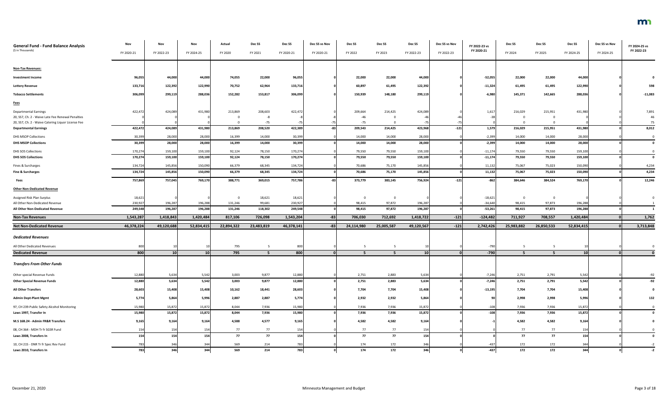| <b>General Fund - Fund Balance Analysis</b>                                       | Nov        | Nov             | Nov             | Actual     | Dec SS        | Dec SS     | Dec SS vs Nov | Dec SS         | Dec SS      | Dec SS          | Dec SS vs Nov | FY 2022-23 vs    | Dec SS                  | Dec SS         | Dec SS          | Dec SS vs Nov | FY 2024-25 vs |
|-----------------------------------------------------------------------------------|------------|-----------------|-----------------|------------|---------------|------------|---------------|----------------|-------------|-----------------|---------------|------------------|-------------------------|----------------|-----------------|---------------|---------------|
| (\$ in Thousands)                                                                 | FY 2020-21 | FY 2022-23      | FY 2024-25      | FY 2020    | FY 2021       | FY 2020-21 | FY 2020-21    | FY 2022        | FY 2023     | FY 2022-23      | FY 2022-23    | FY 2020-21       | FY 2024                 | FY 2025        | FY 2024-25      | FY 2024-25    | FY 2022-23    |
| <b>Non-Tax Revenues:</b>                                                          |            |                 |                 |            |               |            |               |                |             |                 |               |                  |                         |                |                 |               |               |
| <b>Investment Income</b>                                                          | 96,055     | 44,000          | 44,000          | 74,055     | 22,000        | 96,055     |               | 22,000         | 22,000      | 44,000          |               | $-52,055$        | 22,000                  | 22,000         | 44,000          |               |               |
| <b>Lottery Revenue</b>                                                            | 133,716    | 122,392         | 122,990         | 70,752     | 62,964        | 133,716    |               | 60,897         | 61,495      | 122,392         |               | $-11,324$        | 61,495                  | 61,495         | 122,990         |               | 598           |
| <b>Tobacco Settlements</b>                                                        | 306,099    | 299,119         | 288,036         | 152,282    | 153,817       | 306,099    |               | 150,939        | 148,180     | 299,119         |               | $-6,980$         | 145,371                 | 142,665        | 288,036         |               | $-11,083$     |
|                                                                                   |            |                 |                 |            |               |            |               |                |             |                 |               |                  |                         |                |                 |               |               |
| <b>Fees</b>                                                                       |            |                 |                 |            |               |            |               |                |             |                 |               |                  |                         |                |                 |               |               |
| <b>Departmental Earnings</b><br>20, SS7, Ch. 2 - Waive Late Fee Renewal Penalties | 422,472    | 424,089         | 431,980         | 213,869    | 208,603<br>-8 | 422,472    |               | 209,664<br>-46 | 214,425     | 424,089         |               | 1,617            | 216,029<br>- 0          | 215,951<br>- 0 | 431,980         |               | 7,891<br>46   |
| 20, SS7, Ch. 2 - Waive Catering Liquor License Fee                                |            |                 |                 |            | $-75$         |            |               | $-75$          |             |                 |               |                  |                         |                |                 |               |               |
| <b>Departmental Earnings</b>                                                      | 422,472    | 424,089         | 431,980         | 213,869    | 208,520       | 422,389    |               | 209,543        | 214,425     | 423,968         | $-121$        | 1,579            | 216,029                 | 215,951        | 431,980         |               | 8,012         |
| <b>DHS MSOP Collections</b>                                                       | 30,399     | 28,000          | 28,000          | 16,399     | 14,000        | 30,399     |               | 14,000         | 14,000      | 28,000          |               | $-2,399$         | 14,000                  | 14,000         | 28,000          |               |               |
| <b>DHS MSOP Collections</b>                                                       | 30,399     | 28,000          | 28,000          | 16,399     | 14,000        | 30,399     |               | 14,000         | 14,000      | 28,000          |               | $-2,399$         | 14,000                  | 14,000         | 28,000          |               |               |
| DHS SOS Collections                                                               | 170,274    | 159,100         | 159,100         | 92,124     | 78,150        | 170,274    |               | 79,550         | 79,550      | 159,100         |               | $-11,174$        | 79,550                  | 79,550         | 159,100         |               |               |
| <b>DHS SOS Collections</b>                                                        | 170,274    | 159,100         | 159,100         | 92,124     | 78,150        | 170,274    |               | 79,550         | 79,550      | 159,100         |               | $-11,174$        | 79,550                  | 79,550         | 159,100         |               |               |
| Fines & Surcharges                                                                | 134,724    | 145,856         | 150,090         | 66,379     | 68,345        | 134,724    |               | 70,686         | 75,170      | 145,856         |               | 11,132           | 75,067                  | 75,023         | 150,090         |               | 4,234         |
| <b>Fine &amp; Surcharges</b>                                                      | 134,724    | 145,856         | 150,090         | 66,379     | 68,345        | 134,724    |               | 70,686         | 75,170      | 145,856         |               | 11,132           | 75,067                  | 75,023         | 150,090         |               | 4,234         |
| Fees                                                                              | 757,869    | 757,045         | 769,170         | 388,771    | 369,015       | 757,786    |               | 373,779        | 383,145     | 756,924         | $-121$        | $-862$           | 384,646                 | 384,524        | 769,170         |               | 12,246        |
| <b>Other Non-Dedicated Revenue</b>                                                |            |                 |                 |            |               |            |               |                |             |                 |               |                  |                         |                |                 |               |               |
| Assigned Risk Plan Surplus                                                        | 18,621     |                 |                 |            | 18,621        | 18,621     |               | - 0            | $\mathbf 0$ |                 |               | $-18,621$        | $\overline{\mathbf{0}}$ | $\mathbf 0$    |                 |               |               |
| All Other Non-Dedicated Revenue                                                   | 230,927    | 196,287         | 196,288         | 131,246    | 99,681        | 230,927    |               | 98,415         | 97,872      | 196,287         |               | $-34,640$        | 98,415                  | 97,873         | 196,288         |               |               |
| All Other Non-Dedicated Revenue                                                   | 249,548    | 196,287         | 196,288         | 131,246    | 118,302       | 249,548    |               | 98,415         | 97,872      | 196,287         |               | $-53,261$        | 98,415                  | 97,873         | 196,288         |               |               |
| <b>Non-Tax Revenues</b>                                                           | 1,543,287  | 1,418,843       | 1,420,484       | 817,106    | 726,098       | 1,543,204  | $-83$         | 706,030        | 712,692     | 1,418,722       | $-121$        | $-124,482$       | 711,927                 | 708,557        | 1,420,484       |               | 1,762         |
| <b>Net Non-Dedicated Revenue</b>                                                  | 46,378,224 | 49,120,688      | 52,834,415      | 22,894,322 | 23,483,819    | 46,378,141 | $-83$         | 24,114,980     | 25,005,587  | 49,120,567      | $-121$        | 2,742,426        | 25,983,882              | 26,850,533     | 52,834,415      |               | 3,713,848     |
| <b>Dedicated Revenues</b>                                                         |            |                 |                 |            |               |            |               |                |             |                 |               |                  |                         |                |                 |               |               |
|                                                                                   |            |                 |                 |            |               |            |               |                |             |                 |               |                  |                         |                |                 |               |               |
| All Other Dedicated Revenues<br><b>Dedicated Revenue</b>                          | 800<br>800 | 10 <sup>1</sup> | 10 <sup>1</sup> | 795<br>795 |               | 800<br>800 |               |                |             | 10 <sup>1</sup> |               | $-790$<br>$-790$ |                         |                | 10 <sup>1</sup> |               |               |
| <b>Transfers From Other Funds</b>                                                 |            |                 |                 |            |               |            |               |                |             |                 |               |                  |                         |                |                 |               |               |
| Other special Revenue Funds                                                       | 12,880     | 5,634           | 5,542           | 3,003      | 9,877         | 12,880     |               | 2,751          | 2,883       | 5,634           |               | $-7,246$         | 2,751                   | 2,791          | 5,542           |               | $-92$         |
| <b>Other Special Revenue Funds</b>                                                | 12,880     | 5,634           | 5,542           | 3,003      | 9,877         | 12,880     |               | 2,751          | 2,883       | 5,634           |               | $-7,246$         | 2,751                   | 2,791          | 5,542           |               | $-92$         |
| <b>All Other Transfers</b>                                                        | 28,603     | 15,408          | 15,408          | 10,162     | 18,441        | 28,603     |               | 7,704          | 7,704       | 15,408          |               | $-13,195$        | 7,704                   | 7,704          | 15,408          |               |               |
| <b>Admin Dept-Plant Mgmt</b>                                                      | 5,774      | 5,864           | 5,996           | 2,887      | 2,887         | 5,774      |               | 2,932          | 2,932       | 5,864           |               |                  | 2,998                   | 2,998          | 5,996           |               | 132           |
| 97, CH 239-Public Safety Alcohol Monitoring                                       | 15,980     | 15,872          | 15,872          | 8,044      | 7,936         | 15,980     |               | 7,936          | 7,936       | 15,872          |               | $-108$           | 7,936                   | 7,936          | 15,872          |               |               |
| Laws 1997, Transfer In                                                            | 15,980     | 15,872          | 15,872          | 8,044      | 7,936         | 15,980     |               | 7,936          | 7,936       | 15,872          |               | $-108$           | 7,936                   | 7,936          | 15,872          |               |               |
| M.S 16B.24 - Admin FR&R Transfers                                                 | 9,165      | 9,164           | 9,164           | 4,588      | 4,577         | 9,165      |               | 4,582          | 4,582       | 9,164           |               |                  | 4,582                   | 4,582          | 9,164           |               |               |
| 08, CH 364 - MDH Tr fr SGSR Fund                                                  | 154        | 154             | 154             | 77         | 77            | 154        |               | 77             | 77          | 154             |               |                  | 77                      | 77             | 154             |               |               |
| Laws 2008, Transfers In                                                           | 154        | 154             | 154             | 77         | 77            | <b>154</b> |               | 77             | 77          | 154             |               |                  | 77                      | 77             | 154             |               |               |
| 10, CH 215 - DNR Tr fr Spec Rev Fund                                              |            | 34              | 344             | 569        | 214           |            |               | 174            | 172         | 346             |               | $-43$            | 172                     | 172            | 344             |               |               |
| Laws 2010, Transfers In                                                           | 783        | 346             | 344             | 569        | 214           | 783        |               | 174            | 172         | 346             |               | $-437$           | 172                     | 172            | 344             |               |               |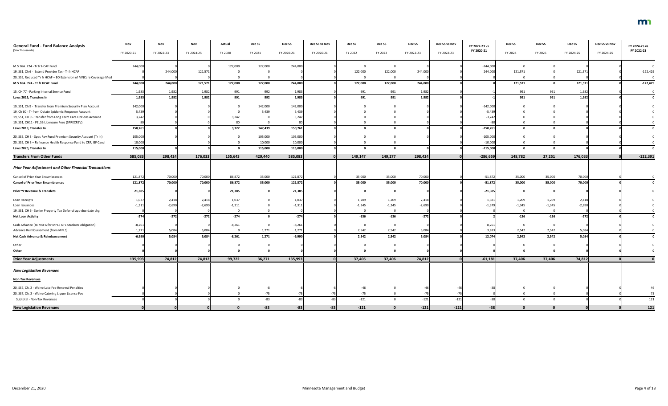| <b>General Fund - Fund Balance Analysis</b><br>(\$ in Thousands)  | Nov<br>FY 2020-21 | Nov<br>FY 2022-23 | Nov<br>FY 2024-25 | Actual<br>FY 2020 | Dec SS<br>FY 2021 | Dec SS<br>FY 2020-21 | Dec SS vs Nov<br>FY 2020-21 | Dec SS<br>FY 2022 | Dec SS<br>FY 2023 | Dec SS<br>FY 2022-23 | Dec SS vs Nov<br>FY 2022-23 | FY 2022-23 vs<br>FY 2020-21 | Dec SS<br>FY 2024 | Dec SS<br>FY 2025 | Dec SS<br>FY 2024-25 | Dec SS vs Nov<br>FY 2024-25 | FY 2024-25 vs<br>FY 2022-23 |
|-------------------------------------------------------------------|-------------------|-------------------|-------------------|-------------------|-------------------|----------------------|-----------------------------|-------------------|-------------------|----------------------|-----------------------------|-----------------------------|-------------------|-------------------|----------------------|-----------------------------|-----------------------------|
| M.S 16A. 724 - Tr fr HCAF Fund                                    | 244,000           |                   |                   | 122,000           | 122,000           | 244,000              |                             |                   | - 0               |                      |                             | $-244,000$                  | $\Omega$          |                   |                      |                             |                             |
| 19, SS1, Ch 6 - Extend Provider Tax - Tr fr HCAF                  |                   | 244,000           | 121,57            |                   |                   |                      |                             | 122,000           | 122,000           | 244,000              |                             | 244,000                     | 121,571           |                   | 121,571              |                             | $-122,429$                  |
| 20, SS5, Reduced Tr fr HCAF - EO Extension of MNCare Coverage Mod |                   |                   |                   |                   |                   |                      |                             |                   |                   |                      |                             |                             |                   |                   |                      |                             |                             |
| M.S 16A. 724 - Tr fr HCAF Fund                                    | 244,000           | 244,000           | 121,571           | 122,000           | 122,000           | 244,000              |                             | 122,000           | 122,000           | 244,000              |                             |                             | 121,571           | $\mathbf{0}$      | 121,571              |                             | $-122,429$                  |
| 15, CH 77 - Parking Internal Service Fund                         | 1,983             | 1,982             | 1,982             | 991               | 992               | 1,983                |                             | 991               | 991               | 1,982                |                             |                             | 991               | 991               | 1,982                |                             |                             |
| Laws 2015, Transfers In                                           | 1,983             | 1,982             | 1,982             | 991               | 992               | 1,983                |                             | 991               | 991               | 1,982                |                             |                             | 991               | 991               | 1,982                |                             |                             |
| 19, SS1, Ch 9 - Transfer from Premium Security Plan Account       | 142,000           |                   |                   |                   | 142,000           | 142,000              |                             |                   |                   |                      |                             | $-142,000$                  |                   |                   |                      |                             |                             |
| 19, Ch 60 - Tr from Opiate Epidemic Response Account              | 5,439             |                   |                   |                   | 5,439             | 5,439                |                             |                   |                   |                      |                             | $-5,439$                    |                   |                   |                      |                             |                             |
| 19, SS1, CH 9 - Transfer from Long Term Care Options Account      | 3,242             |                   |                   | 3,242             |                   | 3,242                |                             |                   |                   |                      |                             | $-3,242$                    |                   |                   |                      |                             |                             |
| 19, SS1, CH11 - PELSB Licensure Fees (SPRECREV)                   |                   |                   |                   | 80                |                   |                      |                             |                   |                   |                      |                             |                             |                   |                   |                      |                             |                             |
| Laws 2019, Transfer In                                            | 150,761           |                   |                   | 3,322             | 147,439           | 150,761              |                             |                   |                   |                      |                             | $-150,761$                  | $\mathbf 0$       |                   |                      |                             |                             |
| 20, SS5, CH 3 - Spec Rev Fund Premium Security Account (Tr In)    | 105,000           |                   |                   |                   | 105,000           | 105,000              |                             |                   |                   |                      |                             | $-105,000$                  |                   |                   |                      |                             |                             |
| 20, SS5, CH 3 - Refinance Health Response Fund to CRF, GF Cancl   | 10,000            |                   |                   |                   | 10,000            | 10,000               |                             |                   |                   |                      |                             | $-10,000$                   |                   |                   |                      |                             |                             |
| Laws 2020, Transfer In                                            | 115,000           |                   |                   |                   | 115,000           | 115,000              |                             |                   |                   |                      |                             | $-115,000$                  | - 0               |                   |                      |                             |                             |
| <b>Transfers From Other Funds</b>                                 | 585,083           | 298,424           | 176,033           | 155,643           | 429,440           | 585,083              |                             | 149,147           | 149,277           | 298,424              |                             | $-286,659$                  | 148,782           | 27,251            | 176,033              |                             | $-122,391$                  |
| <b>Prior Year Adjustment and Other Financial Transactions</b>     |                   |                   |                   |                   |                   |                      |                             |                   |                   |                      |                             |                             |                   |                   |                      |                             |                             |
| Cancel of Prior Year Encumbrances                                 | 121,872           | 70,000            | 70,000            | 86,872            | 35,000            | 121,872              |                             | 35,000            | 35,000            | 70,000               |                             | $-51,872$                   | 35,000            | 35,000            | 70,000               |                             |                             |
| <b>Cancel of Prior Year Encumbrances</b>                          | 121,872           | 70,000            | 70,000            | 86,872            | 35,000            | 121,872              |                             | 35,000            | 35,000            | 70,000               |                             | $-51,872$                   | 35,000            | 35,000            | 70,000               |                             |                             |
| <b>Prior Yr Revenue &amp; Transfers</b>                           | 21,385            |                   |                   | 21,385            |                   | 21,385               |                             |                   |                   |                      |                             | $-21,385$                   | - 0               |                   |                      |                             |                             |
| Loan Receipts                                                     | 1,037             | 2,418             | 2,418             | 1,037             |                   | 1,037                |                             | 1,209             | 1,209             | 2,418                |                             | 1,381                       | 1,209             | 1,209             | 2,418                |                             |                             |
| Loan Issuances                                                    | $-1,31.$          | $-2,690$          | $-2,690$          | $-1,311$          |                   | $-1,31$              |                             | $-1,345$          | $-1,345$          | $-2,690$             |                             | $-1,379$                    | $-1,345$          | $-1,345$          | $-2,690$             |                             |                             |
| 19, SS1, CH 6 - Senior Property Tax Deferral app due date chg     |                   |                   |                   |                   |                   |                      |                             |                   |                   |                      |                             |                             |                   |                   |                      |                             |                             |
| <b>Net Loan Activity</b>                                          | $-274$            | $-272$            | $-272$            | $-274$            |                   | $-274$               |                             | $-136$            | $-136$            | $-272$               |                             |                             | $-136$            | $-136$            | $-272$               |                             |                             |
| Cash Advance (to MSFA for MPLS NFL Stadium Obligation)            | $-8,261$          |                   |                   | $-8,261$          |                   | $-8,261$             |                             |                   | $\overline{0}$    |                      |                             | 8,261                       | $\overline{0}$    | $\mathbf 0$       |                      |                             |                             |
| Advance Reimbursement (from MPLS)                                 | 1,271             | 5,084             | 5,084             |                   | 1,271             | 1,271                |                             | 2,542             | 2,542             | 5,084                |                             | 3,813                       | 2,542             | 2,542             | 5,084                |                             |                             |
| Net Cash Advance & Reimbursement                                  | $-6,990$          | 5,084             | 5,084             | $-8,261$          | 1,271             | $-6,990$             |                             | 2,542             | 2,542             | 5,084                |                             | 12,074                      | 2,542             | 2,542             | 5,084                |                             |                             |
| Other                                                             |                   |                   |                   |                   |                   |                      |                             |                   | $\Omega$          |                      |                             |                             | $\mathbf 0$       | $\mathbf 0$       |                      |                             |                             |
| Other                                                             |                   |                   |                   |                   |                   |                      |                             |                   |                   |                      |                             |                             | $\mathbf 0$       | $\mathbf{0}$      |                      |                             |                             |
| <b>Prior Year Adjustments</b>                                     | 135,993           | 74,812            | 74,812            | 99,722            | 36,271            | 135,993              |                             | 37,406            | 37,406            | 74,812               |                             | $-61,181$                   | 37,406            | 37,406            | 74,812               |                             |                             |
| <b>New Legislation Revenues</b>                                   |                   |                   |                   |                   |                   |                      |                             |                   |                   |                      |                             |                             |                   |                   |                      |                             |                             |
| <b>Non-Tax Revenues</b>                                           |                   |                   |                   |                   |                   |                      |                             |                   |                   |                      |                             |                             |                   |                   |                      |                             |                             |
| 20, SS7, Ch. 2 - Waive Late Fee Renewal Penalties                 |                   |                   |                   |                   | -8                |                      |                             | $-46$             |                   |                      |                             |                             | $\mathbf 0$       | 0                 |                      |                             |                             |
| 20, SS7, Ch. 2 - Waive Catering Liquor License Fee                |                   |                   |                   |                   | $-75$             |                      |                             | $-75$             |                   | $-75$                |                             |                             |                   |                   |                      |                             | 75                          |
| Subtotal - Non-Tax Revenues                                       |                   |                   |                   |                   | $-83$             |                      |                             | $-121$            | $\Omega$          | $-121$               | $-121$                      |                             | $\mathbf 0$       | $\Omega$          |                      |                             | 121                         |
| <b>New Legislation Revenues</b>                                   |                   |                   |                   | n.                | $-83$             | -83                  | $-83$                       | $-121$            |                   | $-121$               | $-121$                      | $-38$                       |                   |                   |                      |                             | 121                         |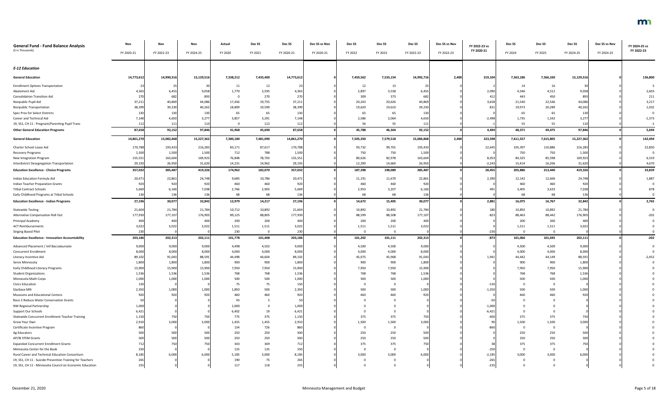| <b>General Fund - Fund Balance Analysis</b><br>(\$ in Thousands) | Nov<br>FY 2020-21 | Nov<br>FY 2022-23 | Nov<br>FY 2024-25 | Actual<br>FY 2020 | Dec SS<br>FY 2021 | Dec SS<br>FY 2020-21 | Dec SS vs Nov<br>FY 2020-21 | Dec SS<br>FY 2022 | Dec SS<br>FY 2023 | Dec <sub>SS</sub><br>FY 2022-23 | Dec SS vs Nov<br>FY 2022-23 | FY 2022-23 vs<br>FY 2020-21 | Dec SS<br>FY 2024 | Dec SS<br>FY 2025 | Dec SS<br>FY 2024-25 | Dec SS vs Nov<br>FY 2024-25 | FY 2024-25 vs<br>FY 2022-23 |
|------------------------------------------------------------------|-------------------|-------------------|-------------------|-------------------|-------------------|----------------------|-----------------------------|-------------------|-------------------|---------------------------------|-----------------------------|-----------------------------|-------------------|-------------------|----------------------|-----------------------------|-----------------------------|
|                                                                  |                   |                   |                   |                   |                   |                      |                             |                   |                   |                                 |                             |                             |                   |                   |                      |                             |                             |
| <b>E-12 Education</b>                                            |                   |                   |                   |                   |                   |                      |                             |                   |                   |                                 |                             |                             |                   |                   |                      |                             |                             |
| <b>General Education</b>                                         | 14,773,612        | 14,990,316        | 15,129,516        | 7,338,212         | 7,435,400         | 14,773,612           |                             | 7,459,562         | 7,533,154         | 14,992,716                      | 2,400                       | 219,104                     | 7,563,186         | 7,566,330         | 15,129,516           |                             | 136,800                     |
| <b>Enrollment Options Transportation</b>                         |                   |                   | 30                | 11                | 12                |                      |                             | 12                | 13                | 25                              |                             |                             | 14                | 16                |                      |                             |                             |
| Abatement Aid                                                    | 4,365             | 6,455             | 9,058             | 1,770             | 2,595             | 4,365                |                             | 2,897             | 3,558             | 6,455                           |                             | 2,090                       | 4,546             | 4,512             | 9,058                |                             | 2,603                       |
| <b>Consolidation Transition Aid</b>                              | 270               | 682               | 893               | - 0               | 270               | 270                  |                             | 309               | 373               | 682                             |                             | 41                          | 443               | 450               | 893                  |                             | 211                         |
| Nonpublic Pupil Aid                                              | 37,211            | 40,869            | 44,086            | 17,456            | 19,755            | 37,211               |                             | 20,243            | 20,626            | 40,869                          |                             | 3,658                       | 21,540            | 22,546            | 44,086               |                             | 3,217                       |
| Nonpublic Transportation                                         | 38,399            | 39,230            | 40,262            | 18,809            | 19,590            | 38,399               |                             | 19,620            | 19,610            | 39,230                          |                             | 831                         | 19,973            | 20,289            | 40,262               |                             | 1,032                       |
| Spec Prov for Select Districts                                   | 130               | 130               | 130               | 65                | 65                | 130                  |                             | 65                | 65                | 130                             |                             |                             | 65                | 65                | 130                  |                             |                             |
| Career and Technical Aid                                         | 7,148             | 4,650             | 3,277             | 3,857             | 3,291             | 7,148                |                             | 2,586             | 2,064             | 4,650                           |                             | $-2,498$                    | 1,735             | 1,542             | 3,277                |                             | $-1,373$                    |
| 19, SS1, CH 11 - Pregnant/Parenting Pupil Trans                  | 112               | 111               | 110               | $\overline{0}$    | 112               | 112                  |                             | 56                | 55                | 111                             |                             |                             | 55                | 55                | 110                  |                             | $-1$                        |
| <b>Other General Education Programs</b>                          | 87,658            | 92,152            | 97,846            | 41,968            | 45,690            | 87,658               |                             | 45,788            | 46,364            | 92,152                          |                             | 4,494                       | 48,371            | 49,475            | 97,846               |                             | 5,694                       |
| <b>General Education</b>                                         | 14,861,270        | 15,082,468        | 15,227,362        | 7,380,180         | 7,481,090         | 14,861,270           |                             | 7,505,350         | 7,579,518         | 15,084,868                      | 2,400                       | 223,598                     | 7,611,557         | 7,615,805         | 15,227,362           |                             | 142,494                     |
| Charter School Lease Aid                                         | 170,788           | 193,433           | 216,283           | 83,171            | 87,617            | 170,788              |                             | 93,732            | 99,701            | 193,433                         |                             | 22,645                      | 105,397           | 110,886           | 216,283              |                             | 22,850                      |
| <b>Recovery Programs</b>                                         | 1,500             | 1,500             | 1,500             | 712               | 788               | 1,500                |                             | 750               | 750               | 1,500                           |                             |                             | 750               | 750               | 1,500                |                             |                             |
| New Integration Program                                          | 155,551           | 163,604           | 169,923           | 76,848            | 78,703            | 155,551              |                             | 80,626            | 82,978            | 163,604                         |                             | 8,053                       | 84,325            | 85,598            | 169,923              |                             | 6,319                       |
| Interdistrict Desegregation Transportation                       | 29,193            | 26,950            | 31,620            | 14,231            | 14,962            | 29,193               |                             | 12,290            | 14,660            | 26,950                          |                             | $-2,243$                    | 15,414            | 16,206            | 31,620               |                             | 4,670                       |
| <b>Education Excellence - Choice Programs</b>                    | 357,032           | 385,487           | 419,326           | 174,962           | 182,070           | 357,032              |                             | 187,398           | 198,089           | 385,487                         |                             | 28,455                      | 205,886           | 213,440           | 419,326              |                             | 33,839                      |
| Indian Education Formula Aid                                     | 20,471            | 22,861            | 24,748            | 9,685             | 10,786            | 20,471               |                             | 11,191            | 11,670            | 22,861                          |                             | 2,390                       | 12,142            | 12,606            | 24,748               |                             | 1,887                       |
| <b>Indian Teacher Preparation Grants</b>                         | 920               | 920               | 920               | 460               | 460               | 920                  |                             | 460               | 460               | 920                             |                             |                             | 460               | 460               | 920                  |                             |                             |
| <b>Tribal Contract Schools</b>                                   | 5,669             | 6,160             | 7,038             | 2,766             | 2,903             | 5,669                |                             | 2,953             | 3,207             | 6,160                           |                             | 491                         | 3,405             | 3,633             | 7,038                |                             | 878                         |
| Early Childhood Programs at Tribal Schools                       |                   | 136               | 136               | 68                | 68                | 136                  |                             | 68                | 68                | 136                             |                             |                             | 68                | 68                | 136                  |                             |                             |
| <b>Education Excellence - Indian Programs</b>                    | 27,196            | 30,077            | 32,842            | 12,979            | 14,217            | 27,196               |                             | 14,672            | 15,405            | 30,077                          |                             | 2,881                       | 16,075            | 16,767            | 32,842               |                             | 2,765                       |
| <b>Statewide Testing</b>                                         | 21,604            | 21,784            | 21,784            | 10,712            | 10,892            | 21,604               |                             | 10,892            | 10,892            | 21,784                          |                             | 180                         | 10,892            | 10,892            | 21,784               |                             | $\Omega$                    |
| Alternative Compensation Roll Out                                | 177,930           | 177,107           | 176,905           | 89,125            | 88,805            | 177,930              |                             | 88,599            | 88,508            | 177,107                         |                             | $-823$                      | 88,463            | 88,442            | 176,905              |                             | $-202$                      |
| Principal Academy                                                |                   | 40                | 400               | 200               | 200               | 400                  |                             | 200               | 200               | 40C                             |                             |                             | 200               | 200               | 400                  |                             |                             |
| <b>ACT Reimbursements</b>                                        | 3,022             | 3,022             | 3,022             | 1,511             | 1,511             | 3,022                |                             | 1,511             | 1,511             | 3,022                           |                             |                             | 1,511             | 1,511             | 3,022                |                             |                             |
| <b>Singing Based Pilot</b>                                       | 230               |                   |                   | 230               | $\overline{0}$    | 230                  |                             |                   | $\Omega$          |                                 |                             | $-230$                      |                   |                   |                      |                             |                             |
| <b>Education Excellence - Innovation Accountability</b>          | 203,186           | 202,313           | 202,111           | 101,778           | 101,408           | 203,186              |                             | 101,202           | 101,111           | 202,313                         |                             | $-873$                      | 101,066           | 101,045           | 202,111              |                             | $-202$                      |
| Advanced Placement / Intl Baccalaureate                          | 9,000             | 9,000             | 9,000             | 4,498             | 4,502             | 9,000                |                             | 4,500             | 4,500             | 9,000                           |                             |                             | 4,500             | 4,500             | 9,000                |                             |                             |
| <b>Concurrent Enrollment</b>                                     | 8,000             | 8,000             | 8,000             | 4,000             | 4,000             | 8,000                |                             | 4,000             | 4,000             | 8,000                           |                             |                             | 4,000             | 4,000             | 8,000                |                             |                             |
| Literacy Incentive Aid                                           | 89,102            | 91,043            | 88,591            | 44,498            | 44,604            | 89,102               |                             | 45,075            | 45,968            | 91,043                          |                             | 1,941                       | 44,442            | 44,149            | 88,591               |                             | $-2,452$                    |
| Serve Minnesota                                                  | 1,800             | 1,800             | 1,800             | 900               | 900               | 1,800                |                             | 900               | 900               | 1,800                           |                             |                             | 900               | 900               | 1,800                |                             |                             |
| Early Childhood Literacy Programs                                | 15,900            | 15,900            | 15,900            | 7,950             | 7,950             | 15,900               |                             | 7,950             | 7,950             | 15,900                          |                             |                             | 7,950             | 7,950             | 15,900               |                             |                             |
| <b>Student Organizations</b>                                     | 1,536             | 1,536             | 1,536             | 768               | 768               | 1,536                |                             | 768               | 768               | 1,536                           |                             |                             | 768               | 768               | 1,536                |                             |                             |
| Minnesota Math Corps                                             | 1,000             | 1,000             | 1,000             | 500               | 500               | 1,000                |                             | 500               | 500               | 1,000                           |                             |                             | 500               | 500               | 1,000                |                             |                             |
| <b>Civics Education</b>                                          |                   |                   |                   | 75                | 75                | 150                  |                             |                   |                   |                                 |                             | $-15$                       |                   |                   |                      |                             |                             |
| Starbase MN<br>Museums and Educational Centers                   | 2,350<br>920      | 1,000<br>920      | 1,000<br>920      | 1,850             | 500<br>460        | 2,350                |                             | 500<br>460        | 500<br>460        | 1,000<br>920                    |                             | $-1,350$                    | 500               | 500<br>460        | 1,000<br>920         |                             |                             |
| Race 2 Reduce Water Conservation Grants                          |                   |                   |                   | 460<br>45         |                   |                      |                             |                   |                   |                                 |                             |                             |                   |                   |                      |                             |                             |
| NW Regional Partnership                                          | 1,000             |                   |                   | 1,000             |                   | 1,000                |                             |                   |                   |                                 |                             | $-1,000$                    |                   |                   |                      |                             |                             |
| Support Our Schools                                              | 6,42              |                   |                   | 6,402             | 19                | 6,421                |                             |                   |                   |                                 |                             | $-6,42$                     |                   |                   |                      |                             |                             |
| Statewide Concurrent Enrollment Teacher Training                 | 1,150             | 750               | 750               | 775               | 375               | 1,150                |                             | 375               | 375               | 750                             |                             | $-40$                       | 375               | 375               | 750                  |                             |                             |
| Grow Your Own                                                    | 2,910             | 3,000             | 3,000             | 1,455             | 1,455             | 2,910                |                             | 1,500             | 1,500             | 3,000                           |                             |                             | 1,500             | 1,500             | 3,000                |                             |                             |
| Certificate Incentive Program                                    |                   |                   |                   | 134               | 726               |                      |                             |                   |                   |                                 |                             |                             |                   |                   |                      |                             |                             |
| Ag Educators                                                     | 500               | 500               | 500               | 250               | 250               | 500                  |                             | 250               | 250               | 500                             |                             |                             | 250               | 250               | 500                  |                             |                             |
| AP/IB STEM Grants                                                |                   | 500               | 500               | $250\,$           | 250               | 500                  |                             | 250               | 250               | 500                             |                             |                             | 250               | 250               | 500                  |                             |                             |
| <b>Expanded Concurrent Enrollment Grants</b>                     |                   | 75                |                   | 343               | 369               |                      |                             | 375               | 375               | 75C                             |                             |                             | 375               | 375               | 750                  |                             |                             |
| Minnesota Center for the Book                                    | 250               |                   |                   | 125               | 125               | 250                  |                             |                   |                   |                                 |                             | $-250$                      |                   |                   |                      |                             |                             |
| Rural Career and Technical Education Consortium                  | 8,185             | 6,000             | 6,000             | 5,185             | 3,000             | 8,185                |                             | 3,000             | 3,000             | 6,000                           |                             | $-2,185$                    | 3,000             | 3,000             | 6,000                |                             |                             |
| 19, SS1, CH 11 - Suicide Prevention Training for Teachers        |                   |                   |                   | 190               | 75                | 265                  |                             |                   |                   |                                 |                             | $-26!$                      |                   |                   |                      |                             |                             |
| 19, SS1, CH 11 - Minnesota Council on Economic Education         | 235               |                   |                   | 117               | 118               | 235                  |                             |                   |                   |                                 |                             | $-23!$                      |                   |                   |                      |                             |                             |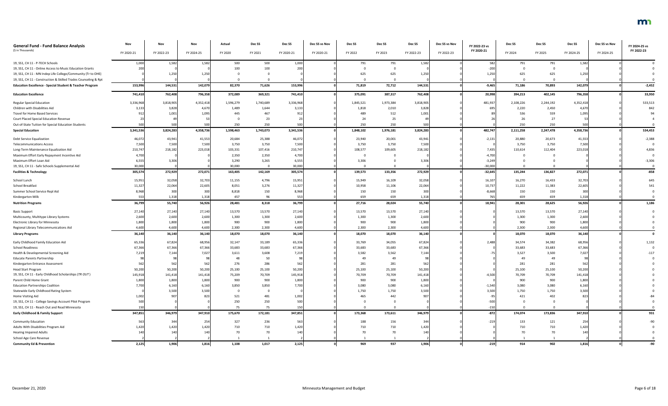| <b>General Fund - Fund Balance Analysis</b>                         | Nov        | Nov        | Nov        | Actual    | Dec SS    | Dec SS     | Dec SS vs Nov | Dec <sub>SS</sub> | Dec <sub>SS</sub> | Dec SS     | Dec SS vs Nov | FY 2022-23 vs | Dec SS    | Dec SS    | Dec SS     | Dec SS vs Nov | FY 2024-25 vs |
|---------------------------------------------------------------------|------------|------------|------------|-----------|-----------|------------|---------------|-------------------|-------------------|------------|---------------|---------------|-----------|-----------|------------|---------------|---------------|
| (\$ in Thousands)                                                   | FY 2020-21 | FY 2022-23 | FY 2024-25 | FY 2020   | FY 2021   | FY 2020-21 | FY 2020-21    | FY 2022           | FY 2023           | FY 2022-23 | FY 2022-23    | FY 2020-21    | FY 2024   | FY 2025   | FY 2024-25 | FY 2024-25    | FY 2022-23    |
| 19, SS1, CH 11 - P-TECH Schools                                     | 1,000      | 1,582      | 1,582      | 500       | 500       | 1,000      |               | 791               | 791               | 1,582      |               | 582           | 791       | 791       | 1,582      |               |               |
| 19, SS1, CH 11 - Online Access to Music Education Grants            | 200        |            |            | 100       | 100       |            |               |                   |                   |            |               | $-200$        |           |           |            |               |               |
| 19, SS1, CH 11 - MN Indep Life College/Community (Tr to OHE)        |            | 1,250      | 1,250      |           |           |            |               | 625               | 625               | 1,250      |               | 1,250         | 625       | 625       | 1,250      |               |               |
| 19, SS1, CH 11 - Construction & Skilled Trades Counseling & Rpt     |            |            |            |           |           |            |               |                   | $\Omega$          |            |               |               |           | $\Omega$  |            |               |               |
| <b>Education Excellence - Special Student &amp; Teacher Program</b> | 153,996    | 144,531    | 142,079    | 82,370    | 71,626    | 153,996    |               | 71,819            | 72,712            | 144,531    |               | $-9,465$      | 71,186    | 70,893    | 142,079    |               | $-2,452$      |
| <b>Education Excellence</b>                                         | 741,410    | 762,408    | 796,358    | 372,089   | 369,321   | 741,410    |               | 375,091           | 387,317           | 762,408    |               | 20,998        | 394,213   | 402,145   | 796,358    |               | 33,950        |
| <b>Regular Special Education</b>                                    | 3,336,968  | 3,818,905  | 4,352,418  | 1,596,279 | 1,740,689 | 3,336,968  |               | 1,845,521         | 1,973,384         | 3,818,905  |               | 481,937       | 2,108,226 | 2,244,192 | 4,352,418  |               | 533,513       |
| Children with Disabilities Aid                                      | 3,133      | 3,828      | 4,670      | 1,489     | 1,644     | 3,133      |               | 1,818             | 2,010             | 3,828      |               |               | 2,220     | 2,450     | 4,670      |               | 842           |
| <b>Travel for Home Based Services</b>                               |            | 1,001      | 1,095      | 445       | 467       |            |               | 489               | 512               | 1,001      |               |               | 536       | 559       | 1,095      |               |               |
| Court Placed Special Education Revenue                              |            |            |            |           | 23        |            |               | 24                | 25                |            |               |               | 26        | 27        |            |               |               |
| Out-of-State Tuition for Special Education Students                 | 500        | 500        | 500        | 250       | 250       | 500        |               | 250               | 250               | 500        |               |               | 250       | 250       | 500        |               |               |
| <b>Special Education</b>                                            | 3,341,536  | 3,824,283  | 4,358,736  | 1,598,463 | 1,743,073 | 3,341,536  |               | 1,848,102         | 1,976,181         | 3,824,283  |               | 482,747       | 2,111,258 | 2,247,478 | 4,358,736  |               | 534,453       |
| Debt Service Equalization                                           | 46,072     | 43,941     | 41,553     | 20,684    | 25,388    | 46,072     |               | 23,940            | 20,001            | 43,94      |               | $-2,131$      | 20,880    | 20,673    | 41,553     |               | $-2,388$      |
| <b>Telecommunications Access</b>                                    | 7,500      | 7,500      | 7,500      | 3,750     | 3,750     | 7,500      |               | 3,750             | 3,750             | 7,500      |               |               | 3,750     | 3,750     | 7,500      |               |               |
| Long-Term Maintenance Equalization Aid                              | 210,747    | 218,182    | 223,018    | 103,331   | 107,416   | 210,747    |               | 108,577           | 109,605           | 218,18     |               | 7,435         | 110,614   | 112,404   | 223,018    |               | 4.836         |
| Maximum Effort Early Repayment Incentive Aid                        | 4,700      |            |            | 2,350     | 2,350     | 4,700      |               |                   |                   |            |               | $-4.700$      |           |           |            |               |               |
| Maximum Effort Loan Aid                                             | 6,555      | 3,306      |            | 3,290     | 3,265     | 6,555      |               | 3,306             |                   | 3,306      |               | $-3,249$      |           |           |            |               | $-3,306$      |
| 19, SS1, CH 11 - Safe Schools Supplemental Aid                      | 30,000     |            |            | 30,000    |           | 30,000     |               |                   |                   |            |               | $-30,000$     |           |           |            |               |               |
| <b>Facilities &amp; Technology</b>                                  | 305,574    | 272,929    | 272,071    | 163,405   | 142,169   | 305,574    |               | 139,573           | 133,356           | 272,929    |               | $-32,645$     | 135,244   | 136,827   | 272,071    |               | $-858$        |
| School Lunch                                                        | 15,951     | 32,058     | 32,703     | 11,155    | 4,796     | 15,951     |               | 15,949            | 16,109            | 32,058     |               | 16,107        | 16,270    | 16,433    | 32,703     |               | 645           |
| School Breakfast                                                    | 11,327     | 22,064     | 22,605     | 8,051     | 3,276     | 11,327     |               | 10,958            | 11,106            | 22,064     |               | 10,737        | 11,222    | 11,383    | 22,605     |               |               |
| Summer School Service Repl Aid                                      | 8,968      | 300        | 300        | 8,818     | 150       | 8,968      |               | 150               | 150               | 300        |               | $-8,668$      | 150       | 150       | 300        |               |               |
| Kindergarten Milk                                                   | 553        | 1,318      | 1,318      | 457       | 96        | 55         |               | 659               | 659               | 1,318      |               | 765           | 659       | 659       | 1,318      |               |               |
| <b>Nutrition Programs</b>                                           | 36,799     | 55,740     | 56,926     | 28,481    | 8,318     | 36,799     |               | 27,716            | 28,024            | 55,740     |               | 18,941        | 28,301    | 28,625    | 56,926     |               | 1,186         |
| <b>Basic Support</b>                                                | 27,140     | 27,140     | 27,140     | 13,570    | 13,570    | 27,140     |               | 13,570            | 13,570            | 27,140     |               |               | 13,570    | 13,570    | 27,140     |               |               |
| Multicounty, Multitype Library Systems                              | 2,600      | 2,600      | 2,600      | 1,300     | 1,300     | 2,600      |               | 1,300             | 1,300             | 2,600      |               |               | 1,300     | 1,300     | 2,600      |               |               |
| <b>Electronic Library for Minnesota</b>                             | 1,800      | 1,800      | 1,800      | 900       | 900       | 1,800      |               | 900               | 900               | 1,800      |               |               | 900       | 900       | 1,800      |               |               |
| Regional Library Telecommunications Aid                             | 4,600      | 4,600      | 4,600      | 2,300     | 2,300     | 4,600      |               | 2,300             | 2,300             | 4,600      |               |               | 2,300     | 2,300     | 4,600      |               |               |
| <b>Library Programs</b>                                             | 36,140     | 36,140     | 36,140     | 18,070    | 18,070    | 36,140     |               | 18,070            | 18,070            | 36,140     |               |               | 18,070    | 18,070    | 36,140     |               |               |
| Early Childhood Family Education Aid                                | 65,336     | 67,824     | 68,956     | 32,147    | 33,189    | 65,336     |               | 33,769            | 34,055            | 67,824     |               | 2,488         | 34,574    | 34,382    | 68,956     |               | 1,132         |
| <b>School Readiness</b>                                             | 67,366     | 67,366     | 67,366     | 33,683    | 33,683    | 67,366     |               | 33,683            | 33,683            | 67,36      |               |               | 33,683    | 33,683    | 67,366     |               |               |
| Health & Developmental Screening Aid                                | 7,219      | 7,144      | 7,027      | 3,611     | 3,608     | 7,219      |               | 3,582             | 3,562             | 7,144      |               |               | 3,527     | 3,500     | 7,027      |               | $-117$        |
| <b>Educate Parents Partnership</b>                                  |            |            |            | 48        | 50        |            |               | -49               | 49                | 98         |               |               | -49       | 49        |            |               |               |
| Kindergarten Entrance Assessment                                    | 562        | 562        | 562        | 276       | 286       |            |               | 281               | 281               | 562        |               |               | 281       | 281       | 562        |               |               |
| <b>Head Start Program</b>                                           | 50,200     | 50,200     | 50,200     | 25,100    | 25,100    | 50,200     |               | 25,100            | 25,100            | 50,200     |               |               | 25,100    | 25,100    | 50,200     |               |               |
| 19, SS1, CH 11 - Early Childhood Scholarships (TR OUT)              | 145,918    | 141,418    | 141,418    | 75,209    | 70,709    | 145,918    |               | 70,709            | 70,709            | 141,41     |               | $-4,500$      | 70,709    | 70,709    | 141,418    |               |               |
| Parent Child Home Grant                                             | 1,800      | 1,800      | 1,800      | 900       | 900       | 1,800      |               | 900               | 900               | 1,800      |               |               | 900       | 900       | 1,800      |               |               |
| <b>Education Partnerships Coalition</b>                             | 7,700      | 6,160      | 6,160      | 3,850     | 3,850     | 7,700      |               | 3,080             | 3,080             | 6,160      |               | $-1,540$      | 3,080     | 3,080     | 6,160      |               |               |
| Statewide Early Childhood Rating System                             |            | 3,500      | 3,500      |           |           |            |               | 1,750             | 1,750             | 3,500      |               | 3,500         | 1,750     | 1,750     | 3,500      |               |               |
| Home Visiting Aid                                                   | 1,002      | 907        | 823        | 521       | 481       | 1,002      |               | 465               | 442               | 907        |               |               | 421       | 402       | 823        |               |               |
| 19, SS1, CH 11 - College Savings Account Pilot Program              | 500        |            |            | 250       | 250       | 50         |               |                   |                   |            |               | $-500$        |           |           |            |               |               |
| 19, SS1, CH 11 - Reach Out and Read Minnesota                       | 150        |            |            | 75        | 75        |            |               |                   |                   |            |               | $-150$        |           |           |            |               |               |
| <b>Early Childhood &amp; Family Support</b>                         | 347,851    | 346,979    | 347,910    | 175,670   | 172,181   | 347,851    |               | 173,368           | 173,611           | 346,979    |               | $-872$        | 174,074   | 173,836   | 347,910    |               | 931           |
| <b>Community Education</b>                                          | 563        | 344        | 254        | 327       | 236       | 56         |               | 188               | 156               | 344        |               | $-219$        | 133       | 121       | 254        |               |               |
| Adults With Disabilities Program Aid                                | 1,420      | 1,420      | 1,420      | 710       | 710       | 1,420      |               | 710               | 710               | 1,420      |               |               | 710       | 710       | 1,420      |               |               |
| <b>Hearing Impaired Adults</b>                                      |            | 140        |            | 70        | 70        |            |               | 70                | 70                | 140        |               |               | 70        | 70        | 140        |               |               |
| School Age Care Revenue                                             |            |            |            |           |           |            |               |                   |                   |            |               |               |           |           |            |               |               |
| <b>Community Ed &amp; Prevention</b>                                | 2,125      | 1,906      | 1,816      | 1,108     | 1,017     | 2,125      |               | 969               | 937               | 1,906      |               | $-219$        | 914       | 902       | 1,816      |               | $-90$         |

### m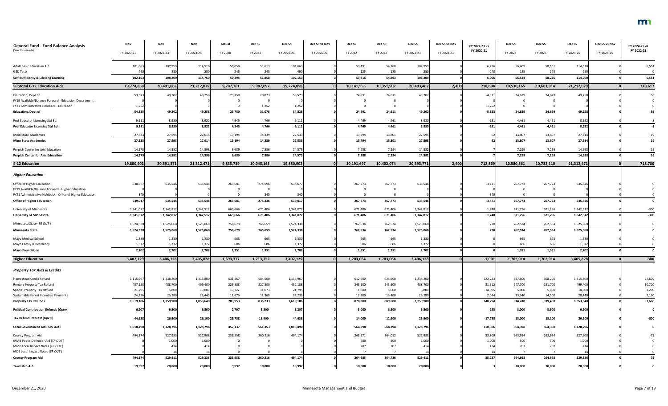| <b>General Fund - Fund Balance Analysis</b>               | Nov        | Nov        | Nov        | Actual    | Dec <sub>SS</sub> | Dec SS          | Dec SS vs Nov | Dec SS     | Dec SS     | Dec SS     | Dec SS vs Nov | FY 2022-23 vs        | Dec SS     | Dec SS             | Dec SS     | Dec SS vs Nov | FY 2024-25 vs |
|-----------------------------------------------------------|------------|------------|------------|-----------|-------------------|-----------------|---------------|------------|------------|------------|---------------|----------------------|------------|--------------------|------------|---------------|---------------|
| (\$ in Thousands)                                         | FY 2020-21 | FY 2022-23 | FY 2024-25 | FY 2020   | FY 2021           | FY 2020-21      | FY 2020-21    | FY 2022    | FY 2023    | FY 2022-23 | FY 2022-23    | FY 2020-21           | FY 2024    | FY 2025            | FY 2024-25 | FY 2024-25    | FY 2022-23    |
| <b>Adult Basic Education Aid</b>                          | 101,663    | 107,959    | 114,510    | 50,050    | 51,613            | 101,663         |               | 53,191     | 54,768     | 107,959    |               | 6,296                | 56,409     | 58,101             | 114,510    |               | 6,551         |
| <b>GED Tests</b>                                          | 490        | 250        | 250        | 245       | 245               |                 |               | 125        | 125        | 250        |               | $-240$               | 125        | 125                | 250        |               |               |
| Self-Sufficiency & Lifelong Learning                      | 102,153    | 108,209    | 114,760    | 50,295    | 51,858            | 102,153         |               | 53,316     | 54,893     | 108,209    |               | 6,056                | 56,534     | 58,226             | 114,760    |               | 6,551         |
| <b>Subtotal E-12 Education Aids</b>                       | 19,774,858 | 20,491,062 | 21,212,079 | 9,787,761 | 9,987,097         | 19,774,858      |               | 10,141,555 | 10,351,907 | 20,493,462 | 2,400         | 718,604              | 10,530,165 | 10,681,914         | 21,212,079 |               | 718,617       |
| Education, Dept of                                        | 53,573     | 49,202     | 49,258     | 23,750    | 29,823            | 53,573          |               | 24,591     | 24,611     | 49,202     |               | $-4,371$             | 24,629     | 24,629             | 49,258     |               | 56            |
| FY19 Available/Balance Forward - Education Department     |            |            |            |           |                   |                 |               |            |            |            |               |                      |            |                    |            |               |               |
| FY21 Administrative Holdback - Education                  | 1,252      | 49,202     | 49,258     |           | 1,252<br>31,075   | 1,252<br>54,825 |               |            |            | 49,202     |               | $-1,252$<br>$-5,623$ | 24,629     | $\Omega$<br>24,629 | 49,258     |               | 56            |
| <b>Education, Dept of</b>                                 | 54,825     |            |            | 23,750    |                   |                 |               | 24,591     | 24,611     |            |               |                      |            |                    |            |               |               |
| Prof Educator Licensing Std Bd.                           | 9,111      | 8,930      | 8,922      | 4,345     | 4,766             | 9,111           |               | 4,469      | 4,461      | 8,930      |               | $-181$               | 4,461      | 4,461              | 8,922      |               |               |
| Prof Educator Licensing Std Bd.                           | 9,111      | 8,930      | 8,922      | 4,345     | 4,766             | 9,111           |               | 4,469      | 4,461      | 8,930      |               | $-181$               | 4,461      | 4,461              | 8,922      |               |               |
| Minn State Academies                                      | 27,533     | 27,595     | 27,614     | 13,194    | 14,339            | 27,533          |               | 13,794     | 13,801     | 27,595     |               |                      | 13,807     | 13,807             | 27,614     |               | 19            |
| <b>Minn State Academies</b>                               | 27,533     | 27,595     | 27,614     | 13,194    | 14,339            | 27,533          |               | 13,794     | 13,801     | 27,595     |               |                      | 13,807     | 13,807             | 27,614     |               | 19            |
| Perpich Center for Arts Education                         | 14,575     | 14,582     | 14,598     | 6,689     | 7,886             | 14,575          |               | 7,288      | 7,294      | 14,582     |               |                      | 7,299      | 7,299              | 14,598     |               | 16            |
| <b>Perpich Center for Arts Education</b>                  | 14,575     | 14,582     | 14,598     | 6,689     | 7,886             | 14,575          |               | 7,288      | 7,294      | 14,582     |               |                      | 7,299      | 7,299              | 14,598     |               | 16            |
| <b>E-12 Education</b>                                     | 19,880,902 | 20,591,371 | 21,312,471 | 9,835,739 | 10,045,163        | 19,880,902      |               | 10,191,697 | 10,402,074 | 20,593,771 | 2,400         | 712,869              | 10,580,361 | 10,732,110         | 21,312,471 |               | 718,700       |
| <b>Higher Education</b>                                   |            |            |            |           |                   |                 |               |            |            |            |               |                      |            |                    |            |               |               |
| Office of Higher Education                                | 538,67     | 535,546    | 535,546    | 263,681   | 274,996           | 538,677         |               | 267,773    | 267,773    | 535,546    |               | $-3,131$             | 267,773    | 267,773            | 535,546    |               |               |
| FY19 Available/Balance Forward - Higher Education         |            |            |            |           |                   |                 |               |            |            |            |               |                      |            | - 0                |            |               |               |
| FY21 Administrative Holdback - Office of Higher Education |            |            |            |           | 340               |                 |               |            | $\Omega$   |            |               | $-340$               |            | $\Omega$           |            |               |               |
| <b>Office of Higher Education</b>                         | 539,017    | 535,546    | 535,546    | 263,681   | 275,336           | 539,017         |               | 267,773    | 267,773    | 535,546    |               | $-3,471$             | 267,773    | 267,773            | 535,546    |               |               |
| University of Minnesota                                   | 1,341,072  | 1,342,81   | 1,342,512  | 669,666   | 671,406           | 1,341,072       |               | 671,406    | 671,406    | 1,342,812  |               | 1,740                | 671,256    | 671,256            | 1,342,512  |               | $-300$        |
| <b>University of Minnesota</b>                            | 1,341,072  | 1,342,812  | 1,342,512  | 669,666   | 671,406           | 1,341,072       |               | 671,406    | 671,406    | 1,342,812  |               | 1,740                | 671,256    | 671,256            | 1,342,512  |               | $-300$        |
| Minnesota State (TR OUT)                                  | 1,524,338  | 1,525,068  | 1,525,068  | 758,679   | 765,659           | 1,524,338       |               | 762,534    | 762,534    | 1,525,068  |               | 730                  | 762,534    | 762,534            | 1,525,068  |               |               |
| <b>Minnesota State</b>                                    | 1,524,338  | 1,525,068  | 1,525,068  | 758,679   | 765,659           | 1,524,338       |               | 762,534    | 762,534    | 1,525,068  |               | 730                  | 762,534    | 762,534            | 1,525,068  |               |               |
| Mayo Medical School                                       | 1,330      | 1,330      | 1,330      | 665       | 665               | 1,330           |               | 665        | 665        | 1,330      |               |                      | 665        | 665                | 1,330      |               |               |
| Mayo Family & Residency                                   | 1,372      | 1,37       | 1,372      | 686       | 686               | 1,372           |               | 686        | 686        | 1,372      |               |                      | 686        | 686                | 1,372      |               |               |
| <b>Mayo Foundation</b>                                    | 2,702      | 2,702      | 2,702      | 1,351     | 1,351             | 2,702           |               | 1,351      | 1,351      | 2,702      |               |                      | 1,351      | 1,351              | 2,702      |               |               |
| <b>Higher Education</b>                                   | 3,407,129  | 3,406,128  | 3,405,828  | 1,693,377 | 1,713,752         | 3,407,129       |               | 1,703,064  | 1,703,064  | 3,406,128  | - Ol          | $-1,001$             | 1,702,914  | 1,702,914          | 3,405,828  |               | $-300$        |
| <b>Property Tax Aids &amp; Credits</b>                    |            |            |            |           |                   |                 |               |            |            |            |               |                      |            |                    |            |               |               |
| Homestead Credit Refund                                   | 1,115,967  | 1,238,200  | 1,315,800  | 531,467   | 584,500           | 1,115,967       |               | 612,600    | 625,600    | 1,238,200  |               | 122,233              | 647,600    | 668,200            | 1,315,800  |               | 77,600        |
| Renters Property Tax Refund                               | 457,188    | 488,700    | 499,400    | 229,888   | 227,300           | 457,188         |               | 243,100    | 245,600    | 488,700    |               | 31,512               | 247,700    | 251,700            | 499,400    |               | 10,700        |
| Special Property Tax Refund                               | 21,795     | 6,800      | 10,000     | 10,722    | 11,073            | 21,795          |               | 1,800      | 5,000      | 6,800      |               | $-14,995$            | 5,000      | 5,000              | 10,000     |               | 3,200         |
| Sustainable Forest Incentive Payments                     | 24,236     | 26,280     | 28,440     | 11,876    | 12,360            | 24,236          |               | 12,880     | 13,400     | 26,280     |               | 2,044                | 13,940     | 14,500             | 28,440     |               | 2,160         |
| <b>Property Tax Refunds</b>                               | 1,619,186  | 1,759,980  | 1,853,640  | 783,953   | 835,233           | 1,619,186       |               | 870,380    | 889,600    | 1,759,980  |               | 140,794              | 914,240    | 939,400            | 1,853,640  |               | 93,660        |
| <b>Political Contribution Refunds (Open)</b>              | 6,207      | 6,500      | 6,500      | 2,707     | 3,500             | 6,207           |               | 3,000      | 3,500      | 6,500      |               | 293                  | 3,000      | 3,500              | 6,500      |               |               |
| Tax Refund Interest (Open)                                | 44,638     | 26,900     | 26,100     | 25,738    | 18,900            | 44,638          |               | 14,000     | 12,900     | 26,900     |               | $-17,738$            | 13,000     | 13,100             | 26,100     |               |               |
| Local Government Aid (City Aid)                           | 1,018,490  | 1,128,796  | 1,128,79   | 457,137   | 561,353           | 1,018,490       |               | 564,398    | 564,398    | 1,128,796  |               | 110,306              | 564,398    | 564,398            | 1,128,796  |               |               |
| County Program Aid                                        | 494,174    | 527,983    | 527,908    | 233,958   | 260,216           | 494,174         |               | 263,971    | 264,012    | 527,983    |               | 33,809               | 263,954    | 263,954            | 527,908    |               |               |
| MMB Public Defender Aid (TR OUT)                          |            | 1,00       | 1,000      |           |                   |                 |               | 500        | 500        | 1,000      |               | 1,000                | 500        | 500                | 1,000      |               |               |
| MMB Local Impact Notes (TR OUT)                           |            | 414        | 414        |           |                   |                 |               | 207        | 207        | 414        |               |                      | 207        | 207                | 414        |               |               |
| MDE Local Impact Notes (TR OUT)                           |            |            |            |           |                   |                 |               |            |            |            |               |                      |            |                    |            |               |               |
| <b>County Program Aid</b>                                 | 494,174    | 529,411    | 529,336    | 233,958   | 260,216           | 494,174         |               | 264,685    | 264,726    | 529,41     |               | 35,237               | 264,668    | 264,668            | 529,336    |               | $-75$         |
| <b>Township Aid</b>                                       | 19,997     | 20,000     | 20,000     | 9,997     | 10,000            | 19,997          |               | 10,000     | 10,000     | 20,000     |               |                      | 10,000     | 10,000             | 20,000     |               |               |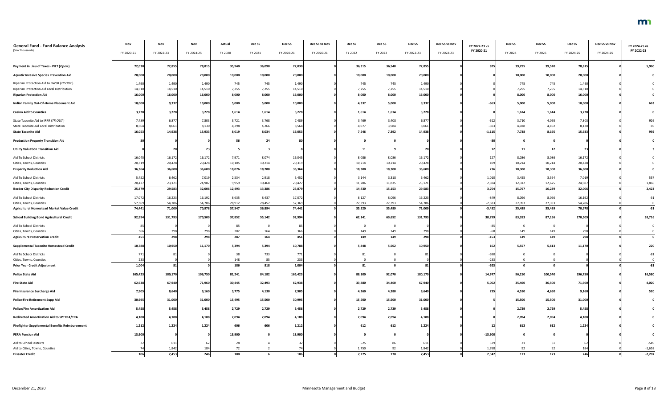| <b>General Fund - Fund Balance Analysis</b>                    | Nov          | Nov        | Nov        | Actual     | Dec SS  | Dec SS       | Dec SS vs Nov | Dec SS  | Dec SS         | Dec SS     | Dec SS vs Nov | FY 2022-23 vs    | Dec SS         | Dec SS       | Dec SS     | Dec SS vs Nov | FY 2024-25 vs |
|----------------------------------------------------------------|--------------|------------|------------|------------|---------|--------------|---------------|---------|----------------|------------|---------------|------------------|----------------|--------------|------------|---------------|---------------|
| (\$ in Thousands)                                              | FY 2020-21   | FY 2022-23 | FY 2024-25 | FY 2020    | FY 2021 | FY 2020-21   | FY 2020-21    | FY 2022 | FY 2023        | FY 2022-23 | FY 2022-23    | FY 2020-21       | FY 2024        | FY 2025      | FY 2024-25 | FY 2024-25    | FY 2022-23    |
| Payment in Lieu of Taxes - PILT (Open)                         | 72,030       | 72,855     | 78,815     | 35,940     | 36,090  | 72,030       |               | 36,315  | 36,540         | 72,855     |               | 825              | 39,295         | 39,520       | 78,815     |               | 5,960         |
| <b>Aquatic Invasive Species Prevention Aid</b>                 | 20,000       | 20,000     | 20,000     | 10,000     | 10,000  | 20,000       |               | 10,000  | 10,000         | 20,000     |               |                  | 10,000         | 10,000       | 20,000     |               |               |
| Riparian Protection Aid to BWSR (TR OUT)                       | 1,490        | 1,490      | 1,490      | 745        | 745     | 1,490        |               | 745     | 745            | 1,490      |               |                  | 745            | 745          | 1,490      |               |               |
| Riparian Protection Aid Local Distribution                     | 14,510       | 14,510     | 14,510     | 7,255      | 7,255   | 14,510       |               | 7,255   | 7,255          | 14,510     |               |                  | 7,255          | 7,255        | 14,510     |               |               |
| <b>Riparian Protection Aid</b>                                 | 16,000       | 16,000     | 16,000     | 8,000      | 8,000   | 16,000       |               | 8,000   | 8,000          | 16,000     |               |                  | 8,000          | 8,000        | 16,000     |               | $\mathbf 0$   |
| Indian Family Out-Of-Home Placement Aid                        | 10,000       | 9,337      | 10,000     | 5,000      | 5,000   | 10,000       |               | 4,337   | 5,000          | 9,337      |               | $-663$           | 5,000          | 5,000        | 10,000     |               | 663           |
| <b>Casino Aid to Counties</b>                                  | 3,228        | 3,228      | 3,228      | 1,614      | 1,614   | 3,228        |               | 1,614   | 1,614          | 3,228      |               |                  | 1,614          | 1,614        | 3,228      |               |               |
| State Taconite Aid to IRRR (TR OUT)                            | 7,489        | 6,877      | 7,803      | 3,721      | 3,768   | 7,489        |               | 3,469   | 3,408          | 6,877      |               | $-612$           | 3,710          | 4,093        | 7,803      |               | 926           |
| State Taconite Aid Local Distribution                          | 8,564        | 8,061      | 8,130      | 4,298      | 4,266   | 8,564        |               | 4,077   | 3,984          | 8,061      |               | $-503$           | 4,028          | 4,102        | 8,130      |               | 69            |
| <b>State Taconite Aid</b>                                      | 16,053       | 14,938     | 15,933     | 8,019      | 8,034   | 16,053       |               | 7,546   | 7,392          | 14,938     |               | $-1,115$         | 7,738          | 8,195        | 15,933     |               | 995           |
| <b>Production Property Transition Aid</b>                      |              |            |            | 56         | 24      |              |               |         | - 0            |            |               |                  | $\Omega$       | - 0          |            |               |               |
| <b>Utility Valuation Transition Aid</b>                        |              |            | 23         |            |         |              |               |         |                | 20         |               |                  | 11             | 12           | 23         |               |               |
| Aid To School Districts                                        | 16,045       | 16,172     | 16,172     | 7,971      | 8,074   | 16,045       |               | 8,086   | 8,086          | 16,172     |               | 127              | 8,086          | 8,086        | 16,172     |               |               |
| Cities, Towns, Counties                                        | 20,319       | 20,428     | 20,428     | 10,105     | 10,214  | 20,319       |               | 10,214  | 10,214         | 20,428     |               | 109              | 10,214         | 10,214       | 20,428     |               |               |
| <b>Disparity Reduction Aid</b>                                 | 36,364       | 36,600     | 36,600     | 18,076     | 18,288  | 36,364       |               | 18,300  | 18,300         | 36,600     |               | 236              | 18,300         | 18,300       | 36,600     |               | $\mathbf{0}$  |
| Aid To School Districts                                        | 5,452        | 6,462      | 7,019      | 2,534      | 2,918   | 5,452        |               | 3,144   | 3,318          | 6,462      |               | 1,010            | 3,455          | 3,564        | 7,019      |               | 557           |
| Cities, Towns, Counties                                        | 20,427       | 23,121     | 24,987     | 9,959      | 10,468  | 20,427       |               | 11,286  | 11,835         | 23,12      |               | 2,694            | 12,312         | 12,675       | 24,987     |               | 1,866         |
| <b>Border City Disparity Reduction Credit</b>                  | 25,879       | 29,583     | 32,006     | 12,493     | 13,386  | 25,879       |               | 14,430  | 15,153         | 29,583     |               | 3,704            | 15,767         | 16,239       | 32,006     |               | 2,423         |
| Aid To School Districts                                        | 17,072       | 16,223     | 16,192     | 8,635      | 8,437   | 17,072       |               | 8,127   | 8,096          | 16,223     |               | $-849$           | 8,096          | 8,096        | 16,192     |               | $-31$         |
| Cities, Towns, Counties                                        | 57,369       | 54,786     | 54,786     | 28,912     | 28,457  | 57,369       |               | 27,393  | 27,393         | 54,786     |               | $-2,583$         | 27,393         | 27,393       | 54,786     |               |               |
| <b>Agricultural Homestead Market Value Credit</b>              | 74,441       | 71,009     | 70,978     | 37,547     | 36,894  | 74,441       |               | 35,520  | 35,489         | 71,009     |               | $-3,432$         | 35,489         | 35,489       | 70,978     |               | $-31$         |
| <b>School Building Bond Agricultural Credit</b>                | 92,994       | 131,793    | 170,509    | 37,852     | 55,142  | 92,994       |               | 62,141  | 69,652         | 131,793    |               | 38,799           | 83,353         | 87,156       | 170,509    |               | 38,716        |
| Aid To School Districts                                        |              |            |            |            |         |              |               |         | $\overline{0}$ |            |               |                  | $\overline{0}$ | $\Omega$     |            |               |               |
| Cities, Towns, Counties                                        | 366          | 298        | 298        | 85<br>202  | 164     |              |               | 149     | 149            | 298        |               |                  | 149            | 149          | 298        |               |               |
| <b>Agriculture Preservation Credit</b>                         | 451          | 298        | 298        | 287        | 164     | 451          |               | 149     | 149            | 298        |               | $-153$           | 149            | 149          | 298        |               | $\mathbf{0}$  |
| <b>Supplemental Taconite Homestead Credit</b>                  | 10,788       | 10,950     | 11,170     | 5,394      | 5,394   | 10,788       |               | 5,448   | 5,502          | 10,950     |               | 162              | 5,557          | 5,613        | 11,170     |               | 220           |
|                                                                |              |            |            |            |         |              |               |         |                |            |               |                  |                |              |            |               |               |
| Aid To School Districts                                        | 771          |            |            | 38         | 733     | 771          |               | 81      |                |            |               | $-690$           | $\Omega$       |              |            |               | $-81$         |
| Cities, Towns, Counties<br><b>Prior Year Credit Adjustment</b> | 233<br>1,004 | 81         |            | 148<br>186 | 85      | 233<br>1,004 |               | 81      | $\mathbf{0}$   | 81         |               | $-233$<br>$-923$ | $\mathbf{0}$   | $\mathbf{0}$ |            |               | $-81$         |
|                                                                |              |            |            |            | 818     |              |               |         |                |            |               |                  |                |              |            |               |               |
| <b>Police State Aid</b>                                        | 165,423      | 180,170    | 196,750    | 81,241     | 84,182  | 165,423      |               | 88,100  | 92,070         | 180,170    |               | 14,747           | 96,210         | 100,540      | 196,750    |               | 16,580        |
| <b>Fire State Aid</b>                                          | 62,938       | 67,940     | 71,960     | 30,445     | 32,493  | 62,938       |               | 33,480  | 34,460         | 67,940     |               | 5,002            | 35,460         | 36,500       | 71,960     |               | 4,020         |
| Fire Insurance Surcharge Aid                                   | 7,905        | 8,640      | 9,160      | 3,775      | 4,130   | 7,905        |               | 4,260   | 4,380          | 8,640      |               | 735              | 4,510          | 4,650        | 9,160      |               | 520           |
| <b>Police-Fire Retirement Supp Aid</b>                         | 30,995       | 31,000     | 31,000     | 15,495     | 15,500  | 30,995       |               | 15,500  | 15,500         | 31,000     |               |                  | 15,500         | 15,500       | 31,000     |               |               |
| <b>Police/Fire Amortization Aid</b>                            | 5,458        | 5,458      | 5,458      | 2,729      | 2,729   | 5,458        |               | 2,729   | 2,729          | 5,458      |               |                  | 2,729          | 2,729        | 5,458      |               |               |
| <b>Redirected Amortization Aid to SPTRFA/TRA</b>               | 4,188        | 4,188      | 4,188      | 2,094      | 2,094   | 4,188        |               | 2,094   | 2,094          | 4,188      |               |                  | 2,094          | 2,094        | 4,188      |               |               |
| <b>Firefighter Supplemental Benefits Reimbursement</b>         | 1,212        | 1,224      | 1,224      | 606        | 606     | 1,212        |               | 612     | 612            | 1,224      |               |                  | 612            | 612          | 1,224      |               |               |
| <b>PERA Pension Aid</b>                                        | 13,900       |            |            | 13,900     |         | 13,900       |               |         |                |            |               | $-13,900$        | $\mathbf{0}$   |              |            |               |               |
| Aid to School Districts                                        |              | 611        |            | 28         |         |              |               | 525     | 86             | 611        |               | 579              | 31             | 31           |            |               | $-549$        |
| Aid to Cities, Towns, Counties                                 |              | 1,842      | 184        | 72         |         |              |               | 1,750   | 92             | 1,842      |               | 1,768            | 92             | 92           | 184        |               | $-1,658$      |
| <b>Disaster Credit</b>                                         | 106          | 2,453      | 246        | 100        |         | 106          |               | 2,275   | 178            | 2,453      |               | 2,347            | 123            | 123          | 246        |               | $-2,207$      |

### m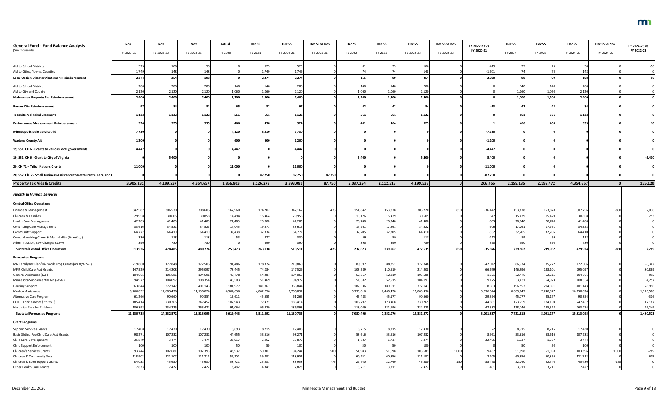| <b>General Fund - Fund Balance Analysis</b>                            | Nov                   | Nov                  | Nov                | Actual            | Dec <sub>SS</sub> | Dec SS             | Dec SS vs Nov | Dec SS             | Dec SS               | Dec SS               | Dec SS vs Nov | FY 2022-23 vs       | Dec SS             | Dec SS             | Dec SS                | Dec SS vs Nov | FY 2024-25 vs       |
|------------------------------------------------------------------------|-----------------------|----------------------|--------------------|-------------------|-------------------|--------------------|---------------|--------------------|----------------------|----------------------|---------------|---------------------|--------------------|--------------------|-----------------------|---------------|---------------------|
| (\$ in Thousands)                                                      | FY 2020-21            | FY 2022-23           | FY 2024-25         | FY 2020           | FY 2021           | FY 2020-21         | FY 2020-21    | FY 2022            | FY 2023              | FY 2022-23           | FY 2022-23    | FY 2020-21          | FY 2024            | FY 2025            | FY 2024-25            | FY 2024-25    | FY 2022-23          |
|                                                                        |                       |                      |                    |                   |                   |                    |               |                    |                      |                      |               |                     |                    |                    |                       |               |                     |
| Aid to School Districts                                                | 525                   | 106                  |                    |                   | 525               |                    |               |                    | 25                   | 106                  |               | $-419$              | 25                 | 25                 |                       |               |                     |
| Aid to Cities, Towns, Counties                                         | 1,749                 | 14                   |                    |                   | 1,749             | 1,749              |               | 74                 | 74                   | 148                  |               | $-1,601$            | 74                 | 74                 |                       |               |                     |
| <b>Local Option Disaster Abatement Reimbursement</b>                   | 2,274                 | 254                  | 198                | $\Omega$          | 2,274             | 2,274              |               | 155                | 99                   | 254                  |               | $-2,020$            | 99                 | 99                 | 198                   |               | $-56$               |
|                                                                        |                       |                      |                    |                   |                   |                    |               |                    |                      |                      |               |                     |                    |                    |                       |               |                     |
| Aid to School District                                                 | 280                   | 280                  | 280                | 140               | 140               | 280                |               | 140                | 140                  | 280                  |               |                     | 140                | 140                | 280                   |               |                     |
| Aid to City and County<br><b>Mahnomen Property Tax Reimbursement</b>   | 2,120                 | 2,120<br>2,400       | 2,120              | 1,060             | 1,060             | 2,120              |               | 1,060              | 1,060                | 2,120                |               |                     | 1,060              | 1,060              | 2,120<br>2,400        |               |                     |
|                                                                        | 2,400                 |                      | 2,400              | 1,200             | 1,200             | 2,400              |               | 1,200              | 1,200                | 2,400                |               |                     | 1,200              | 1,200              |                       |               |                     |
| <b>Border City Reimbursement</b>                                       |                       |                      |                    | 65                | 32                |                    |               | -42                | 42                   |                      |               |                     | 42                 | 42                 |                       |               |                     |
| <b>Taconite Aid Reimbursement</b>                                      | 1,122                 | 1,122                | 1,122              | 561               | 561               | 1,122              |               | 561                | 561                  | 1,122                |               |                     | 561                | 561                | 1,122                 |               |                     |
| <b>Performance Measurement Reimbursement</b>                           | 924                   | 925                  | 935                | 466               | 458               | 924                |               | 461                | 464                  | 925                  |               |                     | 466                | 469                | 935                   |               |                     |
| <b>Minneapolis Debt Service Aid</b>                                    | 7,730                 |                      |                    | 4,120             | 3,610             | 7,730              |               |                    |                      |                      |               | $-7,730$            |                    |                    |                       |               |                     |
| <b>Wadena County Aid</b>                                               | 1,200                 |                      |                    | 600               | 600               | 1,200              |               |                    |                      |                      |               | $-1,200$            |                    |                    |                       |               |                     |
| 19, SS1, CH 6 - Grants to various local governments                    | 4,447                 |                      |                    | 4,447             |                   | 4,447              |               |                    |                      |                      |               | $-4,44$             |                    |                    |                       |               |                     |
| 19, SS1, CH 6 - Grant to City of Virginia                              |                       | 5,400                |                    |                   |                   |                    |               | 5,400              |                      | 5,400                |               | 5,400               |                    |                    |                       |               | $-5,400$            |
| 20, CH 71 - Tribal Nations Grants                                      | 11,000                |                      |                    | 11,000            |                   | 11,000             |               |                    |                      |                      |               | $-11,000$           |                    |                    |                       |               |                     |
| 20, SS7, Ch. 2 - Small Business Assistance to Restaurants, Bars, and ( |                       |                      |                    |                   | 87,750            | 87,750             | 87,750        |                    |                      |                      |               | $-87,750$           |                    |                    |                       |               |                     |
| <b>Property Tax Aids &amp; Credits</b>                                 | 3,905,331             | 4,199,537            | 4,354,657          | 1,866,803         | 2,126,278         | 3,993,081          | 87,750        | 2,087,224          | 2,112,313            | 4,199,537            |               | 206,456             | 2,159,185          | 2,195,472          | 4,354,657             |               | 155,120             |
|                                                                        |                       |                      |                    |                   |                   |                    |               |                    |                      |                      |               |                     |                    |                    |                       |               |                     |
| <b>Health &amp; Human Services</b>                                     |                       |                      |                    |                   |                   |                    |               |                    |                      |                      |               |                     |                    |                    |                       |               |                     |
| <b>Central Office Operations</b>                                       |                       |                      |                    |                   |                   |                    |               |                    |                      |                      |               |                     |                    |                    |                       |               |                     |
| Finance & Management                                                   | 342,587               | 306,570              | 308,606            | 167,960           | 174,202           | 342,162            | $-425$        | 151,842            | 153,878              | 305,720              | $-850$        | $-36,442$           | 153,878            | 153,878            | 307,756               | $-850$        | 2,036               |
| Children & Families                                                    | 29,958                | 30,605               | 30,858             | 14,494            | 15,464            | 29,958             |               | 15,176             | 15,429               | 30,605               |               | 647                 | 15,429             | 15,429             | 30,858                |               | 253                 |
| <b>Health Care Management</b>                                          | 42,283                | 41,480               | 41,480             | 21,483            | 20,800            | 42,283             |               | 20,740             | 20,740               | 41,48                |               | $-803$              | 20,740             | 20,740             | 41,480                |               |                     |
| <b>Continuing Care Management</b>                                      | 33,616                | 34,522               | 34,522             | 14,045            | 19,571            | 33,616             |               | 17,261             | 17,261               | 34,522               |               | 906                 | 17,261             | 17,261             | 34,522                |               |                     |
| <b>Community Support</b>                                               | 64,772                | 64,410               | 64,410             | 32,438            | 32,334            | 64,772             |               | 32,205             | 32,205               | 64,41                |               | $-362$              | 32,205             | 32,205             | 64,410                |               |                     |
| Comp. Gambling Chem & Mental Hlth (Standing)                           | 330                   | 118                  | 118                | 53                | 277               | 330                |               | 59                 | 59                   | 11                   |               | $-212$              | 59                 | 59                 | 118                   |               |                     |
| Administration, Law Changes (ICWA)                                     | 390                   | 78                   | 780                |                   | 390               | 390                |               | 390                | 390                  | 780                  |               | 390                 | 390                | 390                | 780                   |               |                     |
| <b>Subtotal Central Office Operations</b>                              | 513,93                | 478,485              | 480,774            | 250,473           | 263,038           | 513,511            | $-425$        | 237,673            | 239,962              | 477,635              | $-850$        | $-35,876$           | 239,962            | 239,962            | 479,924               | $-850$        | 2,289               |
| <b>Forecasted Programs</b>                                             |                       |                      |                    |                   |                   |                    |               |                    |                      |                      |               |                     |                    |                    |                       |               |                     |
| MN Family Inv Plan/Div Work Prog Grants (MFIP/DWP)                     | 219,860               | 177,848              | 172,506            | 91,486            | 128,374           | 219,860            |               | 89,597             | 88,251               | 177,848              |               | $-42,012$           | 86,734             | 85,772             | 172,506               |               | $-5,342$            |
| MFIP Child Care Asst Grants                                            | 147,529               | 214,208              | 295,097            | 73,445            | 74,084            | 147,529            |               | 103,589            | 110,619              | 214,20               |               | 66,679              | 146,996            | 148,101            | 295,097               |               | 80,889              |
| General Assistance (GA)                                                | 104,065               | 105,686              | 104,691            | 49,778            | 54,287            | 104,065            |               | 52,867             | 52,819               | 105,68               |               | 1,621               | 52,476             | 52,215             | 104,691               |               | $-995$              |
| Minnesota Supplemental Aid (MSA)                                       | 94,972                | 104,097              | 108,354            | 43,503            | 51,469            | 94,972             |               | 51,582             | 52,515               | 104,097              |               | 9,125               | 53,431             | 54,923             | 108,354               |               | 4,257               |
| <b>Housing Support</b>                                                 | 363,844               | 372,147              | 401,143            | 181,977           | 181,867           | 363,844            |               | 182,536            | 189,611              | 372,14               |               | 8,303               | 196,552            | 204,591            | 401,143               |               | 28,996              |
| <b>Medical Assistance</b>                                              | 9,766,892             | 12,803,436           | 14,130,024         | 4,964,636         | 4,802,256         | 9,766,892          |               | 6,335,016          | 6,468,420            | 12,803,436           |               | 3,036,544           | 6,889,047          | 7,240,977          | 14,130,024            |               | 1,326,588           |
| Alternative Care Program                                               | 61,266                | 90,660               | 90,354             | 15,611            | 45,655            | 61,266             |               | 45,483             | 45,177               | 90,660               |               | 29,394              | 45,177             | 45,177             | 90,354                |               | $-306$              |
| CCDTF Entitlements (TR OUT)<br>Northstar Care for Children             | 185,414               | 230,265              | 247,452<br>263,474 | 107,943<br>91,064 | 77,471<br>95,829  | 185,414<br>186,893 |               | 106,797<br>113,029 | 123,468              | 230,26               |               | 44,851              | 123,259<br>128,146 | 124,193<br>135,328 | 247,452               |               | 17,187              |
| <b>Subtotal Forecasted Programs</b>                                    | 186,893<br>11,130,735 | 234,225<br>14,332,57 | 15,813,095         | 5,619,443         | 5,511,292         | 11,130,735         |               | 7,080,496          | 121,196<br>7,252,076 | 234,22<br>14,332,572 |               | 47,332<br>3,201,837 | 7,721,818          | 8,091,277          | 263,474<br>15,813,095 |               | 29,249<br>1,480,523 |
|                                                                        |                       |                      |                    |                   |                   |                    |               |                    |                      |                      |               |                     |                    |                    |                       |               |                     |
| <b>Grant Programs</b>                                                  |                       |                      |                    |                   |                   |                    |               |                    |                      |                      |               |                     |                    |                    |                       |               |                     |
| <b>Support Services Grants</b>                                         | 17,408                | 17,430               | 17,430             | 8,693             | 8,715             | 17,408             |               | 8,715              | 8,715                | 17,430               |               |                     | 8,715              | 8,715              | 17,430                |               |                     |
| Basic Sliding Fee Child Care Asst Grants                               | 98,271                | 107,232              | 107,232            | 44,655            | 53,616            | 98,271             |               | 53,616             | 53,616               | 107,232              |               | 8,961               | 53,616             | 53,616             | 107,232               |               |                     |
| Child Care Development                                                 | 35,879                | 3,474                | 3,474              | 32,917            | 2,962             | 35,879             |               | 1,737              | 1,737                | 3,474                |               | $-32,405$           | 1,737              | 1,737              | 3,474                 |               |                     |
| <b>Child Support Enforcement</b>                                       | 100                   | 100                  | 100                | 50                | 50                | 100                |               | 50                 | 50                   | 100                  |               |                     | 50                 | 50                 | 100                   |               |                     |
| <b>Children's Services Grants</b>                                      | 93,744                | 102,681              | 102,396            | 43,937            | 50,307            | 94,244             | 500           | 51,983             | 51,698               | 103,68               | 1,000         | 9,437               | 51,698             | 51,698             | 103,396               | 1,000         | $-285$              |
| Children & Community Svcs                                              | 118,902               | 121,107              | 121,712            | 59,201            | 59,701            | 118,902            |               | 60,251             | 60,856               | 121,107              |               | 2,205               | 60,856             | 60,856             | 121,712               |               | 605                 |
| Children & Econ Support Grants                                         | 84,033                | 45,630               | 45,630             | 58,721            | 25,237            | 83,958             |               | 22,740             | 22,740               | 45,48                | $-150$        | $-38,478$           | 22,740             | 22,740             | 45,480                |               |                     |
| Other Health Care Grants                                               | 7,823                 | 7,422                | 7,422              | 3,482             | 4,341             | 7,823              |               | 3,711              | 3,711                | 7,422                |               | $-40$               | 3,711              | 3,711              | 7,422                 |               |                     |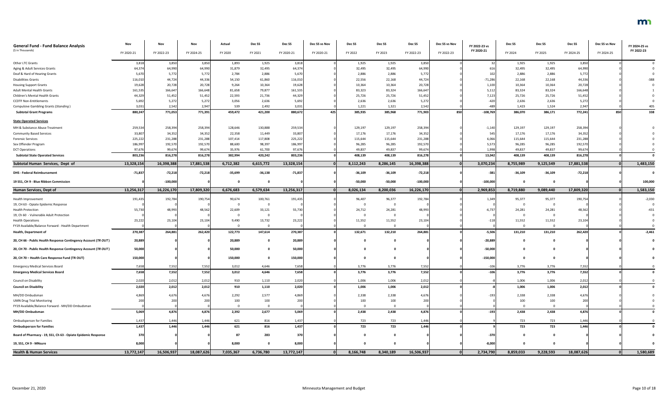| <b>General Fund - Fund Balance Analysis</b>                     | Nov        | Nov        | Nov        | Actual    | Dec <sub>SS</sub> | Dec <sub>SS</sub> | Dec SS vs Nov | Dec SS    | Dec SS                  | Dec <sub>SS</sub> | Dec SS vs Nov | FY 2022-23 vs | Dec SS    | Dec <sub>SS</sub> | Dec SS     | Dec SS vs Nov | FY 2024-25 vs |
|-----------------------------------------------------------------|------------|------------|------------|-----------|-------------------|-------------------|---------------|-----------|-------------------------|-------------------|---------------|---------------|-----------|-------------------|------------|---------------|---------------|
| (\$ in Thousands)                                               | FY 2020-21 | FY 2022-23 | FY 2024-25 | FY 2020   | FY 2021           | FY 2020-21        | FY 2020-21    | FY 2022   | FY 2023                 | FY 2022-23        | FY 2022-23    | FY 2020-21    | FY 2024   | FY 2025           | FY 2024-25 | FY 2024-25    | FY 2022-23    |
|                                                                 |            |            |            |           |                   |                   |               |           |                         |                   |               |               |           |                   |            |               |               |
| Other LTC Grants                                                | 3,818      | 3,850      | 3,850      | 1,893     | 1,925             | 3,818             |               | 1,925     | 1,925                   | 3,850             |               |               | 1,925     | 1,925             | 3,850      |               |               |
| Aging & Adult Services Grants                                   | 64,374     | 64,990     | 64,990     | 31,879    | 32,495            | 64,374            |               | 32,495    | 32,495                  | 64,990            |               | 61            | 32,495    | 32,495            | 64,990     |               |               |
| Deaf & Hard of Hearing Grants                                   | 5,670      | 5,772      | 5,772      | 2,784     | 2,886             | 5,670             |               | 2,886     | 2,886                   | 5,772             |               | 102           | 2,886     | 2,886             | 5,772      |               |               |
| <b>Disabilities Grants</b>                                      | 116,010    | 44,724     | 44,336     | 54,150    | 61,860            | 116,010           |               | 22,556    | 22,168                  | 44,724            |               | $-71,286$     | 22,168    | 22,168            | 44,336     |               | -388          |
| <b>Housing Support Grants</b>                                   | 19,628     | 20,728     | 20,728     | 9,264     | 10,364            | 19,628            |               | 10,364    | 10,364                  | 20,728            |               | 1,100         | 10,364    | 10,364            | 20,728     |               |               |
| <b>Adult Mental Health Grants</b>                               | 161,535    | 166,647    | 166,648    | 81,658    | 79,877            | 161,535           |               | 83,323    | 83,324                  | 166,647           |               | 5,112         | 83,324    | 83,324            | 166,648    |               |               |
| Children's Mental Health Grants                                 | 44,329     | 51,452     | 51,452     | 22,593    | 21,736            | 44,329            |               | 25,726    | 25,726                  | 51,452            |               | 7,123         | 25,726    | 25,726            | 51,452     |               |               |
| <b>CCDTF Non-Entitlements</b>                                   | 5,692      | 5,272      | 5,272      | 3,056     | 2,636             | 5,692             |               | 2,636     | 2,636                   | 5,272             |               | $-420$        | 2,636     | 2,636             | 5,272      |               |               |
| <b>Compulsive Gambling Grants (Standing)</b>                    | 3,031      | 2,542      | 2,947      | 539       | 2,492             | 3,031             |               | 1,221     | 1,321                   | 2,542             |               | $-489$        | 1,423     | 1,524             | 2,947      |               | 405           |
| <b>Subtotal Grant Programs</b>                                  | 880,247    | 771,053    | 771,391    | 459,472   | 421,200           | 880,672           | 425           | 385,935   | 385,968                 | 771,903           | 850           | $-108,769$    | 386,070   | 386,171           | 772,241    | 850           | 338           |
| <b>State Operated Services</b>                                  |            |            |            |           |                   |                   |               |           |                         |                   |               |               |           |                   |            |               |               |
| MH & Substance Abuse Treatment                                  | 259,534    | 258,394    | 258,394    | 128,646   | 130,888           | 259,534           |               | 129,197   | 129,197                 | 258,394           |               | $-1,140$      | 129,197   | 129,197           | 258,394    |               |               |
| <b>Community Based Services</b>                                 | 33,807     | 34,352     | 34,352     | 22,358    | 11,449            | 33,807            |               | 17,176    | 17,176                  | 34,352            |               | 545           | 17,176    | 17,176            | 34,352     |               |               |
| <b>Forensic Services</b>                                        | 225,222    | 231,288    | 231,288    | 107,414   | 117,808           | 225,222           |               | 115,644   | 115,644                 | 231,288           |               | 6,066         | 115,644   | 115,644           | 231,288    |               |               |
| Sex Offender Program                                            | 186,997    | 192,570    | 192,570    | 88,600    | 98,397            | 186,997           |               | 96,285    | 96,285                  | 192,570           |               | 5,573         | 96,285    | 96,285            | 192,570    |               |               |
| <b>DCT Operations</b>                                           | 97,676     | 99,674     | 99,674     | 35,976    | 61,700            | 97,676            |               | 49,837    | 49,837                  | 99,674            |               | 1,998         | 49,837    | 49,837            | 99,674     |               |               |
| <b>Subtotal State Operated Services</b>                         | 803,236    | 816,278    | 816,278    | 382,994   | 420,242           | 803,236           |               | 408,139   | 408,139                 | 816,278           |               | 13,042        | 408,139   | 408,139           | 816,278    |               |               |
| Subtotal Human Services, Dept of                                | 13,328,154 | 16,398,388 | 17,881,538 | 6,712,382 | 6,615,772         | 13,328,154        |               | 8,112,243 | 8,286,145               | 16,398,388        |               | 3,070,234     | 8,755,989 | 9,125,549         | 17,881,538 |               | 1,483,150     |
| <b>DHS - Federal Reimbursement</b>                              | $-71,837$  | $-72,218$  | $-72,218$  | $-35,699$ | $-36,138$         | $-71,837$         |               | $-36,109$ | $-36,109$               | $-72,218$         |               | $-381$        | $-36,109$ | $-36,109$         | $-72,218$  |               |               |
| 19 SS1, CH 9 - Blue Ribbon Commission                           |            | $-100,000$ |            |           |                   |                   |               | $-50,000$ | $-50,000$               | $-100,000$        |               | $-100,000$    |           |                   |            |               | 100,000       |
| <b>Human Services, Dept of</b>                                  | 13,256,317 | 16,226,170 | 17,809,320 | 6,676,683 | 6,579,634         | 13,256,317        |               | 8,026,134 | 8,200,036               | 16,226,170        |               | 2,969,853     | 8,719,880 | 9,089,440         | 17,809,320 |               | 1,583,150     |
| Health Improvement                                              | 191,435    | 192,784    | 190,754    | 90,674    | 100,761           | 191,435           |               | 96,407    | 96,377                  | 192,784           |               | 1,349         | 95,377    | 95,377            | 190,75     |               | $-2,030$      |
| 19, CH 63 - Opiate Epidemic Response                            |            |            |            |           |                   |                   |               | - 0       | $\overline{\mathbf{0}}$ |                   |               |               |           |                   |            |               |               |
| <b>Health Protection</b>                                        | 55,730     | 48,993     | 48,562     | 22,609    | 33,121            | 55,730            |               | 24,712    | 24,281                  | 48,993            |               | $-6,737$      | 24,281    | 24,281            | 48,562     |               | $-431$        |
| 19, Ch 60 - Vulnerable Adult Protection                         |            |            |            |           |                   |                   |               |           |                         |                   |               |               |           |                   |            |               |               |
| <b>Health Operations</b>                                        | 23,222     | 23,104     | 23,104     | 9,490     | 13,732            | 23,222            |               | 11,552    | 11,552                  | 23,104            |               | $-118$        | 11,552    | 11,552            | 23,104     |               |               |
| FY19 Available/Balance Forward - Health Department              |            |            |            |           |                   |                   |               | $\Omega$  | $\mathbf 0$             |                   |               |               |           |                   |            |               |               |
| <b>Health, Department of</b>                                    | 270,387    | 264,881    | 262,420    | 122,773   | 147,614           | 270,387           |               | 132,671   | 132,210                 | 264,881           |               | $-5,506$      | 131,210   | 131,210           | 262,420    |               | $-2,461$      |
| 20, CH 66 - Public Health Response Contingency Account (TR OUT) | 20,889     |            |            | 20,889    |                   | 20,889            |               |           | $\mathbf 0$             |                   |               | $-20,889$     |           |                   |            |               |               |
| 20, CH 70 - Public Health Response Contingency Account (TR OUT) | 50,000     |            |            | 50,000    |                   | 50,000            |               |           | $\mathbf 0$             |                   |               | $-50,000$     |           |                   |            |               |               |
| 20, CH 70 - Health Care Response Fund (TR OUT)                  | 150,000    |            |            | 150,000   |                   | 150,000           |               |           | $\mathbf 0$             |                   |               | $-150,000$    |           |                   |            |               |               |
| <b>Emergency Medical Services Board</b>                         | 7,658      | 7,552      | 7,552      | 3,012     | 4,646             | 7,658             |               | 3,776     | 3,776                   | 7,552             |               | $-106$        | 3,776     | 3,776             | 7,552      |               |               |
| <b>Emergency Medical Services Board</b>                         | 7,658      | 7,552      | 7,552      | 3,012     | 4,646             | 7,658             |               | 3,776     | 3,776                   | 7,552             |               | $-106$        | 3,776     | 3,776             | 7,552      |               |               |
|                                                                 |            |            |            |           |                   |                   |               |           |                         |                   |               |               |           |                   |            |               |               |
| Council on Disability                                           | 2,020      | 2,012      | 2,012      | 910       | 1,110             | 2,020             |               | 1,006     | 1,006                   | 2,012             |               |               | 1,006     | 1,006             | 2,012      |               |               |
| <b>Council on Disability</b>                                    | 2,020      | 2,012      | 2,012      | 910       | 1,110             | 2,020             |               | 1,006     | 1,006                   | 2,012             |               |               | 1,006     | 1,006             | 2,012      |               |               |
| MH/DD Ombudsman                                                 | 4,869      | 4,676      | 4,676      | 2,292     | 2,577             | 4,869             |               | 2,338     | 2,338                   | 4,676             |               | $-193$        | 2,338     | 2,338             | 4,676      |               |               |
| <b>UMN Drug Trial Monitoring</b>                                |            | 200        | 200        | 100       | 100               | 200               |               | 100       | 100                     | 200               |               |               | 100       | 100               | 20         |               |               |
| FY19 Available/Balance Forward - MH/DD Ombudsman                |            |            |            |           |                   |                   |               | $\Omega$  | $\overline{0}$          |                   |               |               |           |                   |            |               |               |
| MH/DD Ombudsman                                                 | 5,069      | 4,876      | 4,876      | 2,392     | 2,677             | 5,069             |               | 2,438     | 2,438                   | 4,876             |               | $-193$        | 2,438     | 2,438             | 4,876      |               |               |
| <b>Ombudsperson for Families</b>                                | 1,437      | 1,446      | 1,446      | 621       | 816               | 1,437             |               | 723       | 723                     | 1,446             |               |               | 723       | 723               | 1,446      |               |               |
| <b>Ombudsperson for Families</b>                                | 1,437      | 1,446      | 1,446      | 621       | 816               | 1,437             |               | 723       | 723                     | 1,446             |               |               | 723       | 723               | 1,446      |               |               |
| Board of Pharmacy - 19, SS1, Ch 63 - Opiate Epidemic Response   | 370        |            |            | 87        | 283               | 370               |               |           | $\mathbf{0}$            |                   |               | -370          |           |                   |            |               |               |
| 19, SS1, CH 9 - MNsure                                          | 8,000      |            |            | 8,000     |                   | 8,000             |               | 0         | $\mathbf{0}$            |                   |               | $-8,000$      |           |                   |            |               |               |
| <b>Health &amp; Human Services</b>                              | 13,772,147 | 16,506,937 | 18,087,626 | 7,035,367 | 6,736,780         | 13,772,147        |               | 8,166,748 | 8,340,189               | 16,506,937        |               | 2,734,790     | 8,859,033 | 9,228,593         | 18,087,626 |               | 1,580,689     |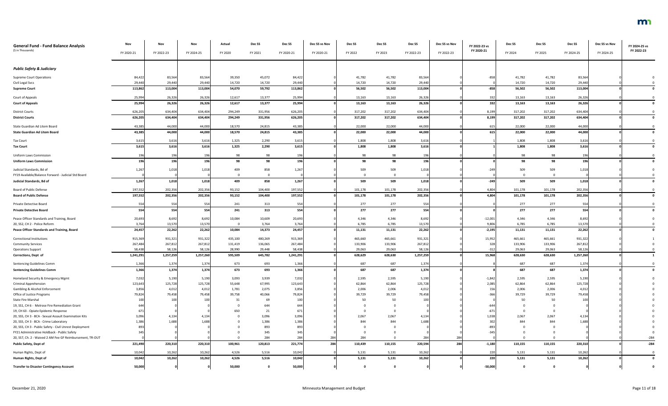| <b>General Fund - Fund Balance Analysis</b>                                 | Nov        | Nov        | Nov        | Actual  | Dec SS    | Dec SS     | Dec SS vs Nov | Dec <sub>SS</sub> | Dec <sub>SS</sub> | Dec SS          | Dec SS vs Nov | FY 2022-23 vs   | Dec SS  | Dec SS  | Dec SS     | Dec SS vs Nov | FY 2024-25 vs |
|-----------------------------------------------------------------------------|------------|------------|------------|---------|-----------|------------|---------------|-------------------|-------------------|-----------------|---------------|-----------------|---------|---------|------------|---------------|---------------|
| (\$ in Thousands)                                                           | FY 2020-21 | FY 2022-23 | FY 2024-25 | FY 2020 | FY 2021   | FY 2020-21 | FY 2020-21    | FY 2022           | FY 2023           | FY 2022-23      | FY 2022-23    | FY 2020-21      | FY 2024 | FY 2025 | FY 2024-25 | FY 2024-25    | FY 2022-23    |
|                                                                             |            |            |            |         |           |            |               |                   |                   |                 |               |                 |         |         |            |               |               |
| <b>Public Safety &amp; Judiciary</b>                                        |            |            |            |         |           |            |               |                   |                   |                 |               |                 |         |         |            |               |               |
| <b>Supreme Court Operations</b>                                             | 84,422     | 83,564     | 83,564     | 39,350  | 45,072    | 84,422     |               | 41,782            | 41,782            | 83,564          |               | $-858$          | 41,782  | 41,782  | 83,564     |               |               |
| Civil Legal Svcs                                                            | 29,440     | 29,440     | 29,440     | 14,720  | 14,720    | 29,440     |               | 14,720            | 14,720            | 29,440          |               |                 | 14,720  | 14,720  | 29,440     |               |               |
| <b>Supreme Court</b>                                                        | 113,862    | 113,004    | 113,004    | 54,070  | 59,792    | 113,862    |               | 56,502            | 56,502            | 113,004         |               | $-858$          | 56,502  | 56,502  | 113,004    |               |               |
| Court of Appeals                                                            | 25,994     | 26,326     | 26,326     | 12,617  | 13,377    | 25,994     |               | 13,163            | 13,163            | 26,326          |               | 332             | 13,163  | 13,163  | 26,326     |               |               |
| <b>Court of Appeals</b>                                                     | 25,994     | 26,326     | 26,326     | 12,617  | 13,377    | 25,994     |               | 13,163            | 13,163            | 26,326          |               | 332             | 13,163  | 13,163  | 26,326     |               |               |
| <b>District Courts</b>                                                      | 626,205    | 634,404    | 634,404    | 294,249 | 331,956   | 626,205    |               | 317,202           | 317,202           | 634,404         |               | 8,199           | 317,202 | 317,202 | 634,404    |               |               |
| <b>District Courts</b>                                                      | 626,205    | 634,404    | 634,404    | 294,249 | 331,956   | 626,205    |               | 317,202           | 317,202           | 634,404         |               | 8,199           | 317,202 | 317,202 | 634,404    |               |               |
|                                                                             |            |            |            |         |           |            |               |                   |                   |                 |               |                 |         |         |            |               |               |
| State Guardian Ad Litem Board                                               | 43,385     | 44,000     | 44,000     | 18,570  | 24,815    | 43,385     |               | 22,000            | 22,000            | 44,000          |               | 615             | 22,000  | 22,000  | 44,000     |               |               |
| <b>State Guardian Ad Litem Board</b>                                        | 43,385     | 44,000     | 44,000     | 18,570  | 24,815    | 43,385     |               | 22,000            | 22,000            | 44,000          |               | 615             | 22,000  | 22,000  | 44,000     |               |               |
| <b>Tax Court</b>                                                            | 3,615      | 3,616      | 3,616      | 1,325   | 2,290     | 3,615      |               | 1,808             | 1,808             | 3,616           |               |                 | 1,808   | 1,808   | 3,616      |               |               |
| <b>Tax Court</b>                                                            | 3,615      | 3,616      | 3,616      | 1,325   | 2,290     | 3,615      |               | 1,808             | 1,808             | 3,616           |               |                 | 1,808   | 1,808   | 3,616      |               |               |
| <b>Uniform Laws Commission</b>                                              | 196        | 196        | 196        | 98      | 98        | 196        |               | 98                | 98                | 196             |               |                 | 98      | 98      | 196        |               |               |
| <b>Uniform Laws Commission</b>                                              |            | 196        | 196        | 98      | 98        | 196        |               | 98                | 98                | 196             |               |                 | 98      | 98      | 196        |               |               |
| Judicial Standards, Bd of                                                   | 1,267      | 1,018      | 1,018      | 409     | 858       | 1,267      |               | 509               | 509               | 1,018           |               | $-249$          | 509     | 509     | 1,018      |               |               |
| FY19 Available/Balance Forward - Judicial Std Board                         |            |            |            |         |           |            |               |                   | $\Omega$          |                 |               |                 |         |         |            |               |               |
| Judicial Standards, Bd of                                                   | 1,267      | 1,018      | 1,018      | 409     | 858       | 1,267      |               | 509               | 509               | 1,018           |               | $-249$          | 509     | 509     | 1,018      |               |               |
| Board of Public Defense                                                     | 197,552    | 202,356    | 202,356    | 93,152  | 104,400   | 197,552    |               | 101,178           | 101,178           | 202,356         |               | 4,804           | 101,178 | 101,178 | 202,356    |               |               |
| <b>Board of Public Defense</b>                                              | 197,552    | 202,356    | 202,356    | 93,152  | 104,400   | 197,552    |               | 101,178           | 101,178           | 202,356         |               | 4,804           | 101,178 | 101,178 | 202,356    |               |               |
|                                                                             |            |            |            |         |           |            |               |                   |                   |                 |               |                 |         |         |            |               |               |
| Private Detective Board                                                     | 554        | 554        | 554        | 241     | 313       | 554        |               | 277               | 277               | 554             |               |                 | 277     | 277     | 554        |               |               |
| <b>Private Detective Board</b>                                              | 554        | 554        | 554        | 241     | 313       | 554        |               | 277               | 277               | 554             |               |                 | 277     | 277     | 554        |               |               |
| Peace Officer Standards and Training, Board                                 | 20,693     | 8,692      | 8,692      | 10,084  | 10,609    | 20,693     |               | 4,346             | 4,346             | 8,692           |               | $-12,001$       | 4,346   | 4,346   | 8,692      |               |               |
| 20, SS2, CH 2 - Police Reform                                               | 3,764      | 13,570     | 13,570     |         | 3,764     | 3,764      |               | 6,785             | 6,785             | 13,570          |               | 9,806           | 6,785   | 6,785   | 13,570     |               |               |
| Peace Officer Standards and Training, Board                                 | 24,457     | 22,262     | 22,262     | 10,084  | 14,373    | 24,457     |               | 11,131            | 11,131            | 22,262          |               | $-2,195$        | 11,131  | 11,131  | 22,262     |               |               |
| <b>Correctional Institutions</b>                                            | 915,369    | 931,321    | 931,322    | 435,100 | 480,269   | 915,369    |               | 465,660           | 465,661           | 931,32          |               | 15,952          | 465,661 | 465,661 | 931,322    |               |               |
| <b>Community Services</b>                                                   | 267,484    | 267,812    | 267,812    | 131,419 | 136,065   | 267,484    |               | 133,906           | 133,906           | 267,812         |               | 328             | 133,906 | 133,906 | 267,812    |               |               |
| <b>Operations Support</b>                                                   | 58,438     | 58,126     | 58,126     | 28,990  | 29,448    | 58,438     |               | 29,063            | 29,063            | 58,126          |               | $-312$          | 29,063  | 29,063  | 58,126     |               |               |
| Corrections, Dept of                                                        | 1,241,291  | 1,257,259  | 1,257,260  | 595,509 | 645,782   | 1,241,291  |               | 628,629           | 628,630           | 1,257,259       |               | 15,968          | 628,630 | 628,630 | 1,257,260  |               |               |
| Sentencing Guidelines Comm                                                  | 1,366      | 1,374      | 1,374      | 673     | 693       | 1,366      |               | 687               | 687               | 1,374           |               |                 | 687     | 687     | 1,374      |               |               |
| <b>Sentencing Guidelines Comm</b>                                           | 1,366      | 1,374      | 1,374      | 673     | 693       | 1,366      |               | 687               | 687               | 1,374           |               |                 | 687     | 687     | 1,374      |               |               |
| Homeland Security & Emergency Mgmt                                          | 7,032      | 5,190      | 5,190      | 3,093   | 3,939     | 7,032      |               | 2,595             | 2,595             | 5,190           |               | $-1,842$        | 2,595   | 2,595   | 5,190      |               |               |
| <b>Criminal Apprehension</b>                                                | 123,643    | 125,728    | 125,728    | 55,648  | 67,995    | 123,643    |               | 62,864            | 62,864            | 125,728         |               | 2,085           | 62,864  | 62,864  | 125,728    |               |               |
| Gambling & Alcohol Enforcement                                              | 3,856      | 4,012      | 4,012      | 1,781   | 2,075     | 3,856      |               | 2,006             | 2,006             | 4,01            |               | 156             | 2,006   | 2,006   | 4,012      |               |               |
| Office of Justice Programs                                                  | 79,824     | 79,458     | 79,458     | 39,758  | 40,066    | 79,824     |               | 39,729            | 39,729            | 79,458          |               | $-366$          | 39,729  | 39,729  | 79,458     |               |               |
| <b>State Fire Marshal</b><br>19, SS1, CH 6 - Melrose Fire Remediation Grant |            | 100        |            | 31      | 69<br>644 | 10         |               | -50               | 50                | 10 <sup>c</sup> |               |                 | 50      | 50      |            |               |               |
| 19, CH 63 - Opiate Epidemic Response                                        | 671        |            |            | 650     | 21        | 67         |               |                   |                   |                 |               | $-67$           |         |         |            |               |               |
| 20, SS5, CH 3 - BCA - Sexual Assault Examination Kits                       | 3,096      | 4,134      | 4,134      |         | 3,096     | 3,096      |               | 2,067             | 2,067             | 4,134           |               | 1,03            | 2,067   | 2,067   | 4,134      |               |               |
| 20, SS5, CH 3 - BCA - Crime Laboratory                                      | 1,386      | 1,688      | 1.688      |         | 1,386     | 1,386      |               | 844               | 844               | 1,688           |               | 30 <sup>°</sup> | 844     | 844     | 1.688      |               |               |
| 20, SS5, CH 3 - Public Safety - Civil Unrest Deployment                     | 893        |            |            |         | 893       |            |               |                   |                   |                 |               | $-89.$          |         |         |            |               |               |
| FY21 Administrative Holdback - Public Safety                                |            |            |            |         | 345       |            |               |                   |                   |                 |               | $-34$           |         |         |            |               |               |
| 20, SS7, Ch. 2 - Waived 2 AM Fee GF Reimbursement, TR-OUT                   |            |            |            |         | 284       |            | 284           | 284               |                   | 284             | 284           |                 |         |         |            |               | $-284$        |
| Public Safety, Dept of                                                      | 221,490    | 220,310    | 220,310    | 100,961 | 120,813   | 221,774    | 284           | 110,439           | 110,155           | 220,594         | 284           | $-1,180$        | 110,155 | 110,155 | 220,310    |               | $-284$        |
| Human Rights, Dept of                                                       | 10,042     | 10,262     | 10,262     | 4,526   | 5,516     | 10,042     |               | 5,131             | 5,131             | 10,262          |               | 220             | 5,131   | 5,131   | 10,262     |               |               |
| Human Rights, Dept of                                                       | 10,042     | 10,262     | 10,262     | 4,526   | 5,516     | 10,042     |               | 5,131             | 5,131             | 10,262          |               | 220             | 5,131   | 5,131   | 10,262     |               |               |
| <b>Transfer to Disaster Contingency Account</b>                             | 50,000     |            |            | 50,000  |           | 50,000     |               |                   |                   |                 |               | $-50,000$       |         |         |            |               |               |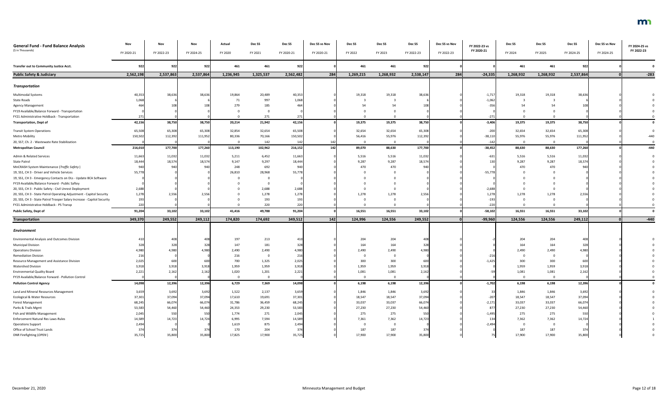| <b>General Fund - Fund Balance Analysis</b><br>(\$ in Thousands)        | Nov<br>FY 2020-21 | Nov<br>FY 2022-23 | Nov<br>FY 2024-25 | Actual<br>FY 2020 | Dec SS<br>FY 2021 | Dec SS<br>FY 2020-21 | Dec SS vs Nov<br>FY 2020-21 | Dec SS<br>FY 2022 | Dec SS<br>FY 2023 | Dec <sub>SS</sub><br>FY 2022-23 | Dec SS vs Nov<br>FY 2022-23 | FY 2022-23 vs<br>FY 2020-21 | Dec SS<br>FY 2024 | Dec SS<br>FY 2025 | Dec SS<br>FY 2024-25 | Dec SS vs Nov<br>FY 2024-25 | FY 2024-25 vs<br>FY 2022-23 |
|-------------------------------------------------------------------------|-------------------|-------------------|-------------------|-------------------|-------------------|----------------------|-----------------------------|-------------------|-------------------|---------------------------------|-----------------------------|-----------------------------|-------------------|-------------------|----------------------|-----------------------------|-----------------------------|
|                                                                         |                   |                   |                   |                   |                   |                      |                             |                   |                   |                                 |                             |                             |                   |                   |                      |                             |                             |
| Transfer out to Community Justice Acct.                                 | 922               | 922               | 922               | 461               | 461               | 922                  |                             | 461               | 461               | 922                             |                             |                             | 461               | 461               | 922                  |                             |                             |
| <b>Public Safety &amp; Judiciary</b>                                    | 2,562,198         | 2,537,863         | 2,537,864         | 1,236,945         | 1,325,537         | 2,562,482            | 284                         | 1,269,215         | 1,268,932         | 2,538,147                       | 284                         | $-24,335$                   | 1,268,932         | 1,268,932         | 2,537,864            |                             | $-283$                      |
| <b>Transportation</b>                                                   |                   |                   |                   |                   |                   |                      |                             |                   |                   |                                 |                             |                             |                   |                   |                      |                             |                             |
| Multimodal Systems                                                      | 40,353            | 38,636            | 38,636            | 19,864            | 20,489            | 40,353               |                             | 19,318            | 19,318            | 38,636                          |                             | $-1,71$                     | 19,318            | 19,318            | 38,636               |                             |                             |
| <b>State Roads</b>                                                      | 1,068             |                   |                   | 71                | 997               | 1,068                |                             |                   |                   |                                 |                             | $-1,062$                    |                   |                   |                      |                             |                             |
| <b>Agency Management</b>                                                |                   |                   |                   | 279               | 185               |                      |                             |                   |                   |                                 |                             | $-35$                       |                   |                   |                      |                             |                             |
| FY19 Available/Balance Forward - Transportation                         |                   |                   |                   |                   |                   |                      |                             |                   |                   |                                 |                             |                             |                   |                   |                      |                             |                             |
| FY21 Administrative Holdback - Transportation                           |                   |                   |                   | $\Omega$          | 271               | 271                  |                             |                   |                   |                                 |                             | $-271$                      |                   |                   |                      |                             |                             |
| <b>Transportation, Dept of</b>                                          | 42,156            | 38,750            | 38,750            | 20,214            | 21,942            | 42,156               |                             | 19,375            | 19,375            | 38,750                          |                             | $-3,406$                    | 19,375            | 19,375            | 38,750               |                             |                             |
| <b>Transit System Operations</b>                                        | 65,508            | 65,308            | 65,308            | 32,854            | 32,654            | 65,508               |                             | 32,654            | 32,654            | 65,308                          |                             | $-200$                      | 32,654            | 32,654            | 65,308               |                             |                             |
| <b>Metro Mobility</b>                                                   | 150,502           | 112,392           | 111,952           | 80,336            | 70,166            | 150,502              |                             | 56,416            | 55,976            | 112,392                         |                             | $-38,110$                   | 55,976            | 55,976            | 111,952              |                             |                             |
| 20, SS7, Ch. 2 - Wastewate Rate Stabilization                           |                   |                   |                   | - 0               | 142               | 142                  | 14 <sub>i</sub>             |                   | $\mathbf 0$       |                                 |                             | $-142$                      |                   | $\Omega$          |                      |                             |                             |
| <b>Metropolitan Council</b>                                             | 216,010           | 177,700           | 177,260           | 113,190           | 102,962           | 216,152              | 142                         | 89,070            | 88,630            | 177,700                         |                             | $-38,452$                   | 88,630            | 88,630            | 177,260              |                             | -440                        |
| Admin & Related Services                                                | 11,663            | 11,032            | 11,032            | 5,211             | 6,452             | 11,663               |                             | 5,516             | 5,516             | 11,032                          |                             | $-631$                      | 5,516             | 5,516             | 11,032               |                             |                             |
| <b>State Patrol</b>                                                     | 18,444            | 18,574            | 18,574            | 9,147             | 9,297             | 18,444               |                             | 9,287             | 9,287             | 18,574                          |                             |                             | 9,287             | 9,287             | 18,574               |                             |                             |
| MnCRASH System Maintenance (Traffic Safety)                             | 940               | 940               |                   | 248               | 692               |                      |                             | 470               | 470               | 94 <sub>0</sub>                 |                             |                             | 470               | 470               | 940                  |                             |                             |
| 19, SS1, CH 3 - Driver and Vehicle Services                             | 55,778            |                   |                   | 26,810            | 28,968            | 55,778               |                             |                   |                   |                                 |                             | $-55,77$                    |                   |                   |                      |                             |                             |
| 19, SS1, CH 3 - Emergency Contacts on DLs - Update BCA Software         |                   |                   |                   |                   |                   |                      |                             |                   |                   |                                 |                             |                             |                   |                   |                      |                             |                             |
| FY19 Available/Balance Forward - Public Saftey                          |                   |                   |                   |                   |                   |                      |                             |                   |                   |                                 |                             |                             |                   |                   |                      |                             |                             |
| 20, SS5, CH 3 - Public Safety - Civil Unrest Deployment                 | 2,688             |                   |                   |                   | 2,688             | 2,688                |                             |                   |                   |                                 |                             | $-2,688$                    |                   |                   |                      |                             |                             |
| 20, SS5, CH 3 - State Patrol Operating Adjustment - Capitol Security    | 1,278             | 2,556             | 2,556             |                   | 1,278             | 1,278                |                             | 1,278             | 1,278             | 2,556                           |                             | 1,27                        | 1,278             | 1,278             | 2,556                |                             |                             |
| 20, SS5, CH 3 - State Patrol Trooper Salary Increase - Capitol Security | 193               |                   |                   |                   | 193               |                      |                             |                   |                   |                                 |                             | $-193$                      |                   |                   |                      |                             |                             |
| FY21 Administrative Holdback - PS Transp                                | 220               |                   |                   |                   | 220               | 22C                  |                             |                   |                   |                                 |                             | $-220$                      |                   |                   |                      |                             |                             |
| <b>Public Safety, Dept of</b>                                           | 91,204            | 33,102            | 33,102            | 41,416            | 49,788            | 91,204               |                             | 16,551            | 16,551            | 33,102                          |                             | $-58,102$                   | 16,551            | 16,551            | 33,102               |                             |                             |
| <b>Transportation</b>                                                   | 349,370           | 249,552           | 249,112           | 174,820           | 174,692           | 349,512              | 142                         | 124,996           | 124,556           | 249,552                         | $\Omega$                    | $-99,960$                   | 124,556           | 124,556           | 249,112              |                             | $-440$                      |
|                                                                         |                   |                   |                   |                   |                   |                      |                             |                   |                   |                                 |                             |                             |                   |                   |                      |                             |                             |
| Environment                                                             |                   |                   |                   |                   |                   |                      |                             |                   |                   |                                 |                             |                             |                   |                   |                      |                             |                             |
| <b>Environmental Analysis and Outcomes Division</b>                     | 410               | 408               | 408               | 197               | 213               |                      |                             | 204               | 204               | 408                             |                             |                             | 204               | 204               | 408                  |                             |                             |
| <b>Municipal Division</b>                                               | 328               | 328               | 328               | 147               | 181               | 328                  |                             | 164               | 164               | 328                             |                             |                             | 164               | 164               | 328                  |                             |                             |
| <b>Operations Division</b>                                              | 4,980             | 4,980             | 4,980             | 2,490             | 2,490             | 4,980                |                             | 2,490             | 2,490             | 4,980                           |                             |                             | 2,490             | 2,490             | 4,980                |                             |                             |
| <b>Remediation Division</b>                                             | 21(               |                   |                   | 216               | - 0               | 216                  |                             |                   | 0                 |                                 |                             | $-21$                       |                   |                   |                      |                             |                             |
| Resource Management and Assistance Division                             | 2,025             | 600               | 600               | 700               | 1,325             | 2,025                |                             | 300               | 300               | 600                             |                             | $-1,42$                     | 300               | 300               | 600                  |                             |                             |
| Watershed Division                                                      | 3,918             | 3,918             | 3,918             | 1,959             | 1,959             | 3,918                |                             | 1,959             | 1,959             | 3,918                           |                             |                             | 1,959             | 1,959             | 3,918                |                             |                             |
| <b>Environmental Quality Board</b>                                      | 2,221             | 2,162             | 2,162             | 1,020             | 1,201             | 2,221                |                             | 1,081             | 1,081             | 2,162                           |                             |                             | 1,081             | 1,081             | 2,162                |                             |                             |
| FY19 Available/Balance Forward - Pollution Control                      |                   |                   |                   | $\overline{0}$    | 0                 |                      |                             |                   | 0                 |                                 |                             |                             |                   |                   |                      |                             |                             |
| <b>Pollution Control Agency</b>                                         | 14,098            | 12,396            | 12,396            | 6,729             | 7,369             | 14,098               |                             | 6,198             | 6,198             | 12,396                          |                             | $-1,702$                    | 6,198             | 6,198             | 12,396               |                             |                             |
| Land and Mineral Resources Management                                   | 3,659             | 3,692             | 3,692             | 1,522             | 2,137             | 3,659                |                             | 1,846             | 1,846             | 3,692                           |                             |                             | 1,846             | 1,846             | 3,692                |                             |                             |
| Ecological & Water Resources                                            | 37,301            | 37,094            | 37,094            | 17,610            | 19,691            | 37,301               |                             | 18,547            | 18,547            | 37,094                          |                             | $-207$                      | 18,547            | 18,547            | 37,094               |                             |                             |
| <b>Forest Management</b>                                                | 68,245            | 66,074            | 66,074            | 31,786            | 36,459            | 68,245               |                             | 33,037            | 33,037            | 66,07                           |                             | $-2,17$                     | 33,037            | 33,037            | 66,074               |                             |                             |
| Parks & Trails Mgmt                                                     | 53,583            | 54,460            | 54,460            | 24,353            | 29,230            | 53,583               |                             | 27,230            | 27,230            | 54,460                          |                             | 87                          | 27,230            | 27,230            | 54,460               |                             |                             |
| Fish and Wildlife Management                                            | 2,045             | 550               | 550               | 1,774             | 271               | 2,045                |                             | 275               | 275               | 550                             |                             | $-1,49$                     | 275               | 275               | 550                  |                             |                             |
| <b>Enforcement Natural Res Laws-Rules</b>                               | 14,589            | 14,723            | 14,724            | 6,995             | 7,594             | 14,589               |                             | 7,361             | 7,362             | 14,723                          |                             | 134                         | 7,362             | 7,362             | 14,724               |                             |                             |
| <b>Operations Support</b>                                               | 2,494             |                   |                   | 1,619             | 875               | 2,494                |                             |                   | 0                 |                                 |                             | $-2,494$                    |                   |                   |                      |                             |                             |
| Office of School Trust Lands                                            |                   | 374               | 374               | 170               | 204               | 374                  |                             | 187               | 187               | 374                             |                             |                             | 187               | 187               | 374                  |                             |                             |
| DNR Firefighting (OPEN)                                                 | 35,725            | 35,800            | 35,800            | 17,825            | 17,900            | 35,725               |                             | 17,900            | 17,900            | 35,800                          |                             |                             | 17,900            | 17,900            | 35,800               |                             |                             |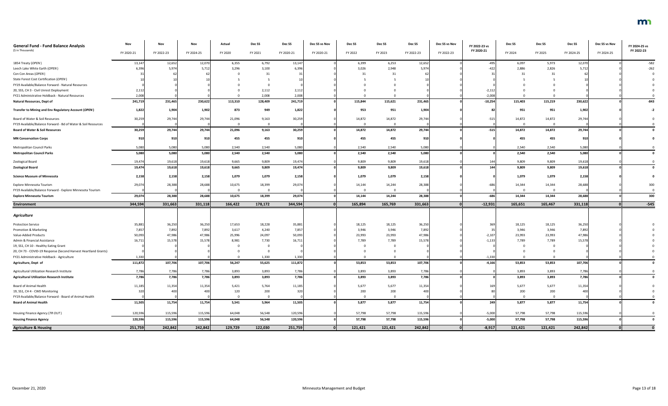| <b>General Fund - Fund Balance Analysis</b><br>(\$ in Thousands) | Nov        | Nov        | Nov<br>FY 2024-25 | Actual  | Dec <sub>SS</sub> | Dec SS     | Dec SS vs Nov<br>FY 2020-21 | Dec SS   | Dec SS                  | Dec SS     | Dec SS vs Nov<br>FY 2022-23 | FY 2022-23 vs<br>FY 2020-21 | Dec SS  | Dec SS  | Dec SS     | Dec SS vs Nov<br>FY 2024-25 | FY 2024-25 vs<br>FY 2022-23 |
|------------------------------------------------------------------|------------|------------|-------------------|---------|-------------------|------------|-----------------------------|----------|-------------------------|------------|-----------------------------|-----------------------------|---------|---------|------------|-----------------------------|-----------------------------|
|                                                                  | FY 2020-21 | FY 2022-23 |                   | FY 2020 | FY 2021           | FY 2020-21 |                             | FY 2022  | FY 2023                 | FY 2022-23 |                             |                             | FY 2024 | FY 2025 | FY 2024-25 |                             |                             |
| 1854 Treaty (OPEN)                                               | 13,147     | 12,652     | 12,070            | 6,355   | 6,792             | 13,147     |                             | 6,399    | 6,253                   | 12,652     |                             | -495                        | 6,097   | 5,973   | 12,070     |                             | $-582$                      |
| Leech Lake White Earth (OPEN)                                    | 6,396      | 5,974      | 5,712             | 3,296   | 3,100             | 6,396      |                             | 3,026    | 2,948                   | 5,974      |                             | -422                        | 2,886   | 2,826   | 5,712      |                             | $-262$                      |
| Con Con Areas (OPEN)                                             |            |            |                   |         | 31                |            |                             | 31       | 31                      |            |                             |                             |         |         |            |                             |                             |
| State Forest Cost Certification (OPEN)                           |            |            |                   |         |                   |            |                             |          |                         |            |                             |                             |         |         |            |                             |                             |
| FY19 Available/Balance Forward - Natural Resources               |            |            |                   |         |                   |            |                             |          |                         |            |                             |                             |         |         |            |                             |                             |
| 20, SS5, CH 3 - Civil Unrest Deployment                          | 2,112      |            |                   |         | 2,112             | 2,112      |                             |          |                         |            |                             | $-2,11$                     |         |         |            |                             |                             |
| FY21 Administrative Holdback - Natural Resources                 | 2,008      |            |                   |         | 2,008             | 2,008      |                             |          |                         |            |                             | $-2,008$                    |         |         |            |                             |                             |
| <b>Natural Resources, Dept of</b>                                | 241,719    | 231,465    | 230,622           | 113,310 | 128,409           | 241,719    |                             | 115,844  | 115,621                 | 231,465    |                             | $-10,254$                   | 115,403 | 115,219 | 230,622    |                             | $-843$                      |
| Transfer to Mining and Env Regulatory Account (OPEN)             | 1,822      | 1,904      | 1,902             | 873     | 949               | 1,822      |                             | 953      | 951                     | 1,904      |                             |                             | 951     | 951     | 1,902      |                             |                             |
| Board of Water & Soil Resources                                  | 30,259     | 29,744     | 29,744            | 21,096  | 9,163             | 30,259     |                             | 14,872   | 14,872                  | 29,744     |                             | $-515$                      | 14,872  | 14,872  | 29,744     |                             |                             |
| FY19 Available/Balance Forward - Bd of Water & Soil Resources    |            |            |                   |         |                   |            |                             |          | $\Omega$                |            |                             |                             |         |         |            |                             |                             |
| <b>Board of Water &amp; Soil Resources</b>                       | 30,259     | 29,744     | 29,744            | 21,096  | 9,163             | 30,259     |                             | 14,872   | 14,872                  | 29,744     |                             | $-515$                      | 14,872  | 14,872  | 29,744     |                             |                             |
| <b>MN Conservation Corps</b>                                     | 910        | 910        | 910               | 455     | 455               | 910        |                             | 455      | 455                     | 910        |                             |                             | 455     | 455     | 910        |                             |                             |
| Metropolitan Council Parks                                       | 5,080      | 5,080      | 5,080             | 2,540   | 2,540             | 5,080      |                             | 2,540    | 2,540                   | 5,080      |                             |                             | 2,540   | 2,540   | 5,080      |                             |                             |
| <b>Metropolitan Council Parks</b>                                | 5,080      | 5,080      | 5,080             | 2,540   | 2,540             | 5,080      |                             | 2,540    | 2,540                   | 5,080      |                             |                             | 2,540   | 2,540   | 5,080      |                             |                             |
| Zoological Board                                                 | 19,474     | 19,618     | 19,618            | 9,665   | 9,809             | 19,474     |                             | 9,809    | 9,809                   | 19,618     |                             |                             | 9,809   | 9,809   | 19,618     |                             |                             |
| <b>Zoological Board</b>                                          | 19,474     | 19,618     | 19,618            | 9,665   | 9,809             | 19,474     |                             | 9,809    | 9,809                   | 19,618     |                             | 144                         | 9,809   | 9,809   | 19,618     |                             |                             |
| <b>Science Museum of Minnesota</b>                               | 2,158      | 2,158      | 2,158             | 1,079   | 1,079             | 2,158      |                             | 1,079    | 1,079                   | 2,158      |                             |                             | 1,079   | 1,079   | 2,158      |                             |                             |
| Explore Minnesota Tourism                                        | 29,074     | 28,388     | 28,688            | 10,675  | 18,399            | 29,074     |                             | 14,144   | 14,244                  | 28,388     |                             | $-686$                      | 14,344  | 14,344  | 28,688     |                             | 300                         |
| FY19 Available/Balance Forward - Explore Minnesota Tourism       |            |            |                   |         |                   |            |                             | $\Omega$ | $\overline{0}$          |            |                             |                             |         |         |            |                             |                             |
| <b>Explore Minnesota Tourism</b>                                 | 29,074     | 28,388     | 28,688            | 10,675  | 18,399            | 29,074     |                             | 14,144   | 14,244                  | 28,388     |                             | -686                        | 14,344  | 14,344  | 28,688     |                             | 300                         |
| <b>Environment</b>                                               | 344,594    | 331,663    | 331,118           | 166,422 | 178,172           | 344,594    |                             | 165,894  | 165,769                 | 331,663    | $\Omega$                    | $-12,931$                   | 165,651 | 165,467 | 331,118    |                             | $-545$                      |
|                                                                  |            |            |                   |         |                   |            |                             |          |                         |            |                             |                             |         |         |            |                             |                             |
| <b>Agriculture</b>                                               |            |            |                   |         |                   |            |                             |          |                         |            |                             |                             |         |         |            |                             |                             |
| <b>Protection Service</b>                                        | 35,881     | 36,250     | 36,250            | 17,653  | 18,228            | 35,881     |                             | 18,125   | 18,125                  | 36,250     |                             | 369                         | 18,125  | 18,125  | 36,250     |                             |                             |
| Promotion & Marketing                                            | 7,857      | 7,892      | 7,892             | 3,617   | 4,240             | 7,857      |                             | 3,946    | 3,946                   | 7,892      |                             |                             | 3,946   | 3,946   | 7,892      |                             |                             |
| Value-Added Products                                             | 50,093     | 47,986     | 47,986            | 25,996  | 24,097            | 50,093     |                             | 23,993   | 23,993                  | 47,986     |                             | $-2,107$                    | 23,993  | 23,993  | 47,986     |                             |                             |
| Admin & Financial Assistance                                     | 16,711     | 15,578     | 15,578            | 8,981   | 7,730             | 16,711     |                             | 7,789    | 7,789                   | 15,578     |                             | $-1,133$                    | 7,789   | 7,789   | 15,578     |                             |                             |
| 19, SS1, CH 10 - Healthy Eating Grant                            |            |            |                   |         |                   |            |                             |          | $\Omega$                |            |                             |                             |         |         |            |                             |                             |
| 20, CH 73 - COVID-19 Response (Second Harvest Heartland Grants)  |            |            |                   |         |                   |            |                             |          |                         |            |                             |                             |         |         |            |                             |                             |
| FY21 Administrative Holdback - Agriculture                       | 1,330      |            |                   |         | 1,330             | 1,330      |                             |          |                         |            |                             | $-1,330$                    |         |         |            |                             |                             |
| Agriculture, Dept of                                             | 111,872    | 107,706    | 107,706           | 56,247  | 55,625            | 111,872    |                             | 53,853   | 53,853                  | 107,706    |                             | $-4,166$                    | 53,853  | 53,853  | 107,706    |                             |                             |
| Agricultural Utilization Research Institute                      | 7,786      | 7,786      | 7,786             | 3,893   | 3,893             | 7,786      |                             | 3,893    | 3,893                   | 7,786      |                             |                             | 3,893   | 3,893   | 7,786      |                             |                             |
| <b>Agricultural Utilization Research Institute</b>               | 7,786      | 7,786      | 7,786             | 3,893   | 3,893             | 7,786      |                             | 3,893    | 3,893                   | 7,786      |                             |                             | 3,893   | 3,893   | 7,786      |                             |                             |
| <b>Board of Animal Health</b>                                    | 11,185     | 11,354     | 11,354            | 5,421   | 5,764             | 11,185     |                             | 5,677    | 5,677                   | 11,354     |                             |                             | 5,677   | 5,677   | 11,354     |                             |                             |
| 19, SS1, CH 4 - CWD Monitoring                                   | 320        | 40         | 400               | 120     | 200               | 320        |                             | 200      | 200                     | 400        |                             |                             | 200     | 200     | 40         |                             |                             |
| FY19 Available/Balance Forward - Board of Animal Health          |            |            |                   |         |                   |            |                             |          | $\overline{\mathbf{0}}$ |            |                             |                             |         |         |            |                             |                             |
| <b>Board of Animal Health</b>                                    | 11,505     | 11,754     | 11,754            | 5,541   | 5,964             | 11,505     |                             | 5,877    | 5,877                   | 11,754     |                             | 249                         | 5,877   | 5,877   | 11,754     |                             |                             |
| Housing Finance Agency (TR OUT)                                  | 120,596    | 115,596    | 115,596           | 64,048  | 56,548            | 120,596    |                             | 57,798   | 57,798                  | 115,596    |                             | $-5,000$                    | 57,798  | 57,798  | 115,596    |                             |                             |
| <b>Housing Finance Agency</b>                                    | 120,596    | 115,596    | 115,596           | 64,048  | 56,548            | 120,596    |                             | 57,798   | 57,798                  | 115,596    |                             | $-5,000$                    | 57,798  | 57,798  | 115,596    |                             |                             |
| <b>Agriculture &amp; Housing</b>                                 | 251,759    | 242,842    | 242,842           | 129,729 | 122,030           | 251,759    |                             | 121,421  | 121,421                 | 242,842    |                             | $-8,917$                    | 121,421 | 121,421 | 242,842    |                             |                             |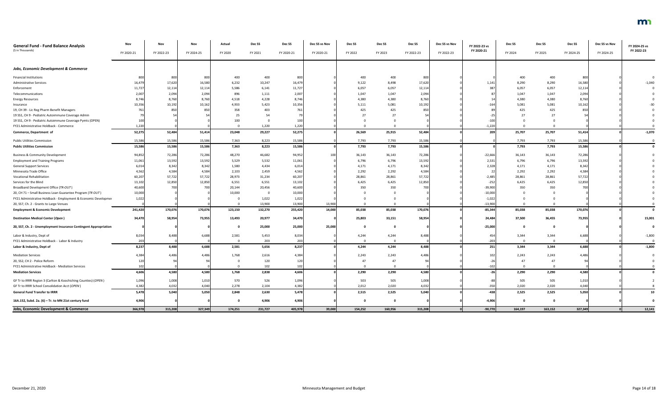| FY 2020-21<br>FY 2022-23<br>FY 2020-21<br>FY 2022-23<br>FY 2024-25<br>FY 2020<br>FY 2021<br>FY 2020-21<br>FY 2020-21<br>FY 2023<br>FY 2022-23<br>FY 2022-23<br>FY 2024<br>FY 2025<br>FY 2024-25<br>FY 2024-25<br>FY 2022<br><b>Jobs, Economic Development &amp; Commerce</b><br>400<br>400<br>400<br>400<br>400<br>400<br>800<br>800<br>800<br>800<br>800<br>800<br>17,620<br>16,580<br>16,479<br>17,620<br>16,580<br>16,479<br>6,232<br>10,247<br>9,122<br>8,498<br>8,290<br>8,290<br>$-1,040$<br><b>Administrative Services</b><br>1,141<br>12,114<br>11,72<br>12,114<br>5,586<br>11,727<br>6,057<br>6,057<br>12,114<br>387<br>6,057<br>6,057<br>12,114<br>Enforcement<br>6,141<br>2,094<br>2,094<br>1,047<br>1,047<br>2,094<br>2,094<br>Telecommunications<br>896<br>1,111<br>2,007<br>1,047<br>2,007<br>1,047<br>8,760<br>8,760<br>8,746<br>4,380<br>8,760<br>4,228<br>4,380<br>8,760<br>4,380<br>8,74<br>4,518<br>4,380<br><b>Energy Resources</b><br>10,192<br>10,162<br>10,356<br>5,081<br>10,192<br>10,162<br>10,35<br>4,933<br>5,423<br>5,111<br>$-16$<br>5,081<br>5,081<br>Insurance<br>425<br>425<br>850<br>19, CH 39 - Lic Reg Pharm Benefit Managers<br>850<br>850<br>358<br>403<br>761<br>425<br>425<br>850<br>25<br>54<br>19 SS1, CH 9 - Pediatric Autoimmune Coverage Admin<br>27<br>27<br>100<br>19 SS1, CH 9 - Pediatric Autoimmune Coverage Pymts (OPEN)<br>$-10$<br>100<br>FY21 Administrative Holdback - Commerce<br>1,220<br>1,220<br>$-1,220$<br>1,22<br>$\Omega$<br>52,275<br>52,275<br>52,484<br>52,484<br>51,414<br>23,048<br>26,569<br>25,915<br>209<br>25,707<br>25,707<br>Commerce, Department of<br>29,227<br>51,414<br>15,586<br>15,586<br>7,363<br>8,223<br>7,793<br>7,793<br>7,793<br>15,58<br>15,586<br>15,586<br>7,793<br>15,586<br>15,58<br>15,586<br>15,586<br>7,363<br>15,586<br>7,793<br>7,793<br>15,586<br>7,793<br>15,586<br>8,223<br>7,793<br>72,286<br>72,286<br>48,270<br>46,682<br>94,952<br>36,143<br>36,143<br>72,286<br>$-22,666$<br>36,143<br>36,143<br>72,286<br>94,85<br>13,592<br>6,796<br>13,592<br>6,796<br>13,592<br>5,529<br>5,532<br>11,061<br>6,796<br>2,531<br>6,796<br>13,592<br>11,061<br>8,342<br>8,342<br>6,014<br>8,342<br>1,580<br>4,434<br>4,171<br>8,342<br>2,328<br>4,171<br>4,171<br>4,171<br>6,01<br>4,584<br>4,584<br>2,103<br>4,562<br>2,292<br>2,292<br>4,584<br>2,292<br>2,292<br>4,584<br>4,56<br>2,459<br>57,722<br>57,722<br>60,207<br>28,861<br>57,722<br>60,20<br>28,973<br>31,234<br>28,861<br>57,722<br>28,861<br>28,861<br>$-2,48!$<br>12,850<br>12,850<br>13,102<br>12,850<br>12,850<br>13,102<br>6,551<br>6,551<br>6,425<br>6,425<br>$-252$<br>6,425<br>6,425<br>350<br>40,600<br>350<br>700<br>$-39,900$<br>350<br>40,600<br>700<br>20,144<br>20,456<br>350<br>700<br>10,000<br>$-10,000$<br>10,000<br>10,000<br>- 0<br>1,022<br>1,022<br>1,022<br>$-1,02$<br>- 0<br>13,900<br>13,900<br>13,900<br>$-13,900$<br>$\Omega$<br>170,076<br>170,076<br>255,420<br>14,000<br>85,038<br>170,076<br>$-85,344$<br>241,420<br>123,150<br>85,038<br>85,038<br>85,038<br>170,076<br>132,270<br>58,954<br>73,955<br>25,803<br>33,151<br>58,954<br>73,955<br>15,001<br>34,470<br>13,493<br>20,977<br>34,470<br>24,484<br>37,500<br>36,455<br>25,000<br>25,000<br>25,000<br>$-25,000$<br>0<br>2,581<br>4,244<br>3,344<br>8,034<br>6,688<br>5,453<br>8,034<br>4,244<br>8,488<br>3,344<br>$-1,800$<br>8,488<br>454<br>6,688<br>203<br>203<br>$-203$<br>$\overline{0}$<br>4,244<br>8,488<br>6,688<br>5,656<br>8,237<br>8,488<br>8,237<br>2,581<br>4,244<br>251<br>3,344<br>3,344<br>6,688<br>$-1,800$<br>2,243<br>1,768<br>2,616<br>2,243<br>2,243<br>4,486<br>4,384<br>102<br>2,243<br>4,486<br>4,384<br>4,486<br>4,486<br>120<br>120<br>47<br>47<br>47<br>102<br>102<br>$-10$<br>$\Omega$<br>4,580<br>4,580<br>4,606<br>2,290<br>4,580<br>4,606<br>1,768<br>2,838<br>2,290<br>2,290<br>4,580<br>2,290<br>$-26$<br>1,010<br>526<br>503<br>505<br>505<br>1,008<br>570<br>1,008<br>505<br>1,010<br>1,096<br>1,096<br>4,040<br>4,382<br>2,012<br>2,020<br>4,032<br>2,020<br>4,040<br>4,38<br>4,032<br>2,278<br>2,104<br>2,020<br>5,040<br>5,050<br>2,525<br>5,040<br>2,848<br>5,478<br>2,515<br>2,525<br>2,525<br>5,050<br>5,478<br>2,630<br>$-438$<br>4,906<br>4,906<br>4,906<br>$-4,906$<br>- 0<br>315,208<br>39,000<br>$-90,770$<br>366,978<br>327,349<br>174,251<br>231,727<br>405,978<br>154,252<br>160,956<br>315,208<br>164,197<br>163,152<br>327,349 | <b>General Fund - Fund Balance Analysis</b>                      | Nov | Nov | Nov | Actual | Dec SS | Dec SS | Dec SS vs Nov | Dec SS | Dec SS | Dec SS | Dec SS vs Nov | FY 2022-23 vs | Dec <sub>SS</sub> | Dec SS | Dec SS | Dec SS vs Nov | FY 2024-25 vs |
|-------------------------------------------------------------------------------------------------------------------------------------------------------------------------------------------------------------------------------------------------------------------------------------------------------------------------------------------------------------------------------------------------------------------------------------------------------------------------------------------------------------------------------------------------------------------------------------------------------------------------------------------------------------------------------------------------------------------------------------------------------------------------------------------------------------------------------------------------------------------------------------------------------------------------------------------------------------------------------------------------------------------------------------------------------------------------------------------------------------------------------------------------------------------------------------------------------------------------------------------------------------------------------------------------------------------------------------------------------------------------------------------------------------------------------------------------------------------------------------------------------------------------------------------------------------------------------------------------------------------------------------------------------------------------------------------------------------------------------------------------------------------------------------------------------------------------------------------------------------------------------------------------------------------------------------------------------------------------------------------------------------------------------------------------------------------------------------------------------------------------------------------------------------------------------------------------------------------------------------------------------------------------------------------------------------------------------------------------------------------------------------------------------------------------------------------------------------------------------------------------------------------------------------------------------------------------------------------------------------------------------------------------------------------------------------------------------------------------------------------------------------------------------------------------------------------------------------------------------------------------------------------------------------------------------------------------------------------------------------------------------------------------------------------------------------------------------------------------------------------------------------------------------------------------------------------------------------------------------------------------------------------------------------------------------------------------------------------------------------------------------------------------------------------------------------------------------------------------------------------------------------------------------------------------------------------------------------------------------------------------------------------------------------------------------------------------------------------------------------------------------------------------------------------------------------------------------------------------------------------------------------------------------------------------------------------------------------------------------------------------------------------------------------------------------------------------------------------------------------------------------------------------------------------------------------------------------------------------------------------------------------------------------------------------------------------------------------------------------------------------------------------------------------------------------|------------------------------------------------------------------|-----|-----|-----|--------|--------|--------|---------------|--------|--------|--------|---------------|---------------|-------------------|--------|--------|---------------|---------------|
| $-1,070$<br>10<br>12,141                                                                                                                                                                                                                                                                                                                                                                                                                                                                                                                                                                                                                                                                                                                                                                                                                                                                                                                                                                                                                                                                                                                                                                                                                                                                                                                                                                                                                                                                                                                                                                                                                                                                                                                                                                                                                                                                                                                                                                                                                                                                                                                                                                                                                                                                                                                                                                                                                                                                                                                                                                                                                                                                                                                                                                                                                                                                                                                                                                                                                                                                                                                                                                                                                                                                                                                                                                                                                                                                                                                                                                                                                                                                                                                                                                                                                                                                                                                                                                                                                                                                                                                                                                                                                                                                                                                                                                                                      | (\$ in Thousands)                                                |     |     |     |        |        |        |               |        |        |        |               |               |                   |        |        |               |               |
|                                                                                                                                                                                                                                                                                                                                                                                                                                                                                                                                                                                                                                                                                                                                                                                                                                                                                                                                                                                                                                                                                                                                                                                                                                                                                                                                                                                                                                                                                                                                                                                                                                                                                                                                                                                                                                                                                                                                                                                                                                                                                                                                                                                                                                                                                                                                                                                                                                                                                                                                                                                                                                                                                                                                                                                                                                                                                                                                                                                                                                                                                                                                                                                                                                                                                                                                                                                                                                                                                                                                                                                                                                                                                                                                                                                                                                                                                                                                                                                                                                                                                                                                                                                                                                                                                                                                                                                                                               |                                                                  |     |     |     |        |        |        |               |        |        |        |               |               |                   |        |        |               |               |
|                                                                                                                                                                                                                                                                                                                                                                                                                                                                                                                                                                                                                                                                                                                                                                                                                                                                                                                                                                                                                                                                                                                                                                                                                                                                                                                                                                                                                                                                                                                                                                                                                                                                                                                                                                                                                                                                                                                                                                                                                                                                                                                                                                                                                                                                                                                                                                                                                                                                                                                                                                                                                                                                                                                                                                                                                                                                                                                                                                                                                                                                                                                                                                                                                                                                                                                                                                                                                                                                                                                                                                                                                                                                                                                                                                                                                                                                                                                                                                                                                                                                                                                                                                                                                                                                                                                                                                                                                               |                                                                  |     |     |     |        |        |        |               |        |        |        |               |               |                   |        |        |               |               |
|                                                                                                                                                                                                                                                                                                                                                                                                                                                                                                                                                                                                                                                                                                                                                                                                                                                                                                                                                                                                                                                                                                                                                                                                                                                                                                                                                                                                                                                                                                                                                                                                                                                                                                                                                                                                                                                                                                                                                                                                                                                                                                                                                                                                                                                                                                                                                                                                                                                                                                                                                                                                                                                                                                                                                                                                                                                                                                                                                                                                                                                                                                                                                                                                                                                                                                                                                                                                                                                                                                                                                                                                                                                                                                                                                                                                                                                                                                                                                                                                                                                                                                                                                                                                                                                                                                                                                                                                                               | <b>Financial Institutions</b>                                    |     |     |     |        |        |        |               |        |        |        |               |               |                   |        |        |               |               |
|                                                                                                                                                                                                                                                                                                                                                                                                                                                                                                                                                                                                                                                                                                                                                                                                                                                                                                                                                                                                                                                                                                                                                                                                                                                                                                                                                                                                                                                                                                                                                                                                                                                                                                                                                                                                                                                                                                                                                                                                                                                                                                                                                                                                                                                                                                                                                                                                                                                                                                                                                                                                                                                                                                                                                                                                                                                                                                                                                                                                                                                                                                                                                                                                                                                                                                                                                                                                                                                                                                                                                                                                                                                                                                                                                                                                                                                                                                                                                                                                                                                                                                                                                                                                                                                                                                                                                                                                                               |                                                                  |     |     |     |        |        |        |               |        |        |        |               |               |                   |        |        |               |               |
|                                                                                                                                                                                                                                                                                                                                                                                                                                                                                                                                                                                                                                                                                                                                                                                                                                                                                                                                                                                                                                                                                                                                                                                                                                                                                                                                                                                                                                                                                                                                                                                                                                                                                                                                                                                                                                                                                                                                                                                                                                                                                                                                                                                                                                                                                                                                                                                                                                                                                                                                                                                                                                                                                                                                                                                                                                                                                                                                                                                                                                                                                                                                                                                                                                                                                                                                                                                                                                                                                                                                                                                                                                                                                                                                                                                                                                                                                                                                                                                                                                                                                                                                                                                                                                                                                                                                                                                                                               |                                                                  |     |     |     |        |        |        |               |        |        |        |               |               |                   |        |        |               |               |
|                                                                                                                                                                                                                                                                                                                                                                                                                                                                                                                                                                                                                                                                                                                                                                                                                                                                                                                                                                                                                                                                                                                                                                                                                                                                                                                                                                                                                                                                                                                                                                                                                                                                                                                                                                                                                                                                                                                                                                                                                                                                                                                                                                                                                                                                                                                                                                                                                                                                                                                                                                                                                                                                                                                                                                                                                                                                                                                                                                                                                                                                                                                                                                                                                                                                                                                                                                                                                                                                                                                                                                                                                                                                                                                                                                                                                                                                                                                                                                                                                                                                                                                                                                                                                                                                                                                                                                                                                               |                                                                  |     |     |     |        |        |        |               |        |        |        |               |               |                   |        |        |               |               |
|                                                                                                                                                                                                                                                                                                                                                                                                                                                                                                                                                                                                                                                                                                                                                                                                                                                                                                                                                                                                                                                                                                                                                                                                                                                                                                                                                                                                                                                                                                                                                                                                                                                                                                                                                                                                                                                                                                                                                                                                                                                                                                                                                                                                                                                                                                                                                                                                                                                                                                                                                                                                                                                                                                                                                                                                                                                                                                                                                                                                                                                                                                                                                                                                                                                                                                                                                                                                                                                                                                                                                                                                                                                                                                                                                                                                                                                                                                                                                                                                                                                                                                                                                                                                                                                                                                                                                                                                                               |                                                                  |     |     |     |        |        |        |               |        |        |        |               |               |                   |        |        |               |               |
|                                                                                                                                                                                                                                                                                                                                                                                                                                                                                                                                                                                                                                                                                                                                                                                                                                                                                                                                                                                                                                                                                                                                                                                                                                                                                                                                                                                                                                                                                                                                                                                                                                                                                                                                                                                                                                                                                                                                                                                                                                                                                                                                                                                                                                                                                                                                                                                                                                                                                                                                                                                                                                                                                                                                                                                                                                                                                                                                                                                                                                                                                                                                                                                                                                                                                                                                                                                                                                                                                                                                                                                                                                                                                                                                                                                                                                                                                                                                                                                                                                                                                                                                                                                                                                                                                                                                                                                                                               |                                                                  |     |     |     |        |        |        |               |        |        |        |               |               |                   |        |        |               |               |
|                                                                                                                                                                                                                                                                                                                                                                                                                                                                                                                                                                                                                                                                                                                                                                                                                                                                                                                                                                                                                                                                                                                                                                                                                                                                                                                                                                                                                                                                                                                                                                                                                                                                                                                                                                                                                                                                                                                                                                                                                                                                                                                                                                                                                                                                                                                                                                                                                                                                                                                                                                                                                                                                                                                                                                                                                                                                                                                                                                                                                                                                                                                                                                                                                                                                                                                                                                                                                                                                                                                                                                                                                                                                                                                                                                                                                                                                                                                                                                                                                                                                                                                                                                                                                                                                                                                                                                                                                               |                                                                  |     |     |     |        |        |        |               |        |        |        |               |               |                   |        |        |               |               |
|                                                                                                                                                                                                                                                                                                                                                                                                                                                                                                                                                                                                                                                                                                                                                                                                                                                                                                                                                                                                                                                                                                                                                                                                                                                                                                                                                                                                                                                                                                                                                                                                                                                                                                                                                                                                                                                                                                                                                                                                                                                                                                                                                                                                                                                                                                                                                                                                                                                                                                                                                                                                                                                                                                                                                                                                                                                                                                                                                                                                                                                                                                                                                                                                                                                                                                                                                                                                                                                                                                                                                                                                                                                                                                                                                                                                                                                                                                                                                                                                                                                                                                                                                                                                                                                                                                                                                                                                                               |                                                                  |     |     |     |        |        |        |               |        |        |        |               |               |                   |        |        |               |               |
|                                                                                                                                                                                                                                                                                                                                                                                                                                                                                                                                                                                                                                                                                                                                                                                                                                                                                                                                                                                                                                                                                                                                                                                                                                                                                                                                                                                                                                                                                                                                                                                                                                                                                                                                                                                                                                                                                                                                                                                                                                                                                                                                                                                                                                                                                                                                                                                                                                                                                                                                                                                                                                                                                                                                                                                                                                                                                                                                                                                                                                                                                                                                                                                                                                                                                                                                                                                                                                                                                                                                                                                                                                                                                                                                                                                                                                                                                                                                                                                                                                                                                                                                                                                                                                                                                                                                                                                                                               |                                                                  |     |     |     |        |        |        |               |        |        |        |               |               |                   |        |        |               |               |
|                                                                                                                                                                                                                                                                                                                                                                                                                                                                                                                                                                                                                                                                                                                                                                                                                                                                                                                                                                                                                                                                                                                                                                                                                                                                                                                                                                                                                                                                                                                                                                                                                                                                                                                                                                                                                                                                                                                                                                                                                                                                                                                                                                                                                                                                                                                                                                                                                                                                                                                                                                                                                                                                                                                                                                                                                                                                                                                                                                                                                                                                                                                                                                                                                                                                                                                                                                                                                                                                                                                                                                                                                                                                                                                                                                                                                                                                                                                                                                                                                                                                                                                                                                                                                                                                                                                                                                                                                               |                                                                  |     |     |     |        |        |        |               |        |        |        |               |               |                   |        |        |               |               |
|                                                                                                                                                                                                                                                                                                                                                                                                                                                                                                                                                                                                                                                                                                                                                                                                                                                                                                                                                                                                                                                                                                                                                                                                                                                                                                                                                                                                                                                                                                                                                                                                                                                                                                                                                                                                                                                                                                                                                                                                                                                                                                                                                                                                                                                                                                                                                                                                                                                                                                                                                                                                                                                                                                                                                                                                                                                                                                                                                                                                                                                                                                                                                                                                                                                                                                                                                                                                                                                                                                                                                                                                                                                                                                                                                                                                                                                                                                                                                                                                                                                                                                                                                                                                                                                                                                                                                                                                                               |                                                                  |     |     |     |        |        |        |               |        |        |        |               |               |                   |        |        |               |               |
|                                                                                                                                                                                                                                                                                                                                                                                                                                                                                                                                                                                                                                                                                                                                                                                                                                                                                                                                                                                                                                                                                                                                                                                                                                                                                                                                                                                                                                                                                                                                                                                                                                                                                                                                                                                                                                                                                                                                                                                                                                                                                                                                                                                                                                                                                                                                                                                                                                                                                                                                                                                                                                                                                                                                                                                                                                                                                                                                                                                                                                                                                                                                                                                                                                                                                                                                                                                                                                                                                                                                                                                                                                                                                                                                                                                                                                                                                                                                                                                                                                                                                                                                                                                                                                                                                                                                                                                                                               | <b>Public Utilities Commission</b>                               |     |     |     |        |        |        |               |        |        |        |               |               |                   |        |        |               |               |
|                                                                                                                                                                                                                                                                                                                                                                                                                                                                                                                                                                                                                                                                                                                                                                                                                                                                                                                                                                                                                                                                                                                                                                                                                                                                                                                                                                                                                                                                                                                                                                                                                                                                                                                                                                                                                                                                                                                                                                                                                                                                                                                                                                                                                                                                                                                                                                                                                                                                                                                                                                                                                                                                                                                                                                                                                                                                                                                                                                                                                                                                                                                                                                                                                                                                                                                                                                                                                                                                                                                                                                                                                                                                                                                                                                                                                                                                                                                                                                                                                                                                                                                                                                                                                                                                                                                                                                                                                               | <b>Public Utilities Commission</b>                               |     |     |     |        |        |        |               |        |        |        |               |               |                   |        |        |               |               |
|                                                                                                                                                                                                                                                                                                                                                                                                                                                                                                                                                                                                                                                                                                                                                                                                                                                                                                                                                                                                                                                                                                                                                                                                                                                                                                                                                                                                                                                                                                                                                                                                                                                                                                                                                                                                                                                                                                                                                                                                                                                                                                                                                                                                                                                                                                                                                                                                                                                                                                                                                                                                                                                                                                                                                                                                                                                                                                                                                                                                                                                                                                                                                                                                                                                                                                                                                                                                                                                                                                                                                                                                                                                                                                                                                                                                                                                                                                                                                                                                                                                                                                                                                                                                                                                                                                                                                                                                                               | <b>Business &amp; Community Development</b>                      |     |     |     |        |        |        |               |        |        |        |               |               |                   |        |        |               |               |
|                                                                                                                                                                                                                                                                                                                                                                                                                                                                                                                                                                                                                                                                                                                                                                                                                                                                                                                                                                                                                                                                                                                                                                                                                                                                                                                                                                                                                                                                                                                                                                                                                                                                                                                                                                                                                                                                                                                                                                                                                                                                                                                                                                                                                                                                                                                                                                                                                                                                                                                                                                                                                                                                                                                                                                                                                                                                                                                                                                                                                                                                                                                                                                                                                                                                                                                                                                                                                                                                                                                                                                                                                                                                                                                                                                                                                                                                                                                                                                                                                                                                                                                                                                                                                                                                                                                                                                                                                               | <b>Employment and Training Programs</b>                          |     |     |     |        |        |        |               |        |        |        |               |               |                   |        |        |               |               |
|                                                                                                                                                                                                                                                                                                                                                                                                                                                                                                                                                                                                                                                                                                                                                                                                                                                                                                                                                                                                                                                                                                                                                                                                                                                                                                                                                                                                                                                                                                                                                                                                                                                                                                                                                                                                                                                                                                                                                                                                                                                                                                                                                                                                                                                                                                                                                                                                                                                                                                                                                                                                                                                                                                                                                                                                                                                                                                                                                                                                                                                                                                                                                                                                                                                                                                                                                                                                                                                                                                                                                                                                                                                                                                                                                                                                                                                                                                                                                                                                                                                                                                                                                                                                                                                                                                                                                                                                                               | <b>General Support Services</b>                                  |     |     |     |        |        |        |               |        |        |        |               |               |                   |        |        |               |               |
|                                                                                                                                                                                                                                                                                                                                                                                                                                                                                                                                                                                                                                                                                                                                                                                                                                                                                                                                                                                                                                                                                                                                                                                                                                                                                                                                                                                                                                                                                                                                                                                                                                                                                                                                                                                                                                                                                                                                                                                                                                                                                                                                                                                                                                                                                                                                                                                                                                                                                                                                                                                                                                                                                                                                                                                                                                                                                                                                                                                                                                                                                                                                                                                                                                                                                                                                                                                                                                                                                                                                                                                                                                                                                                                                                                                                                                                                                                                                                                                                                                                                                                                                                                                                                                                                                                                                                                                                                               | Minnesota Trade Office                                           |     |     |     |        |        |        |               |        |        |        |               |               |                   |        |        |               |               |
|                                                                                                                                                                                                                                                                                                                                                                                                                                                                                                                                                                                                                                                                                                                                                                                                                                                                                                                                                                                                                                                                                                                                                                                                                                                                                                                                                                                                                                                                                                                                                                                                                                                                                                                                                                                                                                                                                                                                                                                                                                                                                                                                                                                                                                                                                                                                                                                                                                                                                                                                                                                                                                                                                                                                                                                                                                                                                                                                                                                                                                                                                                                                                                                                                                                                                                                                                                                                                                                                                                                                                                                                                                                                                                                                                                                                                                                                                                                                                                                                                                                                                                                                                                                                                                                                                                                                                                                                                               | <b>Vocational Rehabilitation</b>                                 |     |     |     |        |        |        |               |        |        |        |               |               |                   |        |        |               |               |
|                                                                                                                                                                                                                                                                                                                                                                                                                                                                                                                                                                                                                                                                                                                                                                                                                                                                                                                                                                                                                                                                                                                                                                                                                                                                                                                                                                                                                                                                                                                                                                                                                                                                                                                                                                                                                                                                                                                                                                                                                                                                                                                                                                                                                                                                                                                                                                                                                                                                                                                                                                                                                                                                                                                                                                                                                                                                                                                                                                                                                                                                                                                                                                                                                                                                                                                                                                                                                                                                                                                                                                                                                                                                                                                                                                                                                                                                                                                                                                                                                                                                                                                                                                                                                                                                                                                                                                                                                               | Services for the Blind                                           |     |     |     |        |        |        |               |        |        |        |               |               |                   |        |        |               |               |
|                                                                                                                                                                                                                                                                                                                                                                                                                                                                                                                                                                                                                                                                                                                                                                                                                                                                                                                                                                                                                                                                                                                                                                                                                                                                                                                                                                                                                                                                                                                                                                                                                                                                                                                                                                                                                                                                                                                                                                                                                                                                                                                                                                                                                                                                                                                                                                                                                                                                                                                                                                                                                                                                                                                                                                                                                                                                                                                                                                                                                                                                                                                                                                                                                                                                                                                                                                                                                                                                                                                                                                                                                                                                                                                                                                                                                                                                                                                                                                                                                                                                                                                                                                                                                                                                                                                                                                                                                               | Broadband Development Office (TR-OUT)                            |     |     |     |        |        |        |               |        |        |        |               |               |                   |        |        |               |               |
|                                                                                                                                                                                                                                                                                                                                                                                                                                                                                                                                                                                                                                                                                                                                                                                                                                                                                                                                                                                                                                                                                                                                                                                                                                                                                                                                                                                                                                                                                                                                                                                                                                                                                                                                                                                                                                                                                                                                                                                                                                                                                                                                                                                                                                                                                                                                                                                                                                                                                                                                                                                                                                                                                                                                                                                                                                                                                                                                                                                                                                                                                                                                                                                                                                                                                                                                                                                                                                                                                                                                                                                                                                                                                                                                                                                                                                                                                                                                                                                                                                                                                                                                                                                                                                                                                                                                                                                                                               | 20, CH 71 - Small Business Loan Guarantee Program (TR OUT)       |     |     |     |        |        |        |               |        |        |        |               |               |                   |        |        |               |               |
|                                                                                                                                                                                                                                                                                                                                                                                                                                                                                                                                                                                                                                                                                                                                                                                                                                                                                                                                                                                                                                                                                                                                                                                                                                                                                                                                                                                                                                                                                                                                                                                                                                                                                                                                                                                                                                                                                                                                                                                                                                                                                                                                                                                                                                                                                                                                                                                                                                                                                                                                                                                                                                                                                                                                                                                                                                                                                                                                                                                                                                                                                                                                                                                                                                                                                                                                                                                                                                                                                                                                                                                                                                                                                                                                                                                                                                                                                                                                                                                                                                                                                                                                                                                                                                                                                                                                                                                                                               | FY21 Administrative Holdback - Employment & Economic Developmer  |     |     |     |        |        |        |               |        |        |        |               |               |                   |        |        |               |               |
|                                                                                                                                                                                                                                                                                                                                                                                                                                                                                                                                                                                                                                                                                                                                                                                                                                                                                                                                                                                                                                                                                                                                                                                                                                                                                                                                                                                                                                                                                                                                                                                                                                                                                                                                                                                                                                                                                                                                                                                                                                                                                                                                                                                                                                                                                                                                                                                                                                                                                                                                                                                                                                                                                                                                                                                                                                                                                                                                                                                                                                                                                                                                                                                                                                                                                                                                                                                                                                                                                                                                                                                                                                                                                                                                                                                                                                                                                                                                                                                                                                                                                                                                                                                                                                                                                                                                                                                                                               | 20, SS7, Ch. 2 - Grants to Large Venues                          |     |     |     |        |        |        |               |        |        |        |               |               |                   |        |        |               |               |
|                                                                                                                                                                                                                                                                                                                                                                                                                                                                                                                                                                                                                                                                                                                                                                                                                                                                                                                                                                                                                                                                                                                                                                                                                                                                                                                                                                                                                                                                                                                                                                                                                                                                                                                                                                                                                                                                                                                                                                                                                                                                                                                                                                                                                                                                                                                                                                                                                                                                                                                                                                                                                                                                                                                                                                                                                                                                                                                                                                                                                                                                                                                                                                                                                                                                                                                                                                                                                                                                                                                                                                                                                                                                                                                                                                                                                                                                                                                                                                                                                                                                                                                                                                                                                                                                                                                                                                                                                               | <b>Employment &amp; Economic Development</b>                     |     |     |     |        |        |        |               |        |        |        |               |               |                   |        |        |               |               |
|                                                                                                                                                                                                                                                                                                                                                                                                                                                                                                                                                                                                                                                                                                                                                                                                                                                                                                                                                                                                                                                                                                                                                                                                                                                                                                                                                                                                                                                                                                                                                                                                                                                                                                                                                                                                                                                                                                                                                                                                                                                                                                                                                                                                                                                                                                                                                                                                                                                                                                                                                                                                                                                                                                                                                                                                                                                                                                                                                                                                                                                                                                                                                                                                                                                                                                                                                                                                                                                                                                                                                                                                                                                                                                                                                                                                                                                                                                                                                                                                                                                                                                                                                                                                                                                                                                                                                                                                                               | <b>Destination Medical Center (Open)</b>                         |     |     |     |        |        |        |               |        |        |        |               |               |                   |        |        |               |               |
|                                                                                                                                                                                                                                                                                                                                                                                                                                                                                                                                                                                                                                                                                                                                                                                                                                                                                                                                                                                                                                                                                                                                                                                                                                                                                                                                                                                                                                                                                                                                                                                                                                                                                                                                                                                                                                                                                                                                                                                                                                                                                                                                                                                                                                                                                                                                                                                                                                                                                                                                                                                                                                                                                                                                                                                                                                                                                                                                                                                                                                                                                                                                                                                                                                                                                                                                                                                                                                                                                                                                                                                                                                                                                                                                                                                                                                                                                                                                                                                                                                                                                                                                                                                                                                                                                                                                                                                                                               | 20, SS7, Ch. 2 - Unemployment Insurance Contingent Appropriation |     |     |     |        |        |        |               |        |        |        |               |               |                   |        |        |               |               |
|                                                                                                                                                                                                                                                                                                                                                                                                                                                                                                                                                                                                                                                                                                                                                                                                                                                                                                                                                                                                                                                                                                                                                                                                                                                                                                                                                                                                                                                                                                                                                                                                                                                                                                                                                                                                                                                                                                                                                                                                                                                                                                                                                                                                                                                                                                                                                                                                                                                                                                                                                                                                                                                                                                                                                                                                                                                                                                                                                                                                                                                                                                                                                                                                                                                                                                                                                                                                                                                                                                                                                                                                                                                                                                                                                                                                                                                                                                                                                                                                                                                                                                                                                                                                                                                                                                                                                                                                                               | Labor & Industry, Dept of                                        |     |     |     |        |        |        |               |        |        |        |               |               |                   |        |        |               |               |
|                                                                                                                                                                                                                                                                                                                                                                                                                                                                                                                                                                                                                                                                                                                                                                                                                                                                                                                                                                                                                                                                                                                                                                                                                                                                                                                                                                                                                                                                                                                                                                                                                                                                                                                                                                                                                                                                                                                                                                                                                                                                                                                                                                                                                                                                                                                                                                                                                                                                                                                                                                                                                                                                                                                                                                                                                                                                                                                                                                                                                                                                                                                                                                                                                                                                                                                                                                                                                                                                                                                                                                                                                                                                                                                                                                                                                                                                                                                                                                                                                                                                                                                                                                                                                                                                                                                                                                                                                               | FY21 Administrative Holdback - Labor & Industry                  |     |     |     |        |        |        |               |        |        |        |               |               |                   |        |        |               |               |
|                                                                                                                                                                                                                                                                                                                                                                                                                                                                                                                                                                                                                                                                                                                                                                                                                                                                                                                                                                                                                                                                                                                                                                                                                                                                                                                                                                                                                                                                                                                                                                                                                                                                                                                                                                                                                                                                                                                                                                                                                                                                                                                                                                                                                                                                                                                                                                                                                                                                                                                                                                                                                                                                                                                                                                                                                                                                                                                                                                                                                                                                                                                                                                                                                                                                                                                                                                                                                                                                                                                                                                                                                                                                                                                                                                                                                                                                                                                                                                                                                                                                                                                                                                                                                                                                                                                                                                                                                               | Labor & Industry, Dept of                                        |     |     |     |        |        |        |               |        |        |        |               |               |                   |        |        |               |               |
|                                                                                                                                                                                                                                                                                                                                                                                                                                                                                                                                                                                                                                                                                                                                                                                                                                                                                                                                                                                                                                                                                                                                                                                                                                                                                                                                                                                                                                                                                                                                                                                                                                                                                                                                                                                                                                                                                                                                                                                                                                                                                                                                                                                                                                                                                                                                                                                                                                                                                                                                                                                                                                                                                                                                                                                                                                                                                                                                                                                                                                                                                                                                                                                                                                                                                                                                                                                                                                                                                                                                                                                                                                                                                                                                                                                                                                                                                                                                                                                                                                                                                                                                                                                                                                                                                                                                                                                                                               | <b>Mediation Services</b>                                        |     |     |     |        |        |        |               |        |        |        |               |               |                   |        |        |               |               |
|                                                                                                                                                                                                                                                                                                                                                                                                                                                                                                                                                                                                                                                                                                                                                                                                                                                                                                                                                                                                                                                                                                                                                                                                                                                                                                                                                                                                                                                                                                                                                                                                                                                                                                                                                                                                                                                                                                                                                                                                                                                                                                                                                                                                                                                                                                                                                                                                                                                                                                                                                                                                                                                                                                                                                                                                                                                                                                                                                                                                                                                                                                                                                                                                                                                                                                                                                                                                                                                                                                                                                                                                                                                                                                                                                                                                                                                                                                                                                                                                                                                                                                                                                                                                                                                                                                                                                                                                                               | 20, SS2, CH 2 - Police Reform                                    |     |     |     |        |        |        |               |        |        |        |               |               |                   |        |        |               |               |
|                                                                                                                                                                                                                                                                                                                                                                                                                                                                                                                                                                                                                                                                                                                                                                                                                                                                                                                                                                                                                                                                                                                                                                                                                                                                                                                                                                                                                                                                                                                                                                                                                                                                                                                                                                                                                                                                                                                                                                                                                                                                                                                                                                                                                                                                                                                                                                                                                                                                                                                                                                                                                                                                                                                                                                                                                                                                                                                                                                                                                                                                                                                                                                                                                                                                                                                                                                                                                                                                                                                                                                                                                                                                                                                                                                                                                                                                                                                                                                                                                                                                                                                                                                                                                                                                                                                                                                                                                               | FY21 Administrative Holdback - Mediation Services                |     |     |     |        |        |        |               |        |        |        |               |               |                   |        |        |               |               |
|                                                                                                                                                                                                                                                                                                                                                                                                                                                                                                                                                                                                                                                                                                                                                                                                                                                                                                                                                                                                                                                                                                                                                                                                                                                                                                                                                                                                                                                                                                                                                                                                                                                                                                                                                                                                                                                                                                                                                                                                                                                                                                                                                                                                                                                                                                                                                                                                                                                                                                                                                                                                                                                                                                                                                                                                                                                                                                                                                                                                                                                                                                                                                                                                                                                                                                                                                                                                                                                                                                                                                                                                                                                                                                                                                                                                                                                                                                                                                                                                                                                                                                                                                                                                                                                                                                                                                                                                                               | <b>Mediation Services</b>                                        |     |     |     |        |        |        |               |        |        |        |               |               |                   |        |        |               |               |
|                                                                                                                                                                                                                                                                                                                                                                                                                                                                                                                                                                                                                                                                                                                                                                                                                                                                                                                                                                                                                                                                                                                                                                                                                                                                                                                                                                                                                                                                                                                                                                                                                                                                                                                                                                                                                                                                                                                                                                                                                                                                                                                                                                                                                                                                                                                                                                                                                                                                                                                                                                                                                                                                                                                                                                                                                                                                                                                                                                                                                                                                                                                                                                                                                                                                                                                                                                                                                                                                                                                                                                                                                                                                                                                                                                                                                                                                                                                                                                                                                                                                                                                                                                                                                                                                                                                                                                                                                               | GF Tr to IRRR Region 3 (Carlton & Koochiching Counties) (OPEN)   |     |     |     |        |        |        |               |        |        |        |               |               |                   |        |        |               |               |
|                                                                                                                                                                                                                                                                                                                                                                                                                                                                                                                                                                                                                                                                                                                                                                                                                                                                                                                                                                                                                                                                                                                                                                                                                                                                                                                                                                                                                                                                                                                                                                                                                                                                                                                                                                                                                                                                                                                                                                                                                                                                                                                                                                                                                                                                                                                                                                                                                                                                                                                                                                                                                                                                                                                                                                                                                                                                                                                                                                                                                                                                                                                                                                                                                                                                                                                                                                                                                                                                                                                                                                                                                                                                                                                                                                                                                                                                                                                                                                                                                                                                                                                                                                                                                                                                                                                                                                                                                               | GF Tr to IRRR School Consolidation Acct (OPEN)                   |     |     |     |        |        |        |               |        |        |        |               |               |                   |        |        |               |               |
|                                                                                                                                                                                                                                                                                                                                                                                                                                                                                                                                                                                                                                                                                                                                                                                                                                                                                                                                                                                                                                                                                                                                                                                                                                                                                                                                                                                                                                                                                                                                                                                                                                                                                                                                                                                                                                                                                                                                                                                                                                                                                                                                                                                                                                                                                                                                                                                                                                                                                                                                                                                                                                                                                                                                                                                                                                                                                                                                                                                                                                                                                                                                                                                                                                                                                                                                                                                                                                                                                                                                                                                                                                                                                                                                                                                                                                                                                                                                                                                                                                                                                                                                                                                                                                                                                                                                                                                                                               | <b>General Fund Transfer to IRRR</b>                             |     |     |     |        |        |        |               |        |        |        |               |               |                   |        |        |               |               |
|                                                                                                                                                                                                                                                                                                                                                                                                                                                                                                                                                                                                                                                                                                                                                                                                                                                                                                                                                                                                                                                                                                                                                                                                                                                                                                                                                                                                                                                                                                                                                                                                                                                                                                                                                                                                                                                                                                                                                                                                                                                                                                                                                                                                                                                                                                                                                                                                                                                                                                                                                                                                                                                                                                                                                                                                                                                                                                                                                                                                                                                                                                                                                                                                                                                                                                                                                                                                                                                                                                                                                                                                                                                                                                                                                                                                                                                                                                                                                                                                                                                                                                                                                                                                                                                                                                                                                                                                                               | 16A.152, Subd. 2a. (6) - Tr. to MN 21st century fund             |     |     |     |        |        |        |               |        |        |        |               |               |                   |        |        |               |               |
|                                                                                                                                                                                                                                                                                                                                                                                                                                                                                                                                                                                                                                                                                                                                                                                                                                                                                                                                                                                                                                                                                                                                                                                                                                                                                                                                                                                                                                                                                                                                                                                                                                                                                                                                                                                                                                                                                                                                                                                                                                                                                                                                                                                                                                                                                                                                                                                                                                                                                                                                                                                                                                                                                                                                                                                                                                                                                                                                                                                                                                                                                                                                                                                                                                                                                                                                                                                                                                                                                                                                                                                                                                                                                                                                                                                                                                                                                                                                                                                                                                                                                                                                                                                                                                                                                                                                                                                                                               | <b>Jobs, Economic Development &amp; Commerce</b>                 |     |     |     |        |        |        |               |        |        |        |               |               |                   |        |        |               |               |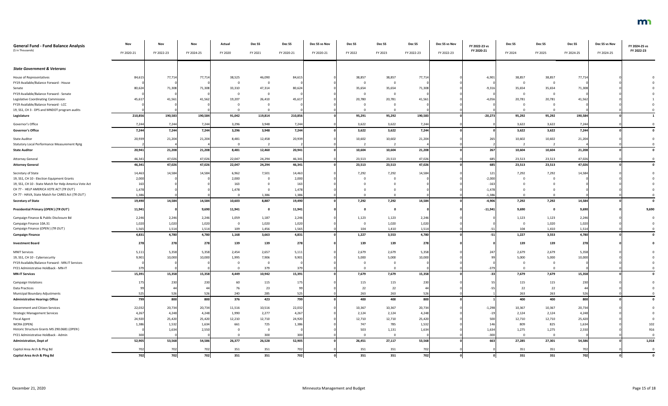| <b>General Fund - Fund Balance Analysis</b><br>(\$ in Thousands) | Nov<br>FY 2020-21 | Nov<br>FY 2022-23 | Nov<br>FY 2024-25 | Actual<br>FY 2020 | Dec SS<br>FY 2021 | Dec <sub>SS</sub><br>FY 2020-21 | Dec SS vs Nov<br>FY 2020-21 | Dec SS<br>FY 2022 | Dec SS<br>FY 2023 | Dec <sub>SS</sub><br>FY 2022-23 | Dec SS vs Nov<br>FY 2022-23 | FY 2022-23 vs<br>FY 2020-21 | Dec <sub>SS</sub><br>FY 2024 | Dec SS<br>FY 2025 | Dec SS<br>FY 2024-25 | Dec SS vs Nov<br>FY 2024-25 | FY 2024-25 vs<br>FY 2022-23 |
|------------------------------------------------------------------|-------------------|-------------------|-------------------|-------------------|-------------------|---------------------------------|-----------------------------|-------------------|-------------------|---------------------------------|-----------------------------|-----------------------------|------------------------------|-------------------|----------------------|-----------------------------|-----------------------------|
| <b>State Government &amp; Veterans</b>                           |                   |                   |                   |                   |                   |                                 |                             |                   |                   |                                 |                             |                             |                              |                   |                      |                             |                             |
| House of Representatives                                         | 84,615            | 77,714            | 77,714            | 38,525            | 46,090            | 84,615                          |                             | 38,857            | 38,857            | 77,714                          |                             | $-6,901$                    | 38,857                       | 38,857            | 77,714               |                             |                             |
| FY19 Available/Balance Forward - House                           |                   |                   |                   | - 0               | - 0               |                                 |                             |                   | 0                 |                                 |                             |                             |                              |                   |                      |                             |                             |
| Senate                                                           | 80,624            | 71,308            | 71,308            | 33,310            | 47,314            | 80,624                          |                             | 35,654            | 35,654            | 71,308                          |                             | $-9,316$                    | 35,654                       | 35,654            | 71,308               |                             |                             |
| FY19 Available/Balance Forward - Senate                          |                   |                   |                   | - 0               | - 0               |                                 |                             |                   | 0                 |                                 |                             |                             |                              |                   |                      |                             |                             |
| Legislative Coordinating Commission                              | 45,617            | 41,561            | 41,562            | 19,207            | 26,410            | 45,617                          |                             | 20,780            | 20,781            | 41,561                          |                             | $-4,056$                    | 20,781                       | 20,781            | 41,562               |                             |                             |
| FY19 Available/Balance Forward - LCC                             |                   |                   |                   |                   |                   |                                 |                             |                   |                   |                                 |                             |                             |                              |                   |                      |                             |                             |
| 19, SS1, CH 3 - DPS and MNDOT program audits                     |                   |                   |                   |                   |                   |                                 |                             |                   |                   |                                 |                             |                             |                              |                   |                      |                             |                             |
| Legislature                                                      | 210,856           | 190,583           | 190,584           | 91,042            | 119,814           | 210,856                         |                             | 95,291            | 95,292            | 190,583                         |                             | $-20,273$                   | 95,292                       | 95,292            | 190,584              |                             |                             |
| Governor's Office                                                | 7,244             | 7,244             | 7,244             | 3,296             | 3,948             | 7,244                           |                             | 3,622             | 3,622             | 7,244                           |                             |                             | 3,622                        | 3,622             | 7,244                |                             |                             |
| <b>Governor's Office</b>                                         | 7,244             | 7,244             | 7,244             | 3,296             | 3,948             | 7,244                           |                             | 3,622             | 3,622             | 7,244                           |                             |                             | 3,622                        | 3,622             | 7,244                |                             |                             |
|                                                                  |                   |                   |                   |                   |                   |                                 |                             |                   |                   |                                 |                             |                             |                              |                   |                      |                             |                             |
| <b>State Auditor</b>                                             | 20,939            | 21,204            | 21,204            | 8,481             | 12,458            | 20,939                          |                             | 10,602            | 10,602            | 21,204                          |                             | 265                         | 10,602                       | 10,602            | 21,204               |                             |                             |
| <b>Statutory Local Performance Measurement Rptg</b>              |                   |                   |                   | $\overline{0}$    |                   |                                 |                             |                   | $\overline{2}$    |                                 |                             |                             |                              |                   |                      |                             |                             |
| <b>State Auditor</b>                                             | 20,941            | 21,208            | 21,208            | 8,481             | 12,460            | 20,941                          |                             | 10,604            | 10,604            | 21,208                          |                             | 267                         | 10,604                       | 10,604            | 21,208               |                             |                             |
| <b>Attorney General</b>                                          | 46,341            | 47,026            | 47,026            | 22,047            | 24,294            | 46,341                          |                             | 23,513            | 23,513            | 47,026                          |                             | 685                         | 23,513                       | 23,513            | 47,026               |                             |                             |
| <b>Attorney General</b>                                          | 46,341            | 47,026            | 47,026            | 22,047            | 24,294            | 46,341                          |                             | 23,513            | 23,513            | 47,026                          |                             | 685                         | 23,513                       | 23,513            | 47,026               |                             |                             |
|                                                                  |                   |                   |                   |                   |                   |                                 |                             |                   |                   |                                 |                             |                             |                              |                   |                      |                             |                             |
| Secretary of State                                               | 14,463            | 14,584            | 14,584            | 6,962             | 7,501             | 14,463                          |                             | 7,292             | 7,292             | 14,584                          |                             | 121                         | 7,292                        | 7,292             | 14,584               |                             |                             |
| 19, SS1, CH 10 - Election Equipment Grants                       | 2,000             |                   |                   | 2,000             |                   | 2,000                           |                             |                   |                   |                                 |                             | $-2,000$                    |                              |                   |                      |                             |                             |
| 19, SS1, CH 10 - State Match for Help America Vote Act           | 163               |                   |                   | 163               |                   |                                 |                             |                   |                   |                                 |                             | $-163$                      |                              |                   |                      |                             |                             |
| CH 77 - HELP AMERICA VOTE ACT (TR OUT)                           | 1,478             |                   |                   | 1,478             |                   | 1,478                           |                             |                   |                   |                                 |                             | $-1,478$                    |                              |                   |                      |                             |                             |
| CH 77 - HAVA, State Match for CARES Act (TR OUT)                 | 1,386             |                   |                   | $\overline{0}$    | 1,386             | 1,386                           |                             |                   |                   |                                 |                             | $-1,386$                    |                              |                   |                      |                             |                             |
| <b>Secretary of State</b>                                        | 19,490            | 14,584            | 14,584            | 10,603            | 8,887             | 19,490                          |                             | 7,292             | 7,292             | 14,584                          |                             | $-4,906$                    | 7,292                        | 7,292             | 14,584               |                             |                             |
| Presidential Primary (OPEN) (TR OUT)                             | 11,941            |                   | 9,690             | 11,941            |                   | 11,941                          |                             |                   |                   |                                 |                             | $-11,941$                   | 9,690                        |                   | 9,690                |                             | 9,690                       |
| Campaign Finance & Public Disclosure Bd                          | 2,246             | 2,246             | 2,246             | 1,059             | 1,187             | 2,246                           |                             | 1,123             | 1,123             | 2,246                           |                             |                             | 1,123                        | 1,123             | 2,246                |                             |                             |
| Campaign Finance 10A.31                                          | 1,020             | 1,020             | 1,020             | - 0               | 1,020             | 1,020                           |                             |                   | 1,020             | 1,020                           |                             |                             |                              | 1,020             | 1,020                |                             |                             |
| Campaign Finance (OPEN) (TR OUT)                                 | 1,565             | 1,514             | 1,514             | 109               | 1,456             | 1,565                           |                             | 104               | 1,410             | 1,514                           |                             |                             | 104                          | 1,410             | 1,514                |                             |                             |
| <b>Campaign Finance</b>                                          | 4,831             | 4,780             | 4,780             | 1,168             | 3,663             | 4,831                           |                             | 1,227             | 3,553             | 4,780                           |                             | $-51$                       | 1,227                        | 3,553             | 4,780                |                             |                             |
| <b>Investment Board</b>                                          | 278               | 278               | 278               | 139               | 139               | 278                             |                             | 139               | 139               | 278                             |                             |                             | 139                          | 139               | 278                  |                             |                             |
| <b>MNIT Services</b>                                             | 5,111             | 5,358             | 5,358             | 2,454             | 2,657             | 5,111                           |                             | 2,679             | 2,679             | 5,358                           |                             | 247                         | 2,679                        | 2,679             | 5,358                |                             |                             |
| 19, SS1, CH 10 - Cybersecurity                                   | 9,901             | 10,000            | 10,000            | 1,995             | 7,906             | 9,901                           |                             | 5,000             | 5,000             | 10,000                          |                             |                             | 5,000                        | 5,000             | 10,000               |                             |                             |
| FY19 Available/Balance Forward - MN.IT Services                  |                   |                   |                   | - 0               | $\overline{0}$    |                                 |                             |                   |                   |                                 |                             |                             |                              |                   |                      |                             |                             |
| FY21 Administrative Holdback - MN-IT                             |                   |                   |                   | - 0               | 379               |                                 |                             |                   |                   |                                 |                             | $-37$                       |                              |                   |                      |                             |                             |
| <b>MN-IT Services</b>                                            | 15,391            | 15,358            | 15,358            | 4,449             | 10,942            | 15,391                          |                             | 7,679             | 7,679             | 15,358                          |                             | $-33$                       | 7,679                        | 7,679             | 15,358               |                             |                             |
| <b>Campaign Violations</b>                                       | 175               | 230               | 230               | 60                | 115               | 175                             |                             | 115               | 115               | 230                             |                             |                             | 115                          | 115               | 230                  |                             |                             |
| <b>Data Practices</b>                                            |                   |                   |                   | 76                | 23                |                                 |                             | 22                | 22                | 44                              |                             |                             | 22                           | 22                |                      |                             |                             |
| Municipal Boundary Adjustments                                   |                   | 526               | 526               | 240               | 285               | 525                             |                             | 263               | 263               | 526                             |                             |                             | 263                          | 263               | 526                  |                             |                             |
| <b>Administrative Hearings Office</b>                            | 799               | 800               | 800               | 376               | 423               | 799                             |                             | 400               | 400               | 800                             |                             |                             | 400                          | 400               | 800                  |                             |                             |
| Government and Citizen Services                                  | 22,032            | 20,734            | 20,734            | 11,516            | 10,516            | 22,032                          |                             | 10,367            | 10,367            | 20,734                          |                             | $-1,298$                    | 10,367                       | 10,367            | 20,734               |                             |                             |
| <b>Strategic Management Services</b>                             | 4,267             | 4,248             | 4,248             | 1,990             | 2,277             | 4,267                           |                             | 2,124             | 2,124             | 4,248                           |                             |                             | 2,124                        | 2,124             | 4,248                |                             |                             |
| <b>Fiscal Agent</b>                                              | 24,920            | 25,420            | 25,420            | 12,210            | 12,710            | 24,920                          |                             | 12,710            | 12,710            | 25,420                          |                             | 500                         | 12,710                       | 12,710            | 25,420               |                             |                             |
| WCRA (OPEN)                                                      | 1,386             | 1,532             | 1,634             | 661               | 725               | 1,386                           |                             | 747               | 785               | 1,532                           |                             | 146                         | 809                          | 825               | 1,634                |                             | 102                         |
| Historic Structure Grants MS 290.0681 (OPEN)                     |                   | 1,634             | 2,550             | - 0               | $\overline{0}$    |                                 |                             | 503               | 1,131             | 1,634                           |                             | 1,634                       | 1,275                        | 1,275             | 2,550                |                             | 916                         |
| FY21 Administrative Holdback - Admin                             |                   |                   |                   | $\Omega$          | 300               | 300                             |                             |                   | $\Omega$          |                                 |                             | $-30$                       |                              | $\Omega$          |                      |                             |                             |
| <b>Administration, Dept of</b>                                   | 52,905            | 53,568            | 54,586            | 26,377            | 26,528            | 52,905                          |                             | 26,451            | 27,117            | 53,568                          |                             | 663                         | 27,285                       | 27,301            | 54,586               |                             | 1,018                       |
| Capitol Area Arch & Plng Bd                                      | 702               | 702               | 702               | 351               | 351               | 702                             |                             | 351               | 351               | 702                             |                             |                             | 351                          | 351               | 702                  |                             |                             |
| Capitol Area Arch & Plng Bd                                      | 702               | 702               | 702               | 351               | 351               | 702                             |                             | 351               | 351               | 702                             |                             |                             | 351                          | 351               | 702                  |                             | $\mathbf{0}$                |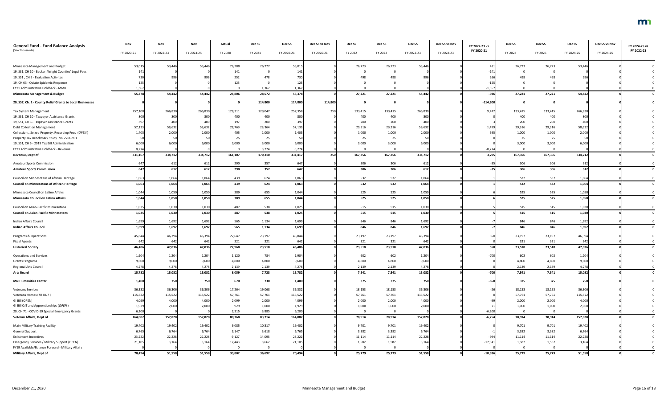| <b>General Fund - Fund Balance Analysis</b>               | Nov            | Nov            | Nov            | Actual         | Dec SS       | Dec SS         | Dec SS vs Nov | Dec SS         | Dec SS         | Dec SS         | Dec SS vs Nov | FY 2022-23 vs | Dec SS         | Dec SS       | Dec SS         | Dec SS vs Nov | FY 2024-25 vs |
|-----------------------------------------------------------|----------------|----------------|----------------|----------------|--------------|----------------|---------------|----------------|----------------|----------------|---------------|---------------|----------------|--------------|----------------|---------------|---------------|
| (\$ in Thousands)                                         | FY 2020-21     | FY 2022-23     | FY 2024-25     | FY 2020        | FY 2021      | FY 2020-21     | FY 2020-21    | FY 2022        | FY 2023        | FY 2022-23     | FY 2022-23    | FY 2020-21    | FY 2024        | FY 2025      | FY 2024-25     | FY 2024-25    | FY 2022-23    |
|                                                           |                |                |                |                |              |                |               |                |                |                |               |               |                |              |                |               |               |
| Minnesota Management and Budget                           | 53,015         | 53,446         | 53,446         | 26,288         | 26,727       | 53,015         |               | 26,723         | 26,723         | 53,446         |               | 431           | 26,723         | 26,723       | 53,446         |               |               |
| 19, SS1, CH 10 - Becker, Wright Counties' Legal Fees      |                |                |                | 141            |              |                |               |                | $\Omega$       |                |               |               |                |              |                |               |               |
| 19, SS1, CH 9 - Evaluation Activites                      |                | 99             |                | 252            | 478          |                |               |                | 498            |                |               |               |                |              |                |               |               |
| 19, CH 63 - Opiate Epidemic Response                      |                |                |                | 125            |              |                |               |                |                |                |               | $-125$        |                |              |                |               |               |
| FY21 Administrative Holdback - MMB                        | 1,367          |                |                |                | 1,367        | 1,367          |               |                |                |                |               | $-1,367$      |                |              |                |               |               |
| <b>Minnesota Management &amp; Budget</b>                  | 55,378         | 54,442         | 54,442         | 26,806         | 28,572       | 55,378         |               | 27,221         | 27,221         | 54,442         |               | $-936$        | 27,221         | 27,221       | 54,442         |               |               |
| 20, SS7, Ch. 2 - County Relief Grants to Local Businesses |                |                |                |                | 114,800      | 114,800        | 114,800       |                | 0              |                |               | $-114,800$    |                |              |                |               |               |
| Tax System Management                                     | 257,108        | 266,830        | 266,830        | 128,311        | 129,047      | 257,358        | 250           | 133,415        | 133,415        | 266,830        |               | 9,472         | 133,415        | 133,415      | 266,830        |               |               |
| 19, SS1, CH 10 - Taxpayer Assistance Grants               |                | 800            | 800            | 400            | 400          | 800            |               | 400            | 400            | 800            |               |               | 400            | 400          | 800            |               |               |
| 19, SS1, CH 6 - Taxpayer Assistance Grants                |                | 400            | 400            | 197            | 200          |                |               | 200            | 200            | 400            |               |               | 200            | 200          | 40             |               |               |
| <b>Debt Collection Management</b>                         | 57,133         | 58,632         | 58,632         | 28,769         | 28,364       | 57,133         |               | 29,316         | 29,316         | 58,632         |               | 1,499         | 29,316         | 29,316       | 58,632         |               |               |
| Collections, Seized Property, Recording Fees (OPEN)       | 1,405          | 2,000          | 2,000          | 405            | 1,000        | 1,405          |               | 1,000          | 1,000          | 2,000          |               | 595           | 1,000          | 1,000        | 2,000          |               |               |
| Property Tax Benchmark Study MS 270C.991                  |                |                |                | 25             | 25           |                |               | 25             | 25             |                |               |               | 25             | 25           |                |               |               |
| 19, SS1, CH 6 - 2019 Tax Bill Administration              | 6,000          | 6,000          | 6,000          | 3,000          | 3,000        | 6,000          |               | 3,000          | 3,000          | 6,000          |               |               | 3,000          | 3,000        | 6,000          |               |               |
| FY21 Administrative Holdback - Revenue                    | 8,274          |                |                |                | 8,274        | 8,274          |               |                | $\Omega$       |                |               | $-8,274$      |                |              |                |               |               |
| Revenue, Dept of                                          | 331,167        | 334,712        | 334,712        | 161,107        | 170,310      | 331,417        | 250           | 167,356        | 167,356        | 334,712        |               | 3,295         | 167,356        | 167,356      | 334,712        |               |               |
| <b>Amateur Sports Commission</b>                          |                | 612            | 612            | 290            | 357          | 647            |               | 306            | 306            | 612            |               |               | 306            | 306          | 61             |               |               |
| <b>Amateur Sports Commission</b>                          | 647            | 612            | 612            | 290            | 357          | 647            |               | 306            | 306            | 612            |               |               | 306            | 306          | 612            |               |               |
| Council on Minnesotans of African Heritage                | 1,063          | 1,064          | 1,064          | 439            | 624          | 1,063          |               | 532            | 532            | 1,064          |               |               | 532            | 532          | 1,064          |               |               |
| <b>Council on Minnesotans of African Heritage</b>         | 1,063          | 1,064          | 1,064          | 439            | 624          | 1,063          |               | 532            | 532            | 1,064          |               |               | 532            | 532          | 1,064          |               |               |
| Minnesota Council on Latino Affairs                       | 1,044          | 1,050          | 1,050          | 389            | 655          | 1,044          |               | 525            | 525            | 1,050          |               |               | 525            | 525          | 1,050          |               |               |
| Minnesota Council on Latino Affairs                       | 1,044          | 1,050          | 1,050          | 389            | 655          | 1,044          |               | 525            | 525            | 1,050          |               |               | 525            | 525          | 1,050          |               |               |
| Council on Asian-Pacific Minnesotans                      | 1,025          | 1,030          | 1,030          | 487            | 538          | 1,025          |               | 515            | 515            | 1,030          |               |               | 515            | 515          | 1,030          |               |               |
| <b>Council on Asian-Pacific Minnesotans</b>               | 1.025          | 1,030          | 1,030          | 487            | 538          | 1,025          |               | 515            | 515            | 1,030          |               |               | 515            | 515          | 1,030          |               |               |
| Indian Affairs Council                                    | 1,699          | 1,692          | 1,692          | 565            | 1,134        | 1,699          |               | 846            | 846            | 1,692          |               |               | 846            | 846          | 1,692          |               |               |
| <b>Indian Affairs Council</b>                             | 1,699          | 1,692          | 1,692          | 565            | 1,134        | 1,699          |               | 846            | 846            | 1,692          |               |               | 846            | 846          | 1,692          |               |               |
| Programs & Operations                                     | 45,844         | 46,394         | 46,394         | 22,647         | 23,197       | 45,844         |               | 23,197         | 23,197         | 46,394         |               | 550           | 23,197         | 23,197       | 46,394         |               |               |
| <b>Fiscal Agents</b>                                      | 642            | 642            | 642            | 321            | 321          | 642            |               | 321            | 321            | 642            |               |               | 321            | 321          | 642            |               |               |
| <b>Historical Society</b>                                 | 46,486         | 47,036         | 47,036         | 22,968         | 23,518       | 46,486         |               | 23,518         | 23,518         | 47,036         |               | 550           | 23,518         | 23,518       | 47,036         |               |               |
|                                                           |                |                |                |                |              |                |               |                |                |                |               |               |                |              |                |               |               |
| <b>Operations and Services</b>                            | 1,904          | 1,204          | 1,204<br>9,600 | 1,120          | 784<br>4,800 | 1,904          |               | 602            | 602            | 1,204          |               | $-700$        | 602            | 602<br>4,800 | 1,204          |               |               |
| <b>Grants Programs</b><br>Regional Arts Council           | 9,600<br>4,278 | 9,600<br>4,278 | 4,278          | 4,800<br>2,139 | 2,139        | 9,600<br>4,278 |               | 4,800<br>2,139 | 4,800<br>2,139 | 9,600<br>4,278 |               |               | 4,800<br>2,139 | 2,139        | 9,600<br>4,278 |               |               |
| <b>Arts Board</b>                                         | 15,782         | 15,082         | 15,082         | 8,059          | 7,723        | 15,782         |               | 7,541          | 7,541          | 15,082         |               | $-700$        | 7,541          | 7,541        | 15,082         |               |               |
|                                                           |                |                |                |                |              |                |               |                |                |                |               |               |                |              |                |               |               |
| <b>MN Humanities Center</b>                               | 1,400          | 750            | 750            | 670            | 730          | 1,400          |               | 375            | 375            | 750            |               | $-650$        | 375            | 375          | 750            |               |               |
| <b>Veterans Services</b>                                  | 36,332         | 36,306         | 36,306         | 17,264         | 19,068       | 36,332         |               | 18,153         | 18,153         | 36,306         |               | $-26$         | 18,153         | 18,153       | 36,306         |               |               |
| Veterans Homes (TR OUT)                                   | 115,522        | 115,522        | 115,522        | 57,761         | 57,761       | 115,522        |               | 57,761         | 57,761         | 115,522        |               |               | 57,761         | 57,761       | 115,522        |               |               |
| GI Bill (OPEN)                                            | 4,099          | 4,000          | 4,000          | 2,099          | 2,000        | 4,099          |               | 2,000          | 2,000          | 4,000          |               |               | 2,000          | 2,000        | 4,000          |               |               |
| GI Bill OJT and Apprenticeships (OPEN)                    | 1,929          | 2,000          | 2,000          | 929            | 1,000        | 1,929          |               | 1,000          | 1,000          | 2,000          |               |               | 1,000          | 1,000        | 2,000          |               |               |
| 20, CH 71 - COVID-19 Special Emergency Grants             | 6,200          |                |                | 2,315          | 3,885        | 6,200          |               | - 0            | $\mathbf 0$    |                |               | $-6,200$      |                |              |                |               |               |
| Veteran Affairs, Dept of                                  | 164,082        | 157,828        | 157,828        | 80,368         | 83,714       | 164,082        |               | 78,914         | 78,914         | 157,828        |               | $-6,254$      | 78,914         | 78,914       | 157,828        |               |               |
| <b>Main-Military Training Facility</b>                    | 19,402         | 19,402         | 19,402         | 9,085          | 10,317       | 19,402         |               | 9,701          | 9,701          | 19,402         |               |               | 9,701          | 9,701        | 19,402         |               |               |
| <b>General Support</b>                                    | 6,765          | 6,764          | 6,764          | 3,147          | 3,618        | 6,765          |               | 3,382          | 3,382          | 6,764          |               |               | 3,382          | 3,382        | 6,764          |               |               |
| <b>Enlistment Incentives</b>                              | 23,222         | 22,228         | 22,228         | 9,127          | 14,095       | 23,222         |               | 11,114         | 11,114         | 22,228         |               | -994          | 11,114         | 11,114       | 22,228         |               |               |
| <b>Emergency Services / Military Support (OPEN)</b>       | 21,105         | 3,164          | 3,164          | 12,443         | 8,662        | 21,105         |               | 1,582          | 1,582          | 3,164          |               | $-17,94$      | 1,582          | 1,582        | 3,164          |               |               |
| FY19 Available/Balance Forward - Military Affairs         |                |                |                |                |              |                |               |                | $\overline{0}$ |                |               |               |                |              |                |               |               |
| <b>Military Affairs, Dept of</b>                          | 70,494         | 51,558         | 51,558         | 33,802         | 36,692       | 70,494         |               | 25,779         | 25,779         | 51,558         |               | $-18,936$     | 25,779         | 25,779       | 51,558         |               |               |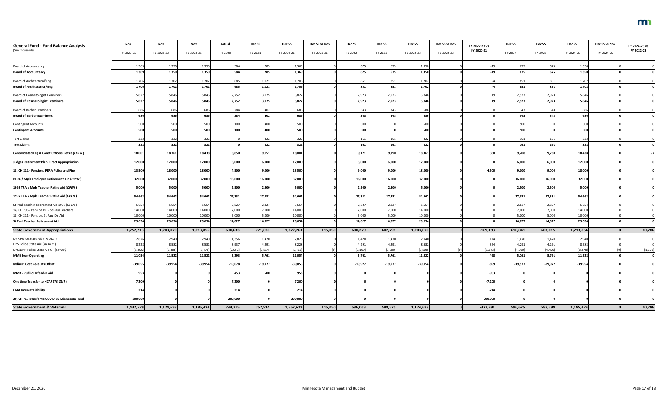| <b>General Fund - Fund Balance Analysis</b><br>(\$ in Thousands) | Nov<br>FY 2020-21 | Nov<br>FY 2022-23 | Nov<br>FY 2024-25 | Actual<br>FY 2020 | Dec <sub>SS</sub><br>FY 2021 | Dec SS<br>FY 2020-21 | Dec SS vs Nov<br>FY 2020-21 | Dec SS<br>FY 2022 | Dec SS<br>FY 2023 | Dec SS<br>FY 2022-23 | Dec SS vs Nov<br>FY 2022-23 | FY 2022-23 vs<br>FY 2020-21 | Dec SS<br>FY 2024 | Dec <sub>SS</sub><br>FY 2025 | Dec SS<br>FY 2024-25 | Dec SS vs Nov<br>FY 2024-25 | FY 2024-25 vs<br>FY 2022-23 |
|------------------------------------------------------------------|-------------------|-------------------|-------------------|-------------------|------------------------------|----------------------|-----------------------------|-------------------|-------------------|----------------------|-----------------------------|-----------------------------|-------------------|------------------------------|----------------------|-----------------------------|-----------------------------|
|                                                                  |                   |                   |                   |                   |                              |                      |                             |                   |                   |                      |                             |                             |                   |                              |                      |                             |                             |
| <b>Board of Accountancy</b>                                      | 1,36              | 1,350             | 1,350             | 584               | 785                          | 1,369                |                             | 675               | 675               | 1,350                |                             |                             | 675               | 675                          | 1,350                |                             |                             |
| <b>Board of Accountancy</b>                                      | 1,369             | 1,350             | 1,350             | 584               | 785                          | 1,369                |                             | 675               | 675               | 1,350                |                             |                             | 675               | 675                          | 1,350                |                             |                             |
| <b>Board of Architectural/Eng</b>                                | 1,706             | 1,702             | 1,702             | 685               | 1,021                        | 1,706                |                             | 851               | 851               | 1,702                |                             |                             | 851               | 851                          | 1,702                |                             |                             |
| <b>Board of Architectural/Eng</b>                                | 1,706             | 1,702             | 1,702             | 685               | 1,021                        | 1,706                |                             | 851               | 851               | 1,702                |                             |                             | 851               | 851                          | 1,702                |                             |                             |
| <b>Board of Cosmetologist Examiners</b>                          | 5,827             | 5,846             | 5,846             | 2,752             | 3,075                        | 5,827                |                             | 2,923             | 2,923             | 5,846                |                             |                             | 2,923             | 2,923                        | 5,846                |                             |                             |
| <b>Board of Cosmetologist Examiners</b>                          | 5,827             | 5,846             | 5,846             | 2,752             | 3,075                        | 5,827                |                             | 2,923             | 2,923             | 5,846                |                             |                             | 2,923             | 2,923                        | 5,846                |                             |                             |
| <b>Board of Barber Examiners</b>                                 |                   | 686               | 686               | 284               | 402                          | 686                  |                             | 343               | 343               | 686                  |                             |                             | 343               | 343                          | 686                  |                             |                             |
| <b>Board of Barber Examiners</b>                                 | 686               | 686               | 686               | 284               | 402                          | 686                  |                             | 343               | 343               | 686                  |                             |                             | 343               | 343                          | 686                  |                             |                             |
| <b>Contingent Accounts</b>                                       | 500               | 500               | 500               | 100               | 400                          | 500                  |                             | 500               | 0                 | 500                  |                             |                             | 500               | $\mathbf 0$                  | 500                  |                             |                             |
| <b>Contingent Accounts</b>                                       | 500               | 500               | 500               | 100               | 400                          | 500                  |                             | 500               | 0                 | 500                  |                             |                             | 500               |                              | 500                  |                             |                             |
| <b>Tort Claims</b>                                               | 322               | 322               | 322               | റ                 | 322                          | 322                  |                             | 161               | 161               | 322                  |                             |                             | 161               | 161                          | 322                  |                             |                             |
| <b>Tort Claims</b>                                               | 322               | 322               | 322               | <u>െ</u>          | 322                          | 322                  |                             | 161               | 161               | 322                  |                             |                             | 161               | 161                          | 322                  |                             |                             |
| <b>Consolidated Leg &amp; Const Officers Retire (OPEN)</b>       | 18,001            | 18,361            | 18,438            | 8,850             | 9,151                        | 18,001               |                             | 9,171             | 9,190             | 18,361               |                             | 360                         | 9,208             | 9,230                        | 18,438               |                             |                             |
| <b>Judges Retirement Plan Direct Appropriation</b>               | 12,000            | 12,000            | 12,000            | 6,000             | 6,000                        | 12,000               |                             | 6,000             | 6,000             | 12,000               |                             |                             | 6,000             | 6,000                        | 12,000               |                             |                             |
| 18, CH 211 - Pension, PERA Police and Fire                       | 13,500            | 18,000            | 18,000            | 4,500             | 9,000                        | 13,500               |                             | 9,000             | 9,000             | 18,000               |                             | 4,500                       | 9,000             | 9,000                        | 18,000               |                             |                             |
| PERA / Mpls Employee Retirement Aid (OPEN)                       | 32,000            | 32,000            | 32,000            | 16,000            | 16,000                       | 32,000               |                             | 16,000            | 16,000            | 32,000               |                             |                             | 16,000            | 16,000                       | 32,000               |                             |                             |
| 1993 TRA / Mpls Teacher Retire Aid (OPEN)                        | 5,000             | 5,000             | 5,000             | 2,500             | 2,500                        | 5,000                |                             | 2,500             | 2,500             | 5,000                |                             |                             | 2,500             | 2,500                        | 5,000                |                             |                             |
| 1997 TRA / Mpls Teacher Retire Aid (OPEN)                        | 54,662            | 54,662            | 54,662            | 27,331            | 27,331                       | 54,662               |                             | 27,331            | 27,331            | 54,662               |                             |                             | 27,331            | 27,331                       | 54,662               |                             |                             |
| St Paul Teacher Retirement Aid 1997 (OPEN)                       | 5,654             | 5,654             | 5,654             | 2,827             | 2,827                        | 5,654                |                             | 2,827             | 2,827             | 5,654                |                             |                             | 2,827             | 2,827                        | 5,654                |                             |                             |
| 14, CH 296 - Pension Bill - St Paul Teachers                     | 14,000            | 14,000            | 14,000            | 7,000             | 7,000                        | 14,000               |                             | 7,000             | 7,000             | 14,000               |                             |                             | 7,000             | 7,000                        | 14,000               |                             |                             |
| 18, CH 211 - Pension, St Paul Dir Aid                            | 10,000            | 10,000            | 10,000            | 5,000             | 5,000                        | 10,000               |                             | 5,000             | 5,000             | 10,000               |                             |                             | 5,000             | 5,000                        | 10,000               |                             |                             |
| <b>St Paul Teacher Retirement Aid</b>                            | 29,654            | 29,654            | 29,654            | 14,827            | 14,827                       | 29,654               |                             | 14,827            | 14,827            | 29,654               |                             |                             | 14,827            | 14,827                       | 29,654               |                             |                             |
| <b>State Government Appropriations</b>                           | 1,257,213         | 1,203,070         | 1,213,856         | 600,633           | 771,630                      | 1,372,263            | 115,050                     | 600,279           | 602,791           | 1,203,070            |                             | $-169,193$                  | 610,841           | 603,015                      | 1,213,856            |                             | 10,786                      |
| DNR Police State Aid (TR OUT)                                    | 2,826             | 2,940             | 2,940             | 1,356             | 1,470                        | 2,826                |                             | 1,470             | 1,470             | 2,940                |                             |                             | 1,470             | 1,470                        | 2,940                |                             |                             |
| DPS Police State Aid (TR OUT)                                    | 8,228             | 8,582             | 8,582             | 3,937             | 4,291                        | 8,228                |                             | 4,291             | 4,291             | 8,582                |                             |                             | 4,291             | 4,291                        | 8,582                |                             |                             |
| DPS/DNR Police State Aid GF [Cancel]                             | [5, 466]          | [6, 808]          | [8, 478]          | [2,652]           | [2,814]                      | [5,466]              |                             | [3, 199]          | [3,609]           | [6, 808]             |                             | [1, 342]                    | [4,019]           | [4, 459]                     | [8, 478]             |                             | [1,670]                     |
| <b>MMB Non-Operating</b>                                         | 11,054            | 11,522            | 11,522            | 5,293             | 5,761                        | 11,054               |                             | 5,761             | 5,761             | 11,522               |                             | 468                         | 5,761             | 5,761                        | 11,522               |                             |                             |
| <b>Indirect Cost Receipts Offset</b>                             | $-39,055$         | $-39,954$         | $-39,954$         | $-19,078$         | $-19,977$                    | $-39,055$            |                             | $-19,977$         | $-19,977$         | $-39,954$            |                             | -899                        | $-19,977$         | $-19,977$                    | $-39,954$            |                             |                             |
| MMB - Public Defender Aid                                        | 953               |                   |                   | 453               | 500                          | 953                  |                             |                   | 0                 |                      |                             | -953                        |                   |                              |                      |                             |                             |
| One time Transfer to HCAF (TR OUT)                               | 7,200             |                   |                   | 7,200             |                              | 7,200                |                             |                   | 0                 |                      |                             | $-7,200$                    |                   |                              |                      |                             |                             |
| <b>CMA Interest Liability</b>                                    | 214               |                   |                   | 214               |                              | 214                  |                             |                   | $\mathbf{0}$      |                      |                             | $-214$                      |                   |                              |                      |                             |                             |
| 20, CH 71, Transfer to COVID-19 Minnesota Fund                   | 200,000           |                   |                   | 200,000           |                              | 200,000              |                             | - 0               | 0                 |                      |                             | $-200,000$                  | - 0               | - 0                          |                      |                             |                             |
| <b>State Government &amp; Veterans</b>                           | 1,437,579         | 1,174,638         | 1,185,424         | 794,715           | 757,914                      | 1,552,629            | 115,050                     | 586,063           | 588,575           | 1,174,638            | 0 <sup>l</sup>              | $-377,991$                  | 596,625           | 588,799                      | 1,185,424            |                             | 10,786                      |